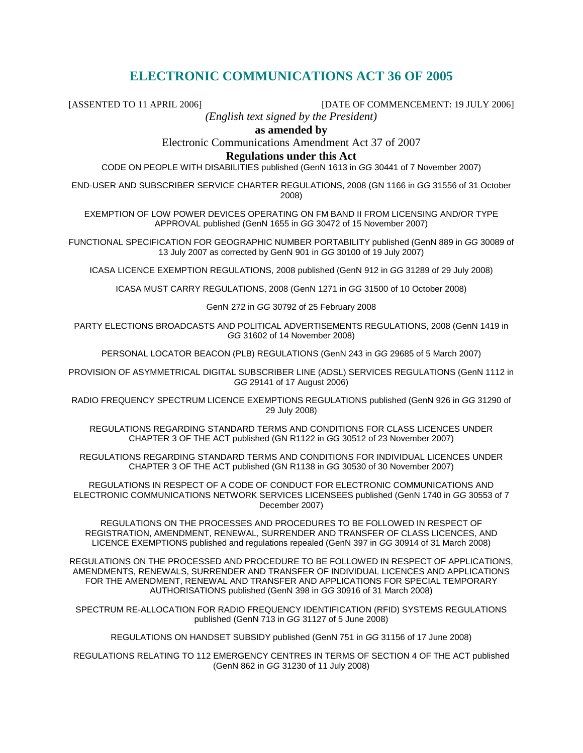# **ELECTRONIC COMMUNICATIONS ACT 36 OF 2005**

[ASSENTED TO 11 APRIL 2006] [DATE OF COMMENCEMENT: 19 JULY 2006]

*(English text signed by the President)* 

**as amended by** 

Electronic Communications Amendment Act 37 of 2007

#### **Regulations under this Act**

CODE ON PEOPLE WITH DISABILITIES published (GenN 1613 in GG 30441 of 7 November 2007)

END-USER AND SUBSCRIBER SERVICE CHARTER REGULATIONS, 2008 (GN 1166 in GG 31556 of 31 October 2008)

EXEMPTION OF LOW POWER DEVICES OPERATING ON FM BAND II FROM LICENSING AND/OR TYPE APPROVAL published (GenN 1655 in GG 30472 of 15 November 2007)

FUNCTIONAL SPECIFICATION FOR GEOGRAPHIC NUMBER PORTABILITY published (GenN 889 in GG 30089 of 13 July 2007 as corrected by GenN 901 in GG 30100 of 19 July 2007)

ICASA LICENCE EXEMPTION REGULATIONS, 2008 published (GenN 912 in GG 31289 of 29 July 2008)

ICASA MUST CARRY REGULATIONS, 2008 (GenN 1271 in GG 31500 of 10 October 2008)

GenN 272 in GG 30792 of 25 February 2008

PARTY ELECTIONS BROADCASTS AND POLITICAL ADVERTISEMENTS REGULATIONS, 2008 (GenN 1419 in GG 31602 of 14 November 2008)

PERSONAL LOCATOR BEACON (PLB) REGULATIONS (GenN 243 in GG 29685 of 5 March 2007)

PROVISION OF ASYMMETRICAL DIGITAL SUBSCRIBER LINE (ADSL) SERVICES REGULATIONS (GenN 1112 in GG 29141 of 17 August 2006)

RADIO FREQUENCY SPECTRUM LICENCE EXEMPTIONS REGULATIONS published (GenN 926 in GG 31290 of 29 July 2008)

REGULATIONS REGARDING STANDARD TERMS AND CONDITIONS FOR CLASS LICENCES UNDER CHAPTER 3 OF THE ACT published (GN R1122 in GG 30512 of 23 November 2007)

REGULATIONS REGARDING STANDARD TERMS AND CONDITIONS FOR INDIVIDUAL LICENCES UNDER CHAPTER 3 OF THE ACT published (GN R1138 in GG 30530 of 30 November 2007)

REGULATIONS IN RESPECT OF A CODE OF CONDUCT FOR ELECTRONIC COMMUNICATIONS AND ELECTRONIC COMMUNICATIONS NETWORK SERVICES LICENSEES published (GenN 1740 in GG 30553 of 7 December 2007)

REGULATIONS ON THE PROCESSES AND PROCEDURES TO BE FOLLOWED IN RESPECT OF REGISTRATION, AMENDMENT, RENEWAL, SURRENDER AND TRANSFER OF CLASS LICENCES, AND LICENCE EXEMPTIONS published and regulations repealed (GenN 397 in GG 30914 of 31 March 2008)

REGULATIONS ON THE PROCESSED AND PROCEDURE TO BE FOLLOWED IN RESPECT OF APPLICATIONS, AMENDMENTS, RENEWALS, SURRENDER AND TRANSFER OF INDIVIDUAL LICENCES AND APPLICATIONS FOR THE AMENDMENT, RENEWAL AND TRANSFER AND APPLICATIONS FOR SPECIAL TEMPORARY AUTHORISATIONS published (GenN 398 in GG 30916 of 31 March 2008)

SPECTRUM RE-ALLOCATION FOR RADIO FREQUENCY IDENTIFICATION (RFID) SYSTEMS REGULATIONS published (GenN 713 in GG 31127 of 5 June 2008)

REGULATIONS ON HANDSET SUBSIDY published (GenN 751 in GG 31156 of 17 June 2008)

REGULATIONS RELATING TO 112 EMERGENCY CENTRES IN TERMS OF SECTION 4 OF THE ACT published (GenN 862 in GG 31230 of 11 July 2008)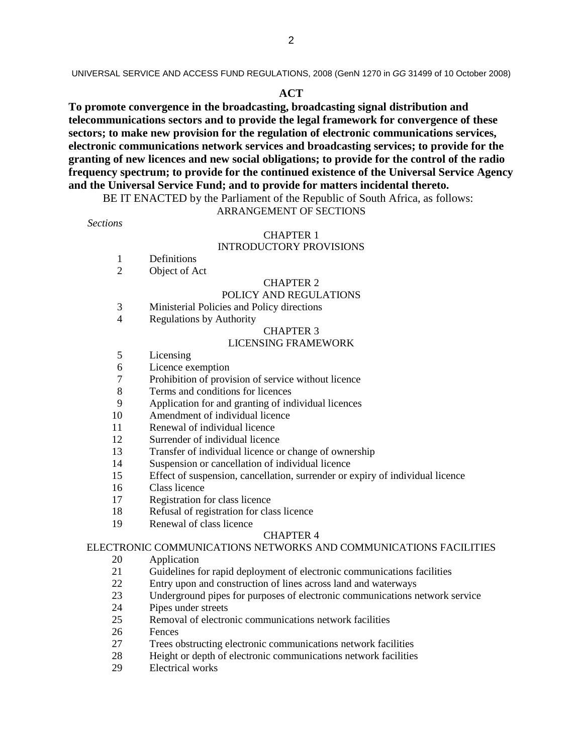UNIVERSAL SERVICE AND ACCESS FUND REGULATIONS, 2008 (GenN 1270 in GG 31499 of 10 October 2008)

#### **ACT**

**To promote convergence in the broadcasting, broadcasting signal distribution and telecommunications sectors and to provide the legal framework for convergence of these sectors; to make new provision for the regulation of electronic communications services, electronic communications network services and broadcasting services; to provide for the granting of new licences and new social obligations; to provide for the control of the radio frequency spectrum; to provide for the continued existence of the Universal Service Agency and the Universal Service Fund; and to provide for matters incidental thereto.** 

BE IT ENACTED by the Parliament of the Republic of South Africa, as follows:

#### ARRANGEMENT OF SECTIONS

*Sections* 

#### CHAPTER 1 INTRODUCTORY PROVISIONS

- 1 Definitions
- 2 Object of Act

#### CHAPTER 2

#### POLICY AND REGULATIONS

- 3 Ministerial Policies and Policy directions
- 4 Regulations by Authority

#### CHAPTER 3

#### LICENSING FRAMEWORK

- 5 Licensing
- 6 Licence exemption
- 7 Prohibition of provision of service without licence
- 8 Terms and conditions for licences
- 9 Application for and granting of individual licences
- 10 Amendment of individual licence
- 11 Renewal of individual licence
- 12 Surrender of individual licence
- 13 Transfer of individual licence or change of ownership
- 14 Suspension or cancellation of individual licence
- 15 Effect of suspension, cancellation, surrender or expiry of individual licence
- 16 Class licence
- 17 Registration for class licence
- 18 Refusal of registration for class licence
- 19 Renewal of class licence

#### CHAPTER 4

#### ELECTRONIC COMMUNICATIONS NETWORKS AND COMMUNICATIONS FACILITIES

- 20 Application
- 21 Guidelines for rapid deployment of electronic communications facilities
- 22 Entry upon and construction of lines across land and waterways
- 23 Underground pipes for purposes of electronic communications network service
- 24 Pipes under streets
- 25 Removal of electronic communications network facilities
- 26 Fences
- 27 Trees obstructing electronic communications network facilities
- 28 Height or depth of electronic communications network facilities
- 29 Electrical works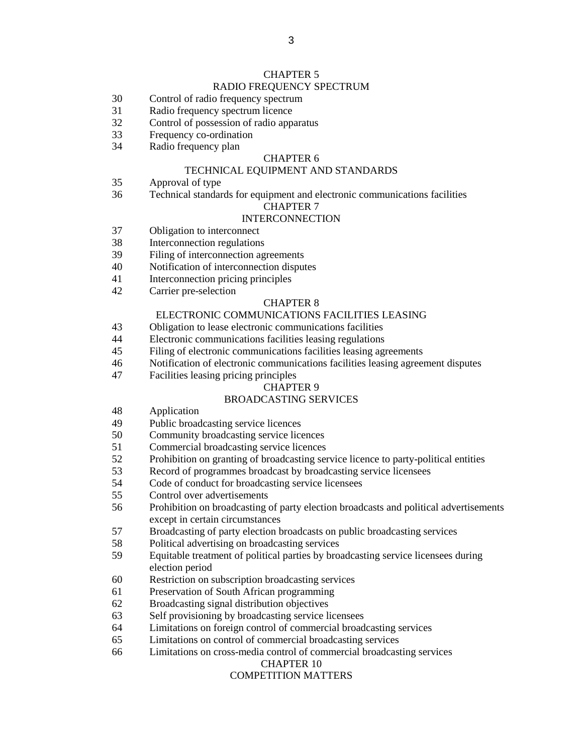# CHAPTER 5

#### RADIO FREQUENCY SPECTRUM

- 30 Control of radio frequency spectrum
- 31 Radio frequency spectrum licence
- 32 Control of possession of radio apparatus
- 33 Frequency co-ordination
- 34 Radio frequency plan

#### CHAPTER 6

#### TECHNICAL EQUIPMENT AND STANDARDS

- 35 Approval of type
- 36 Technical standards for equipment and electronic communications facilities

#### CHAPTER 7

#### INTERCONNECTION

- 37 Obligation to interconnect
- 38 Interconnection regulations
- 39 Filing of interconnection agreements
- 40 Notification of interconnection disputes
- 41 Interconnection pricing principles
- 42 Carrier pre-selection

#### CHAPTER 8

#### ELECTRONIC COMMUNICATIONS FACILITIES LEASING

- 43 Obligation to lease electronic communications facilities
- 44 Electronic communications facilities leasing regulations
- 45 Filing of electronic communications facilities leasing agreements
- 46 Notification of electronic communications facilities leasing agreement disputes
- 47 Facilities leasing pricing principles

#### CHAPTER 9

#### BROADCASTING SERVICES

- 48 Application
- 49 Public broadcasting service licences
- 50 Community broadcasting service licences
- 51 Commercial broadcasting service licences
- 52 Prohibition on granting of broadcasting service licence to party-political entities<br>53 Record of programmes broadcast by broadcasting service licensees
- Record of programmes broadcast by broadcasting service licensees
- 54 Code of conduct for broadcasting service licensees
- 55 Control over advertisements
- 56 Prohibition on broadcasting of party election broadcasts and political advertisements except in certain circumstances
- 57 Broadcasting of party election broadcasts on public broadcasting services
- 58 Political advertising on broadcasting services
- 59 Equitable treatment of political parties by broadcasting service licensees during election period
- 60 Restriction on subscription broadcasting services
- 61 Preservation of South African programming
- 62 Broadcasting signal distribution objectives
- 63 Self provisioning by broadcasting service licensees
- 64 Limitations on foreign control of commercial broadcasting services
- 65 Limitations on control of commercial broadcasting services
- 66 Limitations on cross-media control of commercial broadcasting services

#### CHAPTER 10

#### COMPETITION MATTERS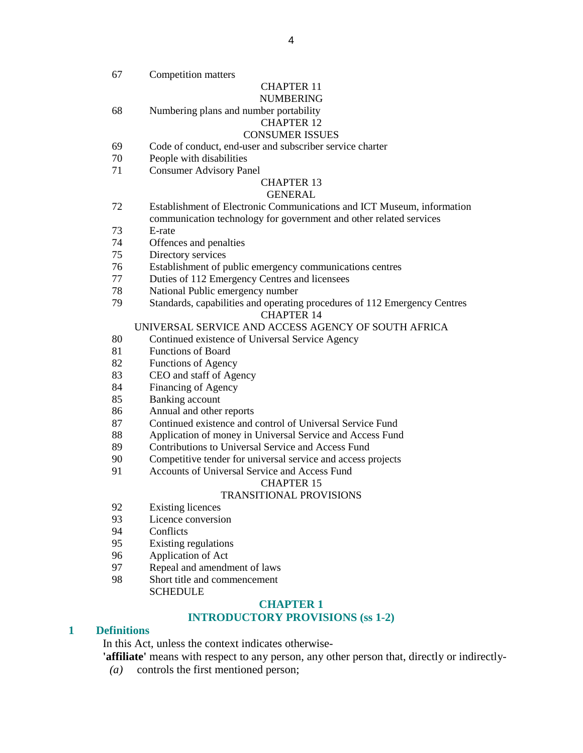67 Competition matters

### CHAPTER 11

# NUMBERING

68 Numbering plans and number portability

# CHAPTER 12

# CONSUMER ISSUES

- 69 Code of conduct, end-user and subscriber service charter
- 70 People with disabilities
- 71 Consumer Advisory Panel

#### CHAPTER 13

#### GENERAL

- 72 Establishment of Electronic Communications and ICT Museum, information communication technology for government and other related services
- 73 E-rate
- 74 Offences and penalties
- 75 Directory services
- 76 Establishment of public emergency communications centres
- 77 Duties of 112 Emergency Centres and licensees
- 78 National Public emergency number
- 79 Standards, capabilities and operating procedures of 112 Emergency Centres CHAPTER 14

#### UNIVERSAL SERVICE AND ACCESS AGENCY OF SOUTH AFRICA

- 80 Continued existence of Universal Service Agency
- 81 Functions of Board
- 82 Functions of Agency
- 83 CEO and staff of Agency
- 84 Financing of Agency
- 85 Banking account
- 86 Annual and other reports
- 87 Continued existence and control of Universal Service Fund
- 88 Application of money in Universal Service and Access Fund
- 89 Contributions to Universal Service and Access Fund
- 90 Competitive tender for universal service and access projects
- 91 Accounts of Universal Service and Access Fund

#### CHAPTER 15

#### TRANSITIONAL PROVISIONS

- 92 Existing licences
- 93 Licence conversion
- 94 Conflicts
- 95 Existing regulations
- 96 Application of Act
- 97 Repeal and amendment of laws
- 98 Short title and commencement **SCHEDULE**

#### **CHAPTER 1**

#### **INTRODUCTORY PROVISIONS (ss 1-2)**

#### **1 Definitions**

In this Act, unless the context indicates otherwise-

- **'affiliate'** means with respect to any person, any other person that, directly or indirectly-
- *(a)* controls the first mentioned person;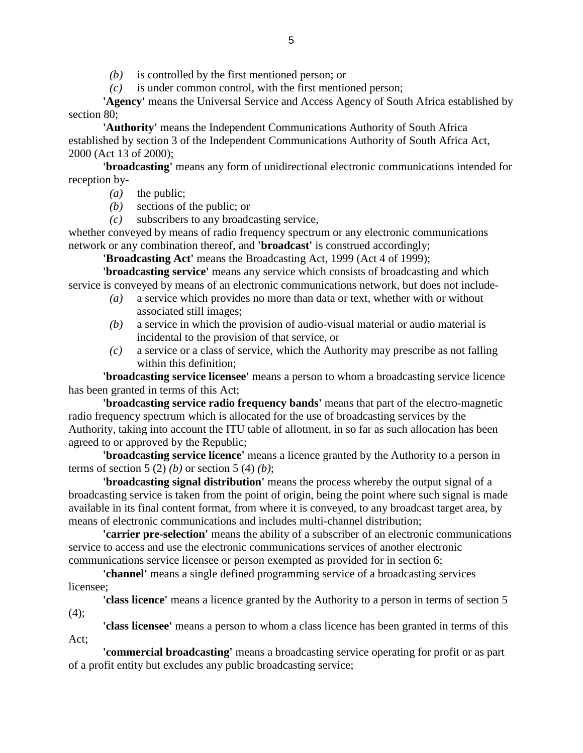*(b)* is controlled by the first mentioned person; or

*(c)* is under common control, with the first mentioned person;

**'Agency'** means the Universal Service and Access Agency of South Africa established by section 80;

**'Authority'** means the Independent Communications Authority of South Africa established by section 3 of the Independent Communications Authority of South Africa Act, 2000 (Act 13 of 2000);

**'broadcasting'** means any form of unidirectional electronic communications intended for reception by-

- *(a)* the public;
- *(b)* sections of the public; or
- *(c)* subscribers to any broadcasting service,

whether conveyed by means of radio frequency spectrum or any electronic communications network or any combination thereof, and **'broadcast'** is construed accordingly;

**'Broadcasting Act'** means the Broadcasting Act, 1999 (Act 4 of 1999);

**'broadcasting service'** means any service which consists of broadcasting and which service is conveyed by means of an electronic communications network, but does not include-

- *(a)* a service which provides no more than data or text, whether with or without associated still images;
- *(b)* a service in which the provision of audio-visual material or audio material is incidental to the provision of that service, or
- *(c)* a service or a class of service, which the Authority may prescribe as not falling within this definition;

**'broadcasting service licensee'** means a person to whom a broadcasting service licence has been granted in terms of this Act;

**'broadcasting service radio frequency bands'** means that part of the electro-magnetic radio frequency spectrum which is allocated for the use of broadcasting services by the Authority, taking into account the ITU table of allotment, in so far as such allocation has been agreed to or approved by the Republic;

**'broadcasting service licence'** means a licence granted by the Authority to a person in terms of section 5 (2) *(b)* or section 5 (4) *(b)*;

**'broadcasting signal distribution'** means the process whereby the output signal of a broadcasting service is taken from the point of origin, being the point where such signal is made available in its final content format, from where it is conveyed, to any broadcast target area, by means of electronic communications and includes multi-channel distribution;

**'carrier pre-selection'** means the ability of a subscriber of an electronic communications service to access and use the electronic communications services of another electronic communications service licensee or person exempted as provided for in section 6;

**'channel'** means a single defined programming service of a broadcasting services licensee;

**'class licence'** means a licence granted by the Authority to a person in terms of section 5  $(4)$ ;

**'class licensee'** means a person to whom a class licence has been granted in terms of this Act;

**'commercial broadcasting'** means a broadcasting service operating for profit or as part of a profit entity but excludes any public broadcasting service;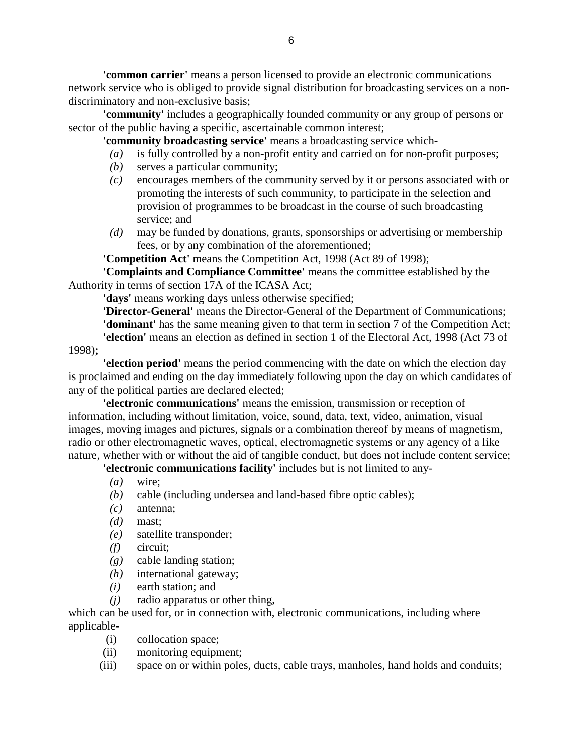**'common carrier'** means a person licensed to provide an electronic communications network service who is obliged to provide signal distribution for broadcasting services on a nondiscriminatory and non-exclusive basis;

**'community'** includes a geographically founded community or any group of persons or sector of the public having a specific, ascertainable common interest;

**'community broadcasting service'** means a broadcasting service which-

- *(a)* is fully controlled by a non-profit entity and carried on for non-profit purposes;
- *(b)* serves a particular community;
- *(c)* encourages members of the community served by it or persons associated with or promoting the interests of such community, to participate in the selection and provision of programmes to be broadcast in the course of such broadcasting service; and
- *(d)* may be funded by donations, grants, sponsorships or advertising or membership fees, or by any combination of the aforementioned;

**'Competition Act'** means the Competition Act, 1998 (Act 89 of 1998);

**'Complaints and Compliance Committee'** means the committee established by the Authority in terms of section 17A of the ICASA Act;

**'days'** means working days unless otherwise specified;

**'Director-General'** means the Director-General of the Department of Communications; **'dominant'** has the same meaning given to that term in section 7 of the Competition Act; **'election'** means an election as defined in section 1 of the Electoral Act, 1998 (Act 73 of

1998);

**'election period'** means the period commencing with the date on which the election day is proclaimed and ending on the day immediately following upon the day on which candidates of any of the political parties are declared elected;

**'electronic communications'** means the emission, transmission or reception of information, including without limitation, voice, sound, data, text, video, animation, visual images, moving images and pictures, signals or a combination thereof by means of magnetism, radio or other electromagnetic waves, optical, electromagnetic systems or any agency of a like nature, whether with or without the aid of tangible conduct, but does not include content service;

**'electronic communications facility'** includes but is not limited to any-

- *(a)* wire;
- *(b)* cable (including undersea and land-based fibre optic cables);
- *(c)* antenna;
- *(d)* mast;
- *(e)* satellite transponder;
- *(f)* circuit;
- *(g)* cable landing station;
- *(h)* international gateway;
- *(i)* earth station; and
- *(j)* radio apparatus or other thing,

which can be used for, or in connection with, electronic communications, including where applicable-

- (i) collocation space;
- (ii) monitoring equipment;
- (iii) space on or within poles, ducts, cable trays, manholes, hand holds and conduits;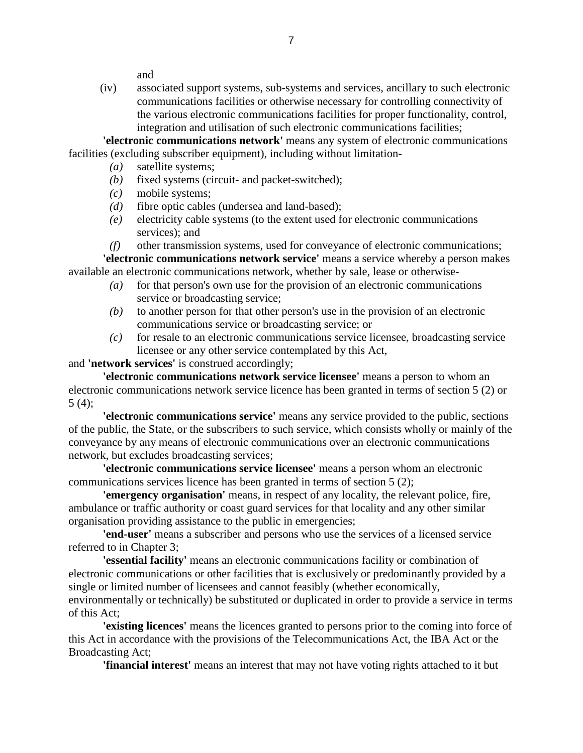and

 (iv) associated support systems, sub-systems and services, ancillary to such electronic communications facilities or otherwise necessary for controlling connectivity of the various electronic communications facilities for proper functionality, control, integration and utilisation of such electronic communications facilities;

**'electronic communications network'** means any system of electronic communications facilities (excluding subscriber equipment), including without limitation-

- *(a)* satellite systems;
- *(b)* fixed systems (circuit- and packet-switched);
- *(c)* mobile systems;
- *(d)* fibre optic cables (undersea and land-based);
- *(e)* electricity cable systems (to the extent used for electronic communications services); and

 *(f)* other transmission systems, used for conveyance of electronic communications; **'electronic communications network service'** means a service whereby a person makes available an electronic communications network, whether by sale, lease or otherwise-

- *(a)* for that person's own use for the provision of an electronic communications service or broadcasting service;
- *(b)* to another person for that other person's use in the provision of an electronic communications service or broadcasting service; or
- *(c)* for resale to an electronic communications service licensee, broadcasting service licensee or any other service contemplated by this Act,

and **'network services'** is construed accordingly;

**'electronic communications network service licensee'** means a person to whom an electronic communications network service licence has been granted in terms of section 5 (2) or 5 (4);

**'electronic communications service'** means any service provided to the public, sections of the public, the State, or the subscribers to such service, which consists wholly or mainly of the conveyance by any means of electronic communications over an electronic communications network, but excludes broadcasting services;

**'electronic communications service licensee'** means a person whom an electronic communications services licence has been granted in terms of section 5 (2);

**'emergency organisation'** means, in respect of any locality, the relevant police, fire, ambulance or traffic authority or coast guard services for that locality and any other similar organisation providing assistance to the public in emergencies;

**'end-user'** means a subscriber and persons who use the services of a licensed service referred to in Chapter 3;

**'essential facility'** means an electronic communications facility or combination of electronic communications or other facilities that is exclusively or predominantly provided by a single or limited number of licensees and cannot feasibly (whether economically,

environmentally or technically) be substituted or duplicated in order to provide a service in terms of this Act;

**'existing licences'** means the licences granted to persons prior to the coming into force of this Act in accordance with the provisions of the Telecommunications Act, the IBA Act or the Broadcasting Act;

**'financial interest'** means an interest that may not have voting rights attached to it but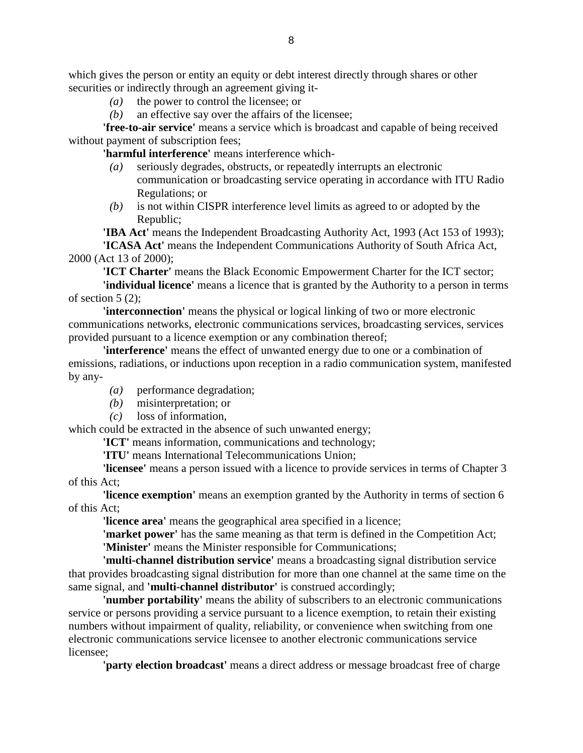which gives the person or entity an equity or debt interest directly through shares or other securities or indirectly through an agreement giving it-

- *(a)* the power to control the licensee; or
- *(b)* an effective say over the affairs of the licensee;

**'free-to-air service'** means a service which is broadcast and capable of being received without payment of subscription fees;

**'harmful interference'** means interference which-

- *(a)* seriously degrades, obstructs, or repeatedly interrupts an electronic communication or broadcasting service operating in accordance with ITU Radio Regulations; or
- *(b)* is not within CISPR interference level limits as agreed to or adopted by the Republic;

**'IBA Act'** means the Independent Broadcasting Authority Act, 1993 (Act 153 of 1993); **'ICASA Act'** means the Independent Communications Authority of South Africa Act, 2000 (Act 13 of 2000);

**'ICT Charter'** means the Black Economic Empowerment Charter for the ICT sector;

**'individual licence'** means a licence that is granted by the Authority to a person in terms of section  $5(2)$ ;

**'interconnection'** means the physical or logical linking of two or more electronic communications networks, electronic communications services, broadcasting services, services provided pursuant to a licence exemption or any combination thereof;

**'interference'** means the effect of unwanted energy due to one or a combination of emissions, radiations, or inductions upon reception in a radio communication system, manifested by any-

- *(a)* performance degradation;
- *(b)* misinterpretation; or
- *(c)* loss of information,

which could be extracted in the absence of such unwanted energy;

**'ICT'** means information, communications and technology;

**'ITU'** means International Telecommunications Union;

**'licensee'** means a person issued with a licence to provide services in terms of Chapter 3 of this Act;

**'licence exemption'** means an exemption granted by the Authority in terms of section 6 of this Act;

**'licence area'** means the geographical area specified in a licence;

**'market power'** has the same meaning as that term is defined in the Competition Act; **'Minister'** means the Minister responsible for Communications;

**'multi-channel distribution service'** means a broadcasting signal distribution service that provides broadcasting signal distribution for more than one channel at the same time on the same signal, and **'multi-channel distributor'** is construed accordingly;

**'number portability'** means the ability of subscribers to an electronic communications service or persons providing a service pursuant to a licence exemption, to retain their existing numbers without impairment of quality, reliability, or convenience when switching from one electronic communications service licensee to another electronic communications service licensee;

**'party election broadcast'** means a direct address or message broadcast free of charge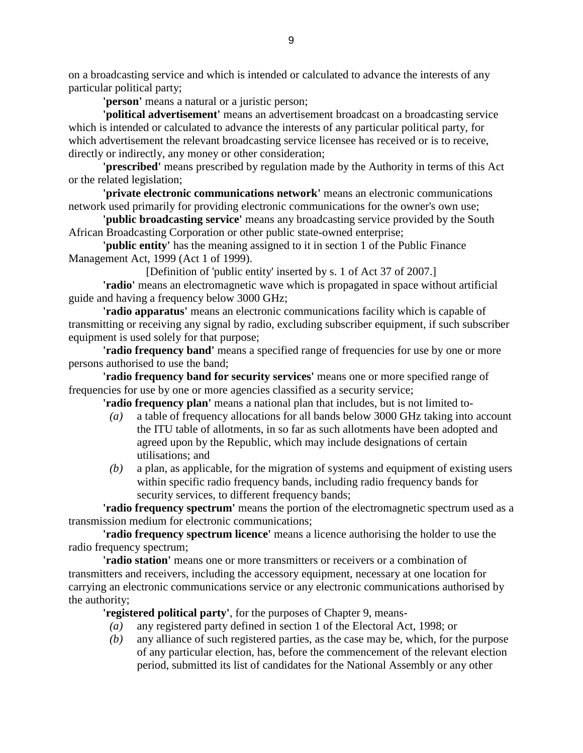on a broadcasting service and which is intended or calculated to advance the interests of any particular political party;

**'person'** means a natural or a juristic person;

**'political advertisement'** means an advertisement broadcast on a broadcasting service which is intended or calculated to advance the interests of any particular political party, for which advertisement the relevant broadcasting service licensee has received or is to receive, directly or indirectly, any money or other consideration;

**'prescribed'** means prescribed by regulation made by the Authority in terms of this Act or the related legislation;

**'private electronic communications network'** means an electronic communications network used primarily for providing electronic communications for the owner's own use;

**'public broadcasting service'** means any broadcasting service provided by the South African Broadcasting Corporation or other public state-owned enterprise;

**'public entity'** has the meaning assigned to it in section 1 of the Public Finance Management Act, 1999 (Act 1 of 1999).

[Definition of 'public entity' inserted by s. 1 of Act 37 of 2007.]

**'radio'** means an electromagnetic wave which is propagated in space without artificial guide and having a frequency below 3000 GHz;

**'radio apparatus'** means an electronic communications facility which is capable of transmitting or receiving any signal by radio, excluding subscriber equipment, if such subscriber equipment is used solely for that purpose;

**'radio frequency band'** means a specified range of frequencies for use by one or more persons authorised to use the band;

**'radio frequency band for security services'** means one or more specified range of frequencies for use by one or more agencies classified as a security service;

**'radio frequency plan'** means a national plan that includes, but is not limited to-

- *(a)* a table of frequency allocations for all bands below 3000 GHz taking into account the ITU table of allotments, in so far as such allotments have been adopted and agreed upon by the Republic, which may include designations of certain utilisations; and
- *(b)* a plan, as applicable, for the migration of systems and equipment of existing users within specific radio frequency bands, including radio frequency bands for security services, to different frequency bands;

**'radio frequency spectrum'** means the portion of the electromagnetic spectrum used as a transmission medium for electronic communications;

**'radio frequency spectrum licence'** means a licence authorising the holder to use the radio frequency spectrum;

**'radio station'** means one or more transmitters or receivers or a combination of transmitters and receivers, including the accessory equipment, necessary at one location for carrying an electronic communications service or any electronic communications authorised by the authority;

**'registered political party'**, for the purposes of Chapter 9, means-

- *(a)* any registered party defined in section 1 of the Electoral Act, 1998; or
- *(b)* any alliance of such registered parties, as the case may be, which, for the purpose of any particular election, has, before the commencement of the relevant election period, submitted its list of candidates for the National Assembly or any other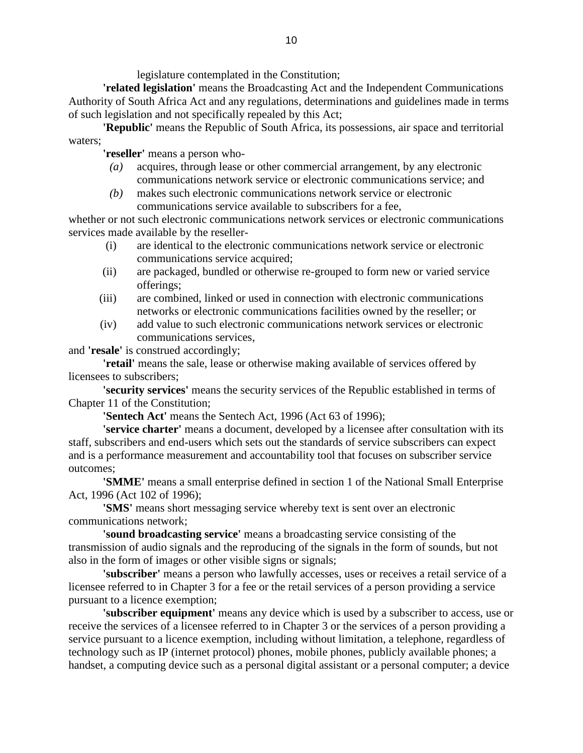legislature contemplated in the Constitution;

**'related legislation'** means the Broadcasting Act and the Independent Communications Authority of South Africa Act and any regulations, determinations and guidelines made in terms of such legislation and not specifically repealed by this Act;

**'Republic'** means the Republic of South Africa, its possessions, air space and territorial waters;

**'reseller'** means a person who-

- *(a)* acquires, through lease or other commercial arrangement, by any electronic communications network service or electronic communications service; and
- *(b)* makes such electronic communications network service or electronic communications service available to subscribers for a fee,

whether or not such electronic communications network services or electronic communications services made available by the reseller-

- (i) are identical to the electronic communications network service or electronic communications service acquired;
- (ii) are packaged, bundled or otherwise re-grouped to form new or varied service offerings;
- (iii) are combined, linked or used in connection with electronic communications networks or electronic communications facilities owned by the reseller; or
- (iv) add value to such electronic communications network services or electronic communications services,

and **'resale'** is construed accordingly;

**'retail'** means the sale, lease or otherwise making available of services offered by licensees to subscribers;

**'security services'** means the security services of the Republic established in terms of Chapter 11 of the Constitution;

**'Sentech Act'** means the Sentech Act, 1996 (Act 63 of 1996);

**'service charter'** means a document, developed by a licensee after consultation with its staff, subscribers and end-users which sets out the standards of service subscribers can expect and is a performance measurement and accountability tool that focuses on subscriber service outcomes;

**'SMME'** means a small enterprise defined in section 1 of the National Small Enterprise Act, 1996 (Act 102 of 1996);

**'SMS'** means short messaging service whereby text is sent over an electronic communications network;

**'sound broadcasting service'** means a broadcasting service consisting of the transmission of audio signals and the reproducing of the signals in the form of sounds, but not also in the form of images or other visible signs or signals;

**'subscriber'** means a person who lawfully accesses, uses or receives a retail service of a licensee referred to in Chapter 3 for a fee or the retail services of a person providing a service pursuant to a licence exemption;

**'subscriber equipment'** means any device which is used by a subscriber to access, use or receive the services of a licensee referred to in Chapter 3 or the services of a person providing a service pursuant to a licence exemption, including without limitation, a telephone, regardless of technology such as IP (internet protocol) phones, mobile phones, publicly available phones; a handset, a computing device such as a personal digital assistant or a personal computer; a device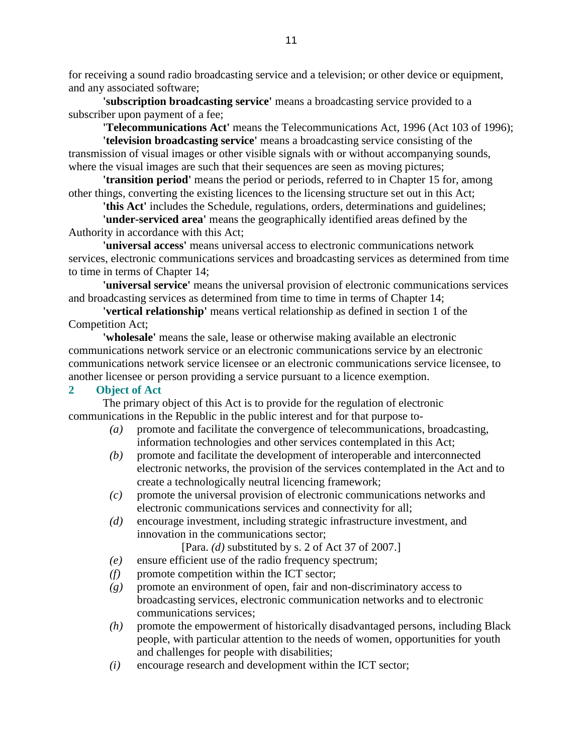for receiving a sound radio broadcasting service and a television; or other device or equipment, and any associated software;

**'subscription broadcasting service'** means a broadcasting service provided to a subscriber upon payment of a fee;

**'Telecommunications Act'** means the Telecommunications Act, 1996 (Act 103 of 1996);

**'television broadcasting service'** means a broadcasting service consisting of the transmission of visual images or other visible signals with or without accompanying sounds, where the visual images are such that their sequences are seen as moving pictures;

**'transition period'** means the period or periods, referred to in Chapter 15 for, among other things, converting the existing licences to the licensing structure set out in this Act;

**'this Act'** includes the Schedule, regulations, orders, determinations and guidelines;

**'under-serviced area'** means the geographically identified areas defined by the Authority in accordance with this Act;

**'universal access'** means universal access to electronic communications network services, electronic communications services and broadcasting services as determined from time to time in terms of Chapter 14;

**'universal service'** means the universal provision of electronic communications services and broadcasting services as determined from time to time in terms of Chapter 14;

**'vertical relationship'** means vertical relationship as defined in section 1 of the Competition Act;

**'wholesale'** means the sale, lease or otherwise making available an electronic communications network service or an electronic communications service by an electronic communications network service licensee or an electronic communications service licensee, to another licensee or person providing a service pursuant to a licence exemption.

#### **2 Object of Act**

 The primary object of this Act is to provide for the regulation of electronic communications in the Republic in the public interest and for that purpose to-

- *(a)* promote and facilitate the convergence of telecommunications, broadcasting, information technologies and other services contemplated in this Act;
- *(b)* promote and facilitate the development of interoperable and interconnected electronic networks, the provision of the services contemplated in the Act and to create a technologically neutral licencing framework;
- *(c)* promote the universal provision of electronic communications networks and electronic communications services and connectivity for all;
- *(d)* encourage investment, including strategic infrastructure investment, and innovation in the communications sector;
	- [Para. *(d)* substituted by s. 2 of Act 37 of 2007.]
- *(e)* ensure efficient use of the radio frequency spectrum;
- *(f)* promote competition within the ICT sector;
- *(g)* promote an environment of open, fair and non-discriminatory access to broadcasting services, electronic communication networks and to electronic communications services;
- *(h)* promote the empowerment of historically disadvantaged persons, including Black people, with particular attention to the needs of women, opportunities for youth and challenges for people with disabilities;
- *(i)* encourage research and development within the ICT sector;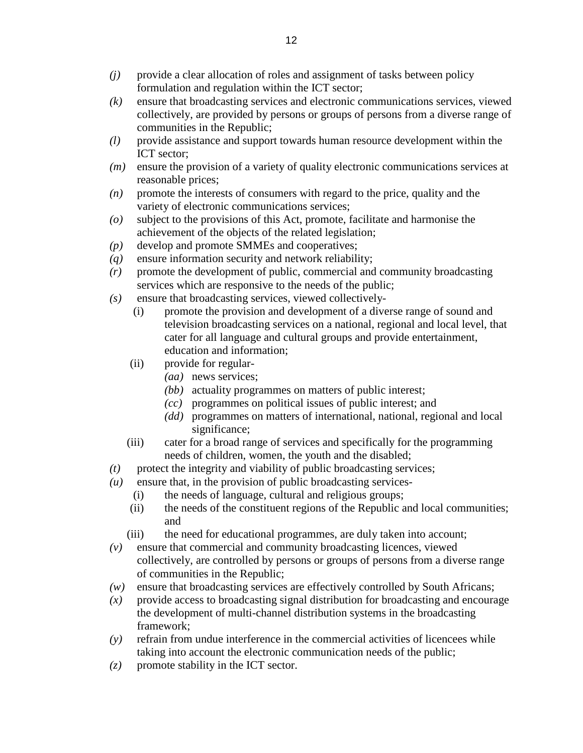- *(j)* provide a clear allocation of roles and assignment of tasks between policy formulation and regulation within the ICT sector;
- *(k)* ensure that broadcasting services and electronic communications services, viewed collectively, are provided by persons or groups of persons from a diverse range of communities in the Republic;
- *(l)* provide assistance and support towards human resource development within the ICT sector;
- *(m)* ensure the provision of a variety of quality electronic communications services at reasonable prices;
- *(n)* promote the interests of consumers with regard to the price, quality and the variety of electronic communications services;
- *(o)* subject to the provisions of this Act, promote, facilitate and harmonise the achievement of the objects of the related legislation;
- *(p)* develop and promote SMMEs and cooperatives;
- *(q)* ensure information security and network reliability;
- *(r)* promote the development of public, commercial and community broadcasting services which are responsive to the needs of the public;
- *(s)* ensure that broadcasting services, viewed collectively-
	- (i) promote the provision and development of a diverse range of sound and television broadcasting services on a national, regional and local level, that cater for all language and cultural groups and provide entertainment, education and information;
	- (ii) provide for regular-
		- *(aa)* news services;
		- *(bb)* actuality programmes on matters of public interest;
		- *(cc)* programmes on political issues of public interest; and
		- *(dd)* programmes on matters of international, national, regional and local significance;
	- (iii) cater for a broad range of services and specifically for the programming needs of children, women, the youth and the disabled;
- $(t)$  protect the integrity and viability of public broadcasting services;
- *(u)* ensure that, in the provision of public broadcasting services-
	- (i) the needs of language, cultural and religious groups;
	- (ii) the needs of the constituent regions of the Republic and local communities; and
	- (iii) the need for educational programmes, are duly taken into account;
- *(v)* ensure that commercial and community broadcasting licences, viewed collectively, are controlled by persons or groups of persons from a diverse range of communities in the Republic;
- *(w)* ensure that broadcasting services are effectively controlled by South Africans;
- $(x)$  provide access to broadcasting signal distribution for broadcasting and encourage the development of multi-channel distribution systems in the broadcasting framework;
- *(y)* refrain from undue interference in the commercial activities of licencees while taking into account the electronic communication needs of the public;
- $(z)$  promote stability in the ICT sector.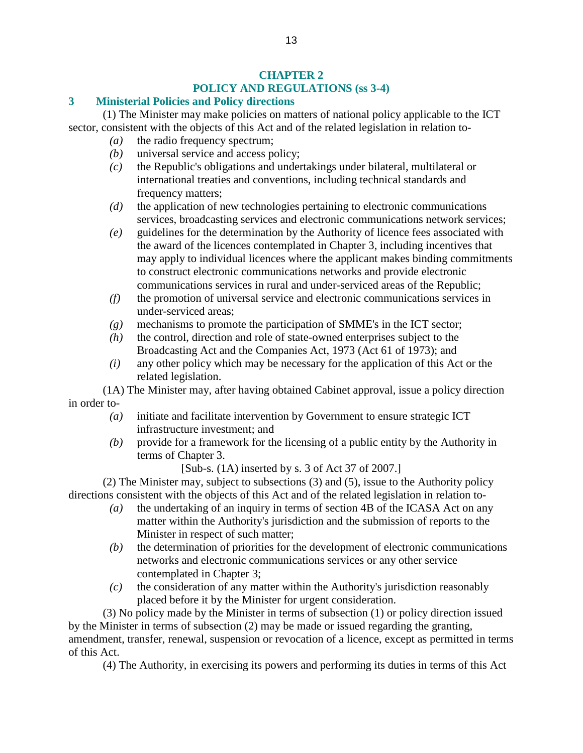### **CHAPTER 2 POLICY AND REGULATIONS (ss 3-4)**

### **3 Ministerial Policies and Policy directions**

 (1) The Minister may make policies on matters of national policy applicable to the ICT sector, consistent with the objects of this Act and of the related legislation in relation to-

- *(a)* the radio frequency spectrum;
- *(b)* universal service and access policy;
- *(c)* the Republic's obligations and undertakings under bilateral, multilateral or international treaties and conventions, including technical standards and frequency matters;
- *(d)* the application of new technologies pertaining to electronic communications services, broadcasting services and electronic communications network services;
- *(e)* guidelines for the determination by the Authority of licence fees associated with the award of the licences contemplated in Chapter 3, including incentives that may apply to individual licences where the applicant makes binding commitments to construct electronic communications networks and provide electronic communications services in rural and under-serviced areas of the Republic;
- *(f)* the promotion of universal service and electronic communications services in under-serviced areas;
- *(g)* mechanisms to promote the participation of SMME's in the ICT sector;
- *(h)* the control, direction and role of state-owned enterprises subject to the Broadcasting Act and the Companies Act, 1973 (Act 61 of 1973); and
- *(i)* any other policy which may be necessary for the application of this Act or the related legislation.

 (1A) The Minister may, after having obtained Cabinet approval, issue a policy direction in order to-

- *(a)* initiate and facilitate intervention by Government to ensure strategic ICT infrastructure investment; and
- *(b)* provide for a framework for the licensing of a public entity by the Authority in terms of Chapter 3.

[Sub-s. (1A) inserted by s. 3 of Act 37 of 2007.]

 (2) The Minister may, subject to subsections (3) and (5), issue to the Authority policy directions consistent with the objects of this Act and of the related legislation in relation to-

- *(a)* the undertaking of an inquiry in terms of section 4B of the ICASA Act on any matter within the Authority's jurisdiction and the submission of reports to the Minister in respect of such matter;
- *(b)* the determination of priorities for the development of electronic communications networks and electronic communications services or any other service contemplated in Chapter 3;
- *(c)* the consideration of any matter within the Authority's jurisdiction reasonably placed before it by the Minister for urgent consideration.

 (3) No policy made by the Minister in terms of subsection (1) or policy direction issued by the Minister in terms of subsection (2) may be made or issued regarding the granting, amendment, transfer, renewal, suspension or revocation of a licence, except as permitted in terms of this Act.

(4) The Authority, in exercising its powers and performing its duties in terms of this Act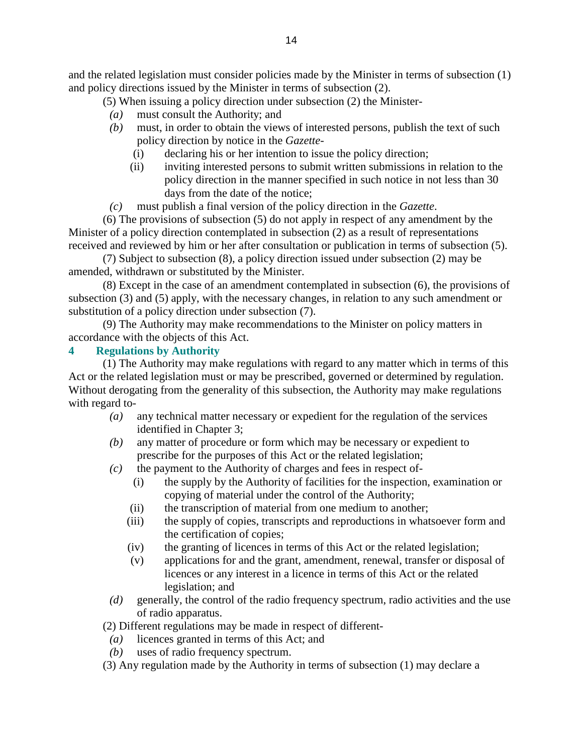and the related legislation must consider policies made by the Minister in terms of subsection (1) and policy directions issued by the Minister in terms of subsection (2).

(5) When issuing a policy direction under subsection (2) the Minister-

- *(a)* must consult the Authority; and
- *(b)* must, in order to obtain the views of interested persons, publish the text of such policy direction by notice in the *Gazette*-
	- (i) declaring his or her intention to issue the policy direction;
	- (ii) inviting interested persons to submit written submissions in relation to the policy direction in the manner specified in such notice in not less than 30 days from the date of the notice;
- *(c)* must publish a final version of the policy direction in the *Gazette*.

 (6) The provisions of subsection (5) do not apply in respect of any amendment by the Minister of a policy direction contemplated in subsection (2) as a result of representations received and reviewed by him or her after consultation or publication in terms of subsection (5).

 (7) Subject to subsection (8), a policy direction issued under subsection (2) may be amended, withdrawn or substituted by the Minister.

 (8) Except in the case of an amendment contemplated in subsection (6), the provisions of subsection (3) and (5) apply, with the necessary changes, in relation to any such amendment or substitution of a policy direction under subsection (7).

 (9) The Authority may make recommendations to the Minister on policy matters in accordance with the objects of this Act.

# **4 Regulations by Authority**

 (1) The Authority may make regulations with regard to any matter which in terms of this Act or the related legislation must or may be prescribed, governed or determined by regulation. Without derogating from the generality of this subsection, the Authority may make regulations with regard to-

- *(a)* any technical matter necessary or expedient for the regulation of the services identified in Chapter 3;
- *(b)* any matter of procedure or form which may be necessary or expedient to prescribe for the purposes of this Act or the related legislation;
- *(c)* the payment to the Authority of charges and fees in respect of-
	- (i) the supply by the Authority of facilities for the inspection, examination or copying of material under the control of the Authority;
	- (ii) the transcription of material from one medium to another;
	- (iii) the supply of copies, transcripts and reproductions in whatsoever form and the certification of copies;
	- (iv) the granting of licences in terms of this Act or the related legislation;
	- (v) applications for and the grant, amendment, renewal, transfer or disposal of licences or any interest in a licence in terms of this Act or the related legislation; and
- *(d)* generally, the control of the radio frequency spectrum, radio activities and the use of radio apparatus.

(2) Different regulations may be made in respect of different-

- *(a)* licences granted in terms of this Act; and
- *(b)* uses of radio frequency spectrum.
- (3) Any regulation made by the Authority in terms of subsection (1) may declare a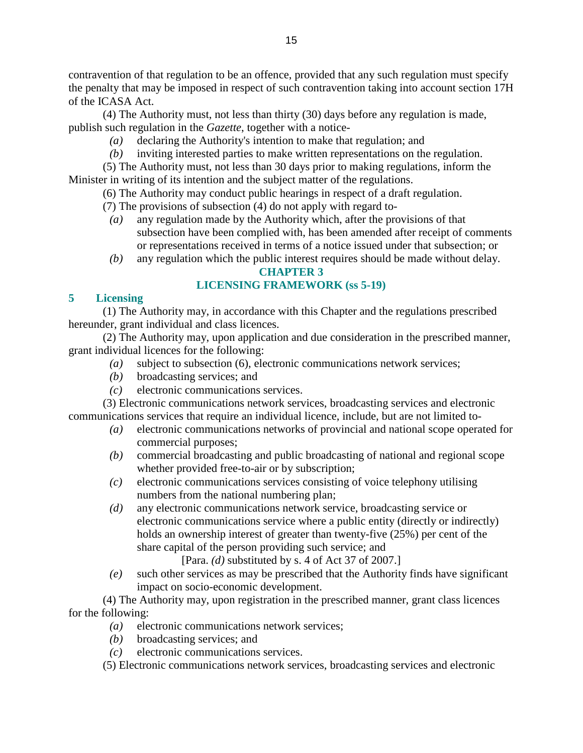contravention of that regulation to be an offence, provided that any such regulation must specify the penalty that may be imposed in respect of such contravention taking into account section 17H of the ICASA Act.

 (4) The Authority must, not less than thirty (30) days before any regulation is made, publish such regulation in the *Gazette*, together with a notice-

- *(a)* declaring the Authority's intention to make that regulation; and
- *(b)* inviting interested parties to make written representations on the regulation.

 (5) The Authority must, not less than 30 days prior to making regulations, inform the Minister in writing of its intention and the subject matter of the regulations.

(6) The Authority may conduct public hearings in respect of a draft regulation.

- (7) The provisions of subsection (4) do not apply with regard to-
- *(a)* any regulation made by the Authority which, after the provisions of that subsection have been complied with, has been amended after receipt of comments or representations received in terms of a notice issued under that subsection; or
- *(b)* any regulation which the public interest requires should be made without delay.

### **CHAPTER 3**

### **LICENSING FRAMEWORK (ss 5-19)**

### **5 Licensing**

 (1) The Authority may, in accordance with this Chapter and the regulations prescribed hereunder, grant individual and class licences.

 (2) The Authority may, upon application and due consideration in the prescribed manner, grant individual licences for the following:

- *(a)* subject to subsection (6), electronic communications network services;
- *(b)* broadcasting services; and
- *(c)* electronic communications services.

 (3) Electronic communications network services, broadcasting services and electronic communications services that require an individual licence, include, but are not limited to-

- *(a)* electronic communications networks of provincial and national scope operated for commercial purposes;
- *(b)* commercial broadcasting and public broadcasting of national and regional scope whether provided free-to-air or by subscription;
- *(c)* electronic communications services consisting of voice telephony utilising numbers from the national numbering plan;
- *(d)* any electronic communications network service, broadcasting service or electronic communications service where a public entity (directly or indirectly) holds an ownership interest of greater than twenty-five (25%) per cent of the share capital of the person providing such service; and

[Para. *(d)* substituted by s. 4 of Act 37 of 2007.]

 *(e)* such other services as may be prescribed that the Authority finds have significant impact on socio-economic development.

 (4) The Authority may, upon registration in the prescribed manner, grant class licences for the following:

- *(a)* electronic communications network services;
	- *(b)* broadcasting services; and
	- *(c)* electronic communications services.

(5) Electronic communications network services, broadcasting services and electronic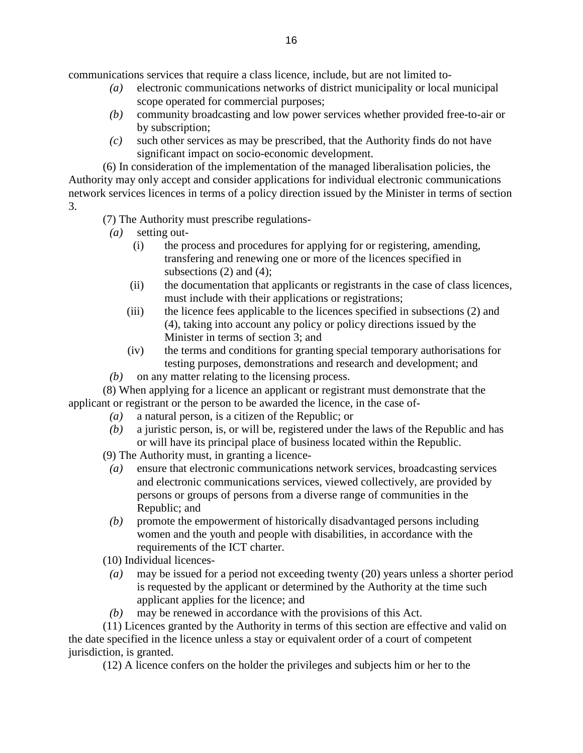communications services that require a class licence, include, but are not limited to-

- *(a)* electronic communications networks of district municipality or local municipal scope operated for commercial purposes;
- *(b)* community broadcasting and low power services whether provided free-to-air or by subscription;
- *(c)* such other services as may be prescribed, that the Authority finds do not have significant impact on socio-economic development.

 (6) In consideration of the implementation of the managed liberalisation policies, the Authority may only accept and consider applications for individual electronic communications network services licences in terms of a policy direction issued by the Minister in terms of section 3.

(7) The Authority must prescribe regulations-

*(a)* setting out-

- (i) the process and procedures for applying for or registering, amending, transfering and renewing one or more of the licences specified in subsections  $(2)$  and  $(4)$ ;
- (ii) the documentation that applicants or registrants in the case of class licences, must include with their applications or registrations;
- (iii) the licence fees applicable to the licences specified in subsections (2) and (4), taking into account any policy or policy directions issued by the Minister in terms of section 3; and
- (iv) the terms and conditions for granting special temporary authorisations for testing purposes, demonstrations and research and development; and
- *(b)* on any matter relating to the licensing process.

 (8) When applying for a licence an applicant or registrant must demonstrate that the applicant or registrant or the person to be awarded the licence, in the case of-

- *(a)* a natural person, is a citizen of the Republic; or
- *(b)* a juristic person, is, or will be, registered under the laws of the Republic and has or will have its principal place of business located within the Republic.

(9) The Authority must, in granting a licence-

- *(a)* ensure that electronic communications network services, broadcasting services and electronic communications services, viewed collectively, are provided by persons or groups of persons from a diverse range of communities in the Republic; and
- *(b)* promote the empowerment of historically disadvantaged persons including women and the youth and people with disabilities, in accordance with the requirements of the ICT charter.
- (10) Individual licences-
- *(a)* may be issued for a period not exceeding twenty (20) years unless a shorter period is requested by the applicant or determined by the Authority at the time such applicant applies for the licence; and
- *(b)* may be renewed in accordance with the provisions of this Act.

 (11) Licences granted by the Authority in terms of this section are effective and valid on the date specified in the licence unless a stay or equivalent order of a court of competent jurisdiction, is granted.

(12) A licence confers on the holder the privileges and subjects him or her to the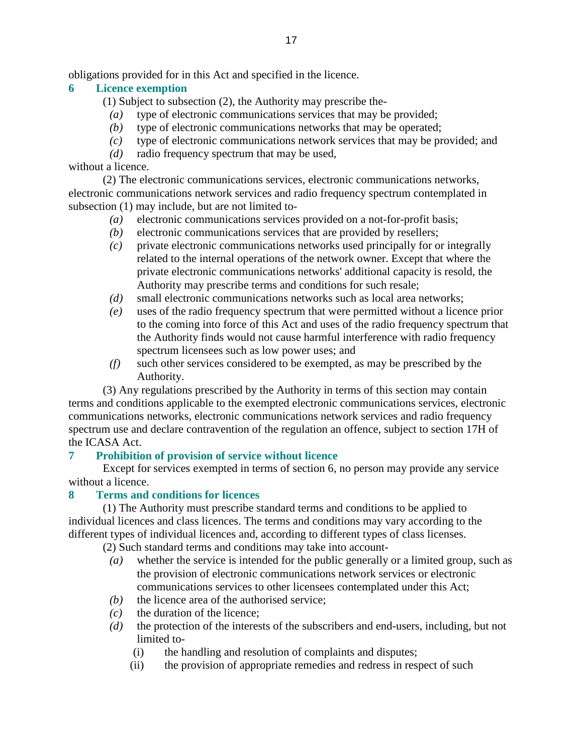obligations provided for in this Act and specified in the licence.

### **6 Licence exemption**

- (1) Subject to subsection (2), the Authority may prescribe the-
	- *(a)* type of electronic communications services that may be provided;
	- *(b)* type of electronic communications networks that may be operated;
- *(c)* type of electronic communications network services that may be provided; and
- *(d)* radio frequency spectrum that may be used,

without a licence.

 (2) The electronic communications services, electronic communications networks, electronic communications network services and radio frequency spectrum contemplated in subsection (1) may include, but are not limited to-

- *(a)* electronic communications services provided on a not-for-profit basis;
- *(b)* electronic communications services that are provided by resellers;
- *(c)* private electronic communications networks used principally for or integrally related to the internal operations of the network owner. Except that where the private electronic communications networks' additional capacity is resold, the Authority may prescribe terms and conditions for such resale;
- *(d)* small electronic communications networks such as local area networks;
- *(e)* uses of the radio frequency spectrum that were permitted without a licence prior to the coming into force of this Act and uses of the radio frequency spectrum that the Authority finds would not cause harmful interference with radio frequency spectrum licensees such as low power uses; and
- *(f)* such other services considered to be exempted, as may be prescribed by the Authority.

 (3) Any regulations prescribed by the Authority in terms of this section may contain terms and conditions applicable to the exempted electronic communications services, electronic communications networks, electronic communications network services and radio frequency spectrum use and declare contravention of the regulation an offence, subject to section 17H of the ICASA Act.

### **7 Prohibition of provision of service without licence**

 Except for services exempted in terms of section 6, no person may provide any service without a licence.

#### **8 Terms and conditions for licences**

 (1) The Authority must prescribe standard terms and conditions to be applied to individual licences and class licences. The terms and conditions may vary according to the different types of individual licences and, according to different types of class licenses.

(2) Such standard terms and conditions may take into account-

- *(a)* whether the service is intended for the public generally or a limited group, such as the provision of electronic communications network services or electronic communications services to other licensees contemplated under this Act;
- *(b)* the licence area of the authorised service:
- *(c)* the duration of the licence;
- *(d)* the protection of the interests of the subscribers and end-users, including, but not limited to-
	- (i) the handling and resolution of complaints and disputes;
	- (ii) the provision of appropriate remedies and redress in respect of such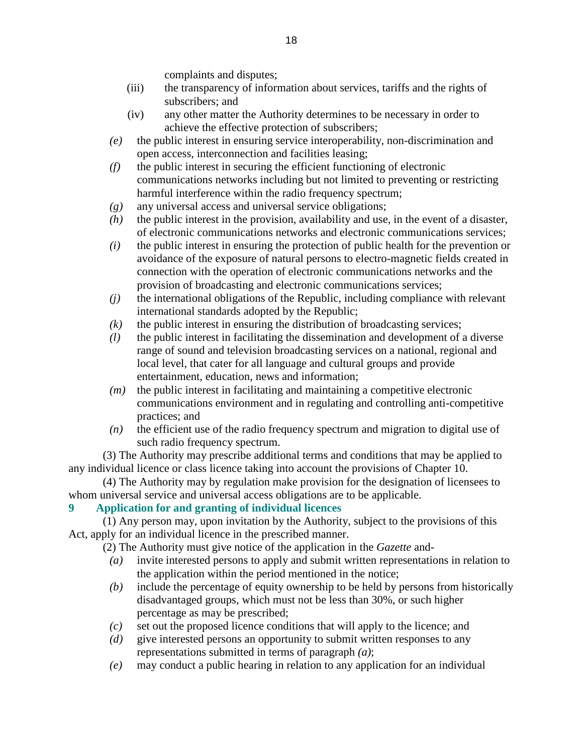complaints and disputes;

- (iii) the transparency of information about services, tariffs and the rights of subscribers; and
- (iv) any other matter the Authority determines to be necessary in order to achieve the effective protection of subscribers;
- *(e)* the public interest in ensuring service interoperability, non-discrimination and open access, interconnection and facilities leasing;
- *(f)* the public interest in securing the efficient functioning of electronic communications networks including but not limited to preventing or restricting harmful interference within the radio frequency spectrum;
- *(g)* any universal access and universal service obligations;
- *(h)* the public interest in the provision, availability and use, in the event of a disaster, of electronic communications networks and electronic communications services;
- *(i)* the public interest in ensuring the protection of public health for the prevention or avoidance of the exposure of natural persons to electro-magnetic fields created in connection with the operation of electronic communications networks and the provision of broadcasting and electronic communications services;
- *(j)* the international obligations of the Republic, including compliance with relevant international standards adopted by the Republic;
- $(k)$  the public interest in ensuring the distribution of broadcasting services;
- *(l)* the public interest in facilitating the dissemination and development of a diverse range of sound and television broadcasting services on a national, regional and local level, that cater for all language and cultural groups and provide entertainment, education, news and information;
- *(m)* the public interest in facilitating and maintaining a competitive electronic communications environment and in regulating and controlling anti-competitive practices; and
- *(n)* the efficient use of the radio frequency spectrum and migration to digital use of such radio frequency spectrum.

 (3) The Authority may prescribe additional terms and conditions that may be applied to any individual licence or class licence taking into account the provisions of Chapter 10.

 (4) The Authority may by regulation make provision for the designation of licensees to whom universal service and universal access obligations are to be applicable.

### **9 Application for and granting of individual licences**

 (1) Any person may, upon invitation by the Authority, subject to the provisions of this Act, apply for an individual licence in the prescribed manner.

(2) The Authority must give notice of the application in the *Gazette* and-

- *(a)* invite interested persons to apply and submit written representations in relation to the application within the period mentioned in the notice;
- *(b)* include the percentage of equity ownership to be held by persons from historically disadvantaged groups, which must not be less than 30%, or such higher percentage as may be prescribed;
- *(c)* set out the proposed licence conditions that will apply to the licence; and
- *(d)* give interested persons an opportunity to submit written responses to any representations submitted in terms of paragraph *(a)*;
- *(e)* may conduct a public hearing in relation to any application for an individual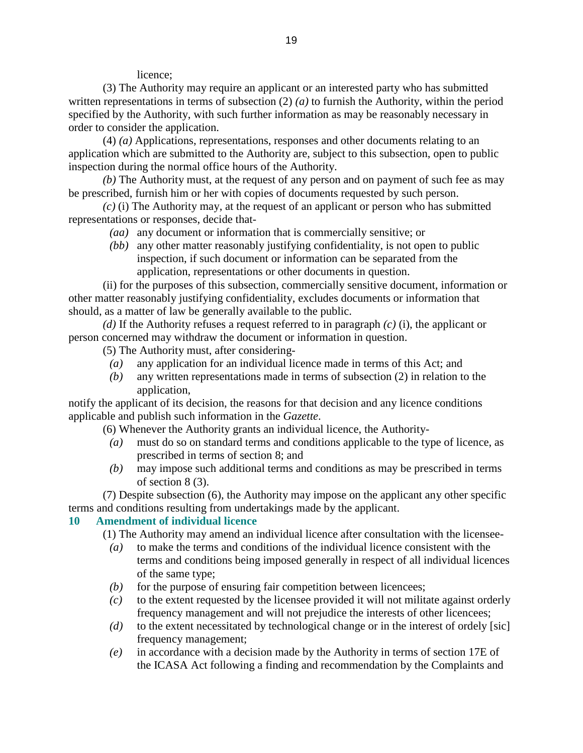licence;

 (3) The Authority may require an applicant or an interested party who has submitted written representations in terms of subsection (2) *(a)* to furnish the Authority, within the period specified by the Authority, with such further information as may be reasonably necessary in order to consider the application.

 (4) *(a)* Applications, representations, responses and other documents relating to an application which are submitted to the Authority are, subject to this subsection, open to public inspection during the normal office hours of the Authority.

*(b)* The Authority must, at the request of any person and on payment of such fee as may be prescribed, furnish him or her with copies of documents requested by such person.

*(c)* (i) The Authority may, at the request of an applicant or person who has submitted representations or responses, decide that-

- *(aa)* any document or information that is commercially sensitive; or
- *(bb)* any other matter reasonably justifying confidentiality, is not open to public inspection, if such document or information can be separated from the application, representations or other documents in question.

 (ii) for the purposes of this subsection, commercially sensitive document, information or other matter reasonably justifying confidentiality, excludes documents or information that should, as a matter of law be generally available to the public.

*(d)* If the Authority refuses a request referred to in paragraph *(c)* (i), the applicant or person concerned may withdraw the document or information in question.

(5) The Authority must, after considering-

- *(a)* any application for an individual licence made in terms of this Act; and
- *(b)* any written representations made in terms of subsection (2) in relation to the application,

notify the applicant of its decision, the reasons for that decision and any licence conditions applicable and publish such information in the *Gazette*.

(6) Whenever the Authority grants an individual licence, the Authority-

- *(a)* must do so on standard terms and conditions applicable to the type of licence, as prescribed in terms of section 8; and
- *(b)* may impose such additional terms and conditions as may be prescribed in terms of section 8 (3).

 (7) Despite subsection (6), the Authority may impose on the applicant any other specific terms and conditions resulting from undertakings made by the applicant.

#### **10 Amendment of individual licence**

(1) The Authority may amend an individual licence after consultation with the licensee-

- *(a)* to make the terms and conditions of the individual licence consistent with the terms and conditions being imposed generally in respect of all individual licences of the same type;
- $(b)$  for the purpose of ensuring fair competition between licencees;
- $(c)$  to the extent requested by the licensee provided it will not militate against orderly frequency management and will not prejudice the interests of other licencees;
- *(d)* to the extent necessitated by technological change or in the interest of ordely [sic] frequency management;
- *(e)* in accordance with a decision made by the Authority in terms of section 17E of the ICASA Act following a finding and recommendation by the Complaints and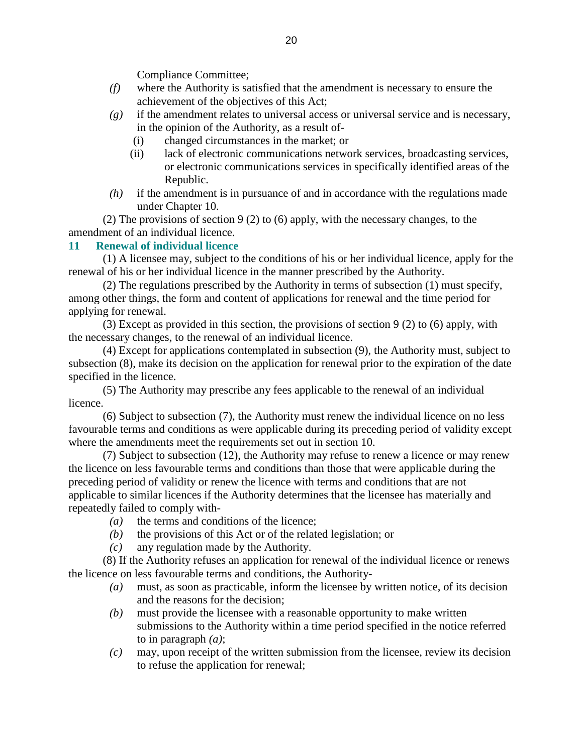Compliance Committee;

- *(f)* where the Authority is satisfied that the amendment is necessary to ensure the achievement of the objectives of this Act;
- *(g)* if the amendment relates to universal access or universal service and is necessary, in the opinion of the Authority, as a result of-
	- (i) changed circumstances in the market; or
	- (ii) lack of electronic communications network services, broadcasting services, or electronic communications services in specifically identified areas of the Republic.
- *(h)* if the amendment is in pursuance of and in accordance with the regulations made under Chapter 10.

 (2) The provisions of section 9 (2) to (6) apply, with the necessary changes, to the amendment of an individual licence.

### **11 Renewal of individual licence**

 (1) A licensee may, subject to the conditions of his or her individual licence, apply for the renewal of his or her individual licence in the manner prescribed by the Authority.

 (2) The regulations prescribed by the Authority in terms of subsection (1) must specify, among other things, the form and content of applications for renewal and the time period for applying for renewal.

 (3) Except as provided in this section, the provisions of section 9 (2) to (6) apply, with the necessary changes, to the renewal of an individual licence.

 (4) Except for applications contemplated in subsection (9), the Authority must, subject to subsection (8), make its decision on the application for renewal prior to the expiration of the date specified in the licence.

 (5) The Authority may prescribe any fees applicable to the renewal of an individual licence.

 (6) Subject to subsection (7), the Authority must renew the individual licence on no less favourable terms and conditions as were applicable during its preceding period of validity except where the amendments meet the requirements set out in section 10.

 (7) Subject to subsection (12), the Authority may refuse to renew a licence or may renew the licence on less favourable terms and conditions than those that were applicable during the preceding period of validity or renew the licence with terms and conditions that are not applicable to similar licences if the Authority determines that the licensee has materially and repeatedly failed to comply with-

- *(a)* the terms and conditions of the licence;
- *(b)* the provisions of this Act or of the related legislation; or
- *(c)* any regulation made by the Authority.

 (8) If the Authority refuses an application for renewal of the individual licence or renews the licence on less favourable terms and conditions, the Authority-

- *(a)* must, as soon as practicable, inform the licensee by written notice, of its decision and the reasons for the decision;
- *(b)* must provide the licensee with a reasonable opportunity to make written submissions to the Authority within a time period specified in the notice referred to in paragraph *(a)*;
- *(c)* may, upon receipt of the written submission from the licensee, review its decision to refuse the application for renewal;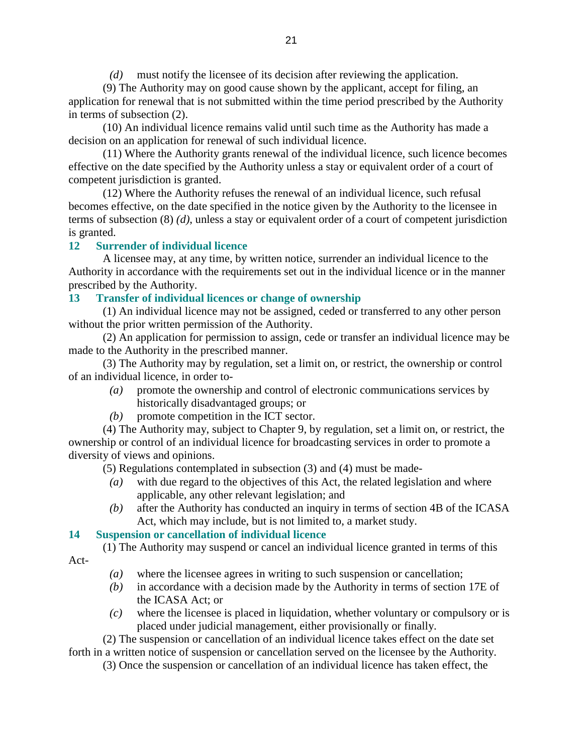*(d)* must notify the licensee of its decision after reviewing the application.

 (9) The Authority may on good cause shown by the applicant, accept for filing, an application for renewal that is not submitted within the time period prescribed by the Authority in terms of subsection (2).

 (10) An individual licence remains valid until such time as the Authority has made a decision on an application for renewal of such individual licence.

 (11) Where the Authority grants renewal of the individual licence, such licence becomes effective on the date specified by the Authority unless a stay or equivalent order of a court of competent jurisdiction is granted.

 (12) Where the Authority refuses the renewal of an individual licence, such refusal becomes effective, on the date specified in the notice given by the Authority to the licensee in terms of subsection (8) *(d)*, unless a stay or equivalent order of a court of competent jurisdiction is granted.

### **12 Surrender of individual licence**

 A licensee may, at any time, by written notice, surrender an individual licence to the Authority in accordance with the requirements set out in the individual licence or in the manner prescribed by the Authority.

#### **13 Transfer of individual licences or change of ownership**

 (1) An individual licence may not be assigned, ceded or transferred to any other person without the prior written permission of the Authority.

 (2) An application for permission to assign, cede or transfer an individual licence may be made to the Authority in the prescribed manner.

 (3) The Authority may by regulation, set a limit on, or restrict, the ownership or control of an individual licence, in order to-

- *(a)* promote the ownership and control of electronic communications services by historically disadvantaged groups; or
- *(b)* promote competition in the ICT sector.

 (4) The Authority may, subject to Chapter 9, by regulation, set a limit on, or restrict, the ownership or control of an individual licence for broadcasting services in order to promote a diversity of views and opinions.

(5) Regulations contemplated in subsection (3) and (4) must be made-

- *(a)* with due regard to the objectives of this Act, the related legislation and where applicable, any other relevant legislation; and
- *(b)* after the Authority has conducted an inquiry in terms of section 4B of the ICASA Act, which may include, but is not limited to, a market study.

### **14 Suspension or cancellation of individual licence**

 (1) The Authority may suspend or cancel an individual licence granted in terms of this Act-

- *(a)* where the licensee agrees in writing to such suspension or cancellation;
- *(b)* in accordance with a decision made by the Authority in terms of section 17E of the ICASA Act; or
- *(c)* where the licensee is placed in liquidation, whether voluntary or compulsory or is placed under judicial management, either provisionally or finally.

 (2) The suspension or cancellation of an individual licence takes effect on the date set forth in a written notice of suspension or cancellation served on the licensee by the Authority.

(3) Once the suspension or cancellation of an individual licence has taken effect, the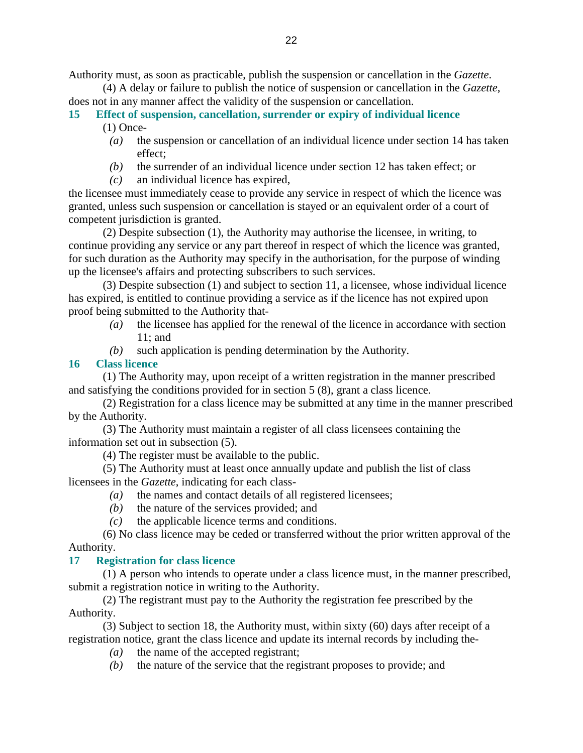Authority must, as soon as practicable, publish the suspension or cancellation in the *Gazette*.

 (4) A delay or failure to publish the notice of suspension or cancellation in the *Gazette*, does not in any manner affect the validity of the suspension or cancellation.

#### **15 Effect of suspension, cancellation, surrender or expiry of individual licence**  (1) Once-

- *(a)* the suspension or cancellation of an individual licence under section 14 has taken effect;
- *(b)* the surrender of an individual licence under section 12 has taken effect; or
- *(c)* an individual licence has expired,

the licensee must immediately cease to provide any service in respect of which the licence was granted, unless such suspension or cancellation is stayed or an equivalent order of a court of competent jurisdiction is granted.

 (2) Despite subsection (1), the Authority may authorise the licensee, in writing, to continue providing any service or any part thereof in respect of which the licence was granted, for such duration as the Authority may specify in the authorisation, for the purpose of winding up the licensee's affairs and protecting subscribers to such services.

 (3) Despite subsection (1) and subject to section 11, a licensee, whose individual licence has expired, is entitled to continue providing a service as if the licence has not expired upon proof being submitted to the Authority that-

- *(a)* the licensee has applied for the renewal of the licence in accordance with section 11; and
- *(b)* such application is pending determination by the Authority.

# **16 Class licence**

 (1) The Authority may, upon receipt of a written registration in the manner prescribed and satisfying the conditions provided for in section 5 (8), grant a class licence.

 (2) Registration for a class licence may be submitted at any time in the manner prescribed by the Authority.

 (3) The Authority must maintain a register of all class licensees containing the information set out in subsection (5).

(4) The register must be available to the public.

 (5) The Authority must at least once annually update and publish the list of class licensees in the *Gazette*, indicating for each class-

- *(a)* the names and contact details of all registered licensees;
- *(b)* the nature of the services provided; and
- *(c)* the applicable licence terms and conditions.

 (6) No class licence may be ceded or transferred without the prior written approval of the Authority.

# **17 Registration for class licence**

 (1) A person who intends to operate under a class licence must, in the manner prescribed, submit a registration notice in writing to the Authority.

 (2) The registrant must pay to the Authority the registration fee prescribed by the Authority.

 (3) Subject to section 18, the Authority must, within sixty (60) days after receipt of a registration notice, grant the class licence and update its internal records by including the-

- *(a)* the name of the accepted registrant;
- *(b)* the nature of the service that the registrant proposes to provide; and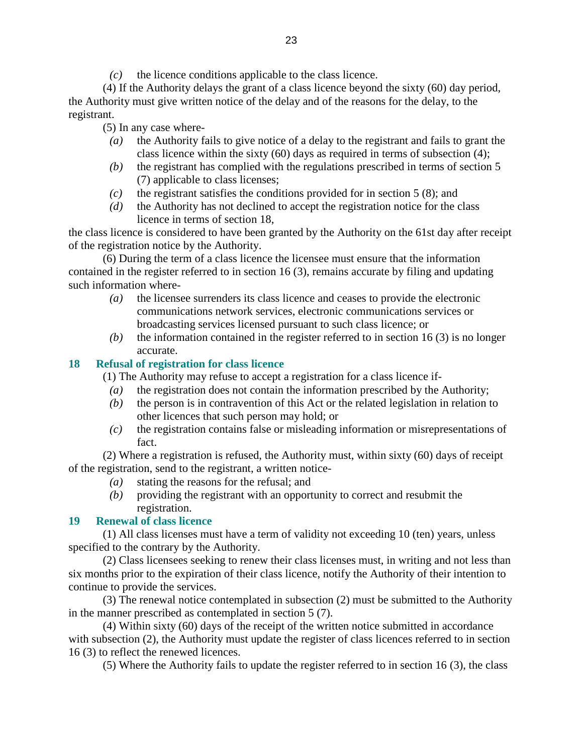*(c)* the licence conditions applicable to the class licence.

 (4) If the Authority delays the grant of a class licence beyond the sixty (60) day period, the Authority must give written notice of the delay and of the reasons for the delay, to the registrant.

(5) In any case where-

- *(a)* the Authority fails to give notice of a delay to the registrant and fails to grant the class licence within the sixty  $(60)$  days as required in terms of subsection  $(4)$ ;
- *(b)* the registrant has complied with the regulations prescribed in terms of section 5 (7) applicable to class licenses;
- *(c)* the registrant satisfies the conditions provided for in section 5 (8); and
- *(d)* the Authority has not declined to accept the registration notice for the class licence in terms of section 18,

the class licence is considered to have been granted by the Authority on the 61st day after receipt of the registration notice by the Authority.

 (6) During the term of a class licence the licensee must ensure that the information contained in the register referred to in section 16 (3), remains accurate by filing and updating such information where-

- *(a)* the licensee surrenders its class licence and ceases to provide the electronic communications network services, electronic communications services or broadcasting services licensed pursuant to such class licence; or
- *(b)* the information contained in the register referred to in section 16 (3) is no longer accurate.

### **18 Refusal of registration for class licence**

(1) The Authority may refuse to accept a registration for a class licence if-

- *(a)* the registration does not contain the information prescribed by the Authority;
- *(b)* the person is in contravention of this Act or the related legislation in relation to other licences that such person may hold; or
- *(c)* the registration contains false or misleading information or misrepresentations of fact.

 (2) Where a registration is refused, the Authority must, within sixty (60) days of receipt of the registration, send to the registrant, a written notice-

- *(a)* stating the reasons for the refusal; and
- *(b)* providing the registrant with an opportunity to correct and resubmit the registration.

### **19 Renewal of class licence**

 (1) All class licenses must have a term of validity not exceeding 10 (ten) years, unless specified to the contrary by the Authority.

 (2) Class licensees seeking to renew their class licenses must, in writing and not less than six months prior to the expiration of their class licence, notify the Authority of their intention to continue to provide the services.

 (3) The renewal notice contemplated in subsection (2) must be submitted to the Authority in the manner prescribed as contemplated in section 5 (7).

 (4) Within sixty (60) days of the receipt of the written notice submitted in accordance with subsection (2), the Authority must update the register of class licences referred to in section 16 (3) to reflect the renewed licences.

(5) Where the Authority fails to update the register referred to in section 16 (3), the class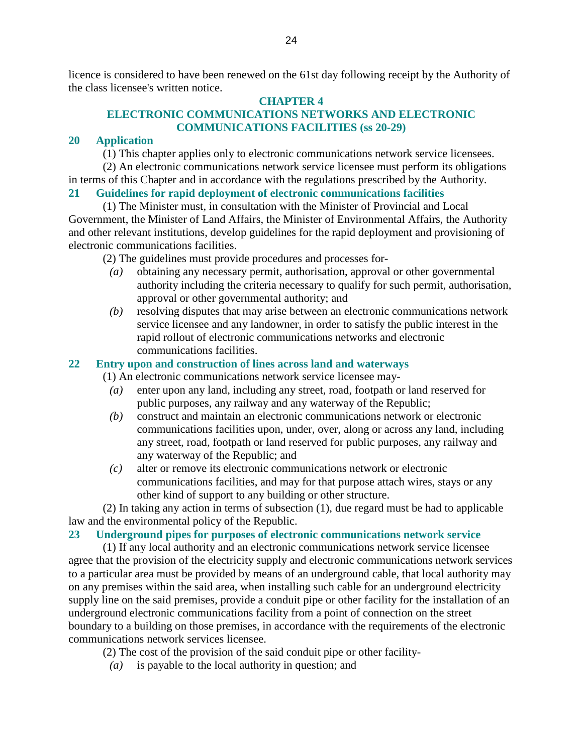licence is considered to have been renewed on the 61st day following receipt by the Authority of the class licensee's written notice.

### **CHAPTER 4**

### **ELECTRONIC COMMUNICATIONS NETWORKS AND ELECTRONIC COMMUNICATIONS FACILITIES (ss 20-29)**

### **20 Application**

(1) This chapter applies only to electronic communications network service licensees.

 (2) An electronic communications network service licensee must perform its obligations in terms of this Chapter and in accordance with the regulations prescribed by the Authority.

### **21 Guidelines for rapid deployment of electronic communications facilities**

 (1) The Minister must, in consultation with the Minister of Provincial and Local Government, the Minister of Land Affairs, the Minister of Environmental Affairs, the Authority and other relevant institutions, develop guidelines for the rapid deployment and provisioning of electronic communications facilities.

(2) The guidelines must provide procedures and processes for-

- *(a)* obtaining any necessary permit, authorisation, approval or other governmental authority including the criteria necessary to qualify for such permit, authorisation, approval or other governmental authority; and
- *(b)* resolving disputes that may arise between an electronic communications network service licensee and any landowner, in order to satisfy the public interest in the rapid rollout of electronic communications networks and electronic communications facilities.

### **22 Entry upon and construction of lines across land and waterways**

(1) An electronic communications network service licensee may-

- *(a)* enter upon any land, including any street, road, footpath or land reserved for public purposes, any railway and any waterway of the Republic;
- *(b)* construct and maintain an electronic communications network or electronic communications facilities upon, under, over, along or across any land, including any street, road, footpath or land reserved for public purposes, any railway and any waterway of the Republic; and
- *(c)* alter or remove its electronic communications network or electronic communications facilities, and may for that purpose attach wires, stays or any other kind of support to any building or other structure.

 (2) In taking any action in terms of subsection (1), due regard must be had to applicable law and the environmental policy of the Republic.

#### **23 Underground pipes for purposes of electronic communications network service**

 (1) If any local authority and an electronic communications network service licensee agree that the provision of the electricity supply and electronic communications network services to a particular area must be provided by means of an underground cable, that local authority may on any premises within the said area, when installing such cable for an underground electricity supply line on the said premises, provide a conduit pipe or other facility for the installation of an underground electronic communications facility from a point of connection on the street boundary to a building on those premises, in accordance with the requirements of the electronic communications network services licensee.

- (2) The cost of the provision of the said conduit pipe or other facility-
	- *(a)* is payable to the local authority in question; and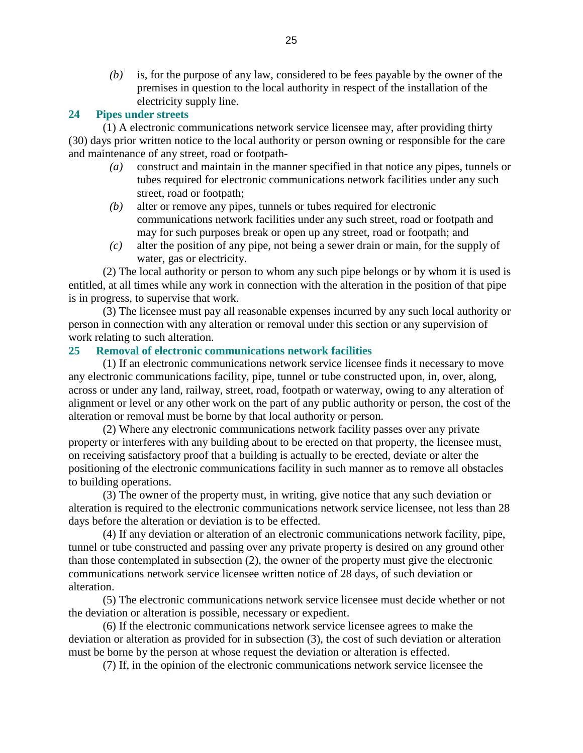*(b)* is, for the purpose of any law, considered to be fees payable by the owner of the premises in question to the local authority in respect of the installation of the electricity supply line.

#### **24 Pipes under streets**

 (1) A electronic communications network service licensee may, after providing thirty (30) days prior written notice to the local authority or person owning or responsible for the care and maintenance of any street, road or footpath-

- *(a)* construct and maintain in the manner specified in that notice any pipes, tunnels or tubes required for electronic communications network facilities under any such street, road or footpath;
- *(b)* alter or remove any pipes, tunnels or tubes required for electronic communications network facilities under any such street, road or footpath and may for such purposes break or open up any street, road or footpath; and
- *(c)* alter the position of any pipe, not being a sewer drain or main, for the supply of water, gas or electricity.

 (2) The local authority or person to whom any such pipe belongs or by whom it is used is entitled, at all times while any work in connection with the alteration in the position of that pipe is in progress, to supervise that work.

 (3) The licensee must pay all reasonable expenses incurred by any such local authority or person in connection with any alteration or removal under this section or any supervision of work relating to such alteration.

### **25 Removal of electronic communications network facilities**

 (1) If an electronic communications network service licensee finds it necessary to move any electronic communications facility, pipe, tunnel or tube constructed upon, in, over, along, across or under any land, railway, street, road, footpath or waterway, owing to any alteration of alignment or level or any other work on the part of any public authority or person, the cost of the alteration or removal must be borne by that local authority or person.

 (2) Where any electronic communications network facility passes over any private property or interferes with any building about to be erected on that property, the licensee must, on receiving satisfactory proof that a building is actually to be erected, deviate or alter the positioning of the electronic communications facility in such manner as to remove all obstacles to building operations.

 (3) The owner of the property must, in writing, give notice that any such deviation or alteration is required to the electronic communications network service licensee, not less than 28 days before the alteration or deviation is to be effected.

 (4) If any deviation or alteration of an electronic communications network facility, pipe, tunnel or tube constructed and passing over any private property is desired on any ground other than those contemplated in subsection (2), the owner of the property must give the electronic communications network service licensee written notice of 28 days, of such deviation or alteration.

 (5) The electronic communications network service licensee must decide whether or not the deviation or alteration is possible, necessary or expedient.

 (6) If the electronic communications network service licensee agrees to make the deviation or alteration as provided for in subsection (3), the cost of such deviation or alteration must be borne by the person at whose request the deviation or alteration is effected.

(7) If, in the opinion of the electronic communications network service licensee the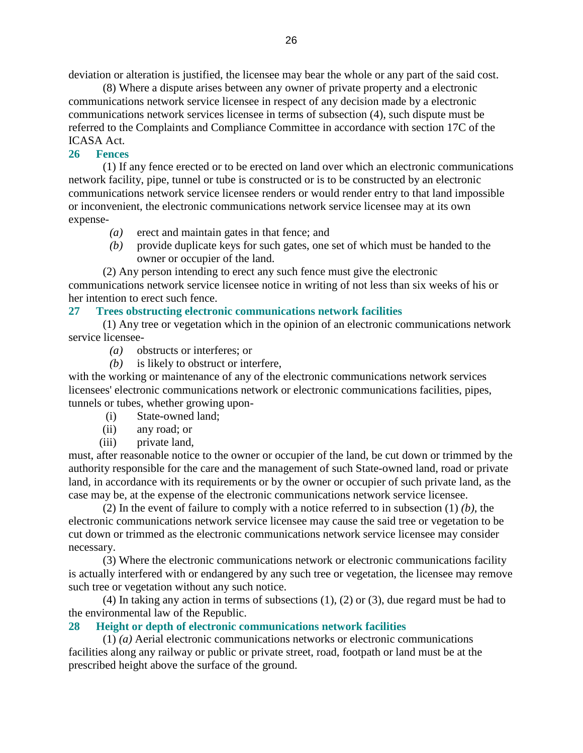deviation or alteration is justified, the licensee may bear the whole or any part of the said cost.

 (8) Where a dispute arises between any owner of private property and a electronic communications network service licensee in respect of any decision made by a electronic communications network services licensee in terms of subsection (4), such dispute must be referred to the Complaints and Compliance Committee in accordance with section 17C of the ICASA Act.

### **26 Fences**

 (1) If any fence erected or to be erected on land over which an electronic communications network facility, pipe, tunnel or tube is constructed or is to be constructed by an electronic communications network service licensee renders or would render entry to that land impossible or inconvenient, the electronic communications network service licensee may at its own expense-

- *(a)* erect and maintain gates in that fence; and
- *(b)* provide duplicate keys for such gates, one set of which must be handed to the owner or occupier of the land.
- (2) Any person intending to erect any such fence must give the electronic

communications network service licensee notice in writing of not less than six weeks of his or her intention to erect such fence.

#### **27 Trees obstructing electronic communications network facilities**

 (1) Any tree or vegetation which in the opinion of an electronic communications network service licensee-

- *(a)* obstructs or interferes; or
- *(b)* is likely to obstruct or interfere,

with the working or maintenance of any of the electronic communications network services licensees' electronic communications network or electronic communications facilities, pipes, tunnels or tubes, whether growing upon-

- (i) State-owned land;
- (ii) any road; or
- (iii) private land,

must, after reasonable notice to the owner or occupier of the land, be cut down or trimmed by the authority responsible for the care and the management of such State-owned land, road or private land, in accordance with its requirements or by the owner or occupier of such private land, as the case may be, at the expense of the electronic communications network service licensee.

 (2) In the event of failure to comply with a notice referred to in subsection (1) *(b)*, the electronic communications network service licensee may cause the said tree or vegetation to be cut down or trimmed as the electronic communications network service licensee may consider necessary.

 (3) Where the electronic communications network or electronic communications facility is actually interfered with or endangered by any such tree or vegetation, the licensee may remove such tree or vegetation without any such notice.

 (4) In taking any action in terms of subsections (1), (2) or (3), due regard must be had to the environmental law of the Republic.

#### **28 Height or depth of electronic communications network facilities**

 (1) *(a)* Aerial electronic communications networks or electronic communications facilities along any railway or public or private street, road, footpath or land must be at the prescribed height above the surface of the ground.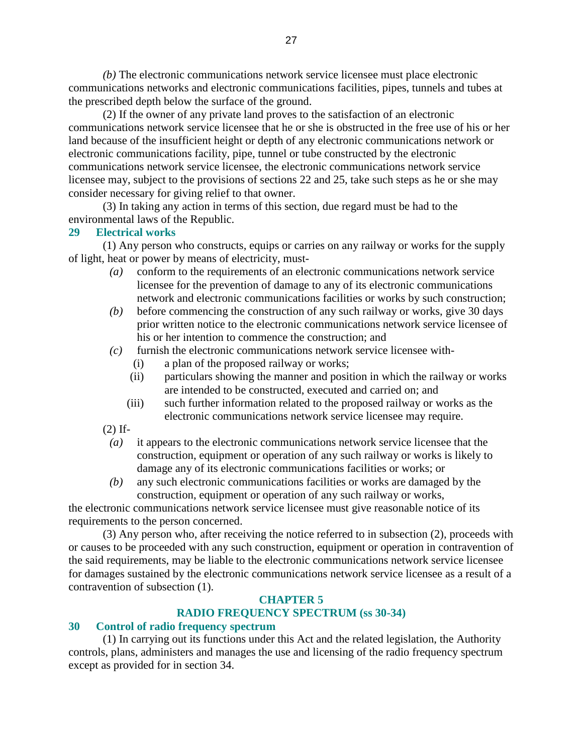*(b)* The electronic communications network service licensee must place electronic communications networks and electronic communications facilities, pipes, tunnels and tubes at the prescribed depth below the surface of the ground.

 (2) If the owner of any private land proves to the satisfaction of an electronic communications network service licensee that he or she is obstructed in the free use of his or her land because of the insufficient height or depth of any electronic communications network or electronic communications facility, pipe, tunnel or tube constructed by the electronic communications network service licensee, the electronic communications network service licensee may, subject to the provisions of sections 22 and 25, take such steps as he or she may consider necessary for giving relief to that owner.

 (3) In taking any action in terms of this section, due regard must be had to the environmental laws of the Republic.

### **29 Electrical works**

 (1) Any person who constructs, equips or carries on any railway or works for the supply of light, heat or power by means of electricity, must-

- *(a)* conform to the requirements of an electronic communications network service licensee for the prevention of damage to any of its electronic communications network and electronic communications facilities or works by such construction;
- *(b)* before commencing the construction of any such railway or works, give 30 days prior written notice to the electronic communications network service licensee of his or her intention to commence the construction; and
- *(c)* furnish the electronic communications network service licensee with-
	- (i) a plan of the proposed railway or works;
	- (ii) particulars showing the manner and position in which the railway or works are intended to be constructed, executed and carried on; and
	- (iii) such further information related to the proposed railway or works as the electronic communications network service licensee may require.

(2) If-

- *(a)* it appears to the electronic communications network service licensee that the construction, equipment or operation of any such railway or works is likely to damage any of its electronic communications facilities or works; or
- *(b)* any such electronic communications facilities or works are damaged by the construction, equipment or operation of any such railway or works,

the electronic communications network service licensee must give reasonable notice of its requirements to the person concerned.

 (3) Any person who, after receiving the notice referred to in subsection (2), proceeds with or causes to be proceeded with any such construction, equipment or operation in contravention of the said requirements, may be liable to the electronic communications network service licensee for damages sustained by the electronic communications network service licensee as a result of a contravention of subsection (1).

### **CHAPTER 5**

### **RADIO FREQUENCY SPECTRUM (ss 30-34)**

#### **30 Control of radio frequency spectrum**

 (1) In carrying out its functions under this Act and the related legislation, the Authority controls, plans, administers and manages the use and licensing of the radio frequency spectrum except as provided for in section 34.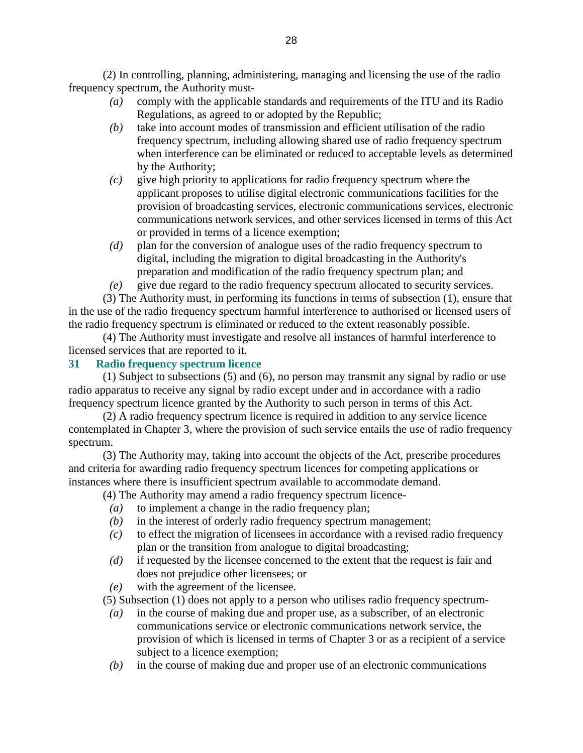(2) In controlling, planning, administering, managing and licensing the use of the radio frequency spectrum, the Authority must-

- *(a)* comply with the applicable standards and requirements of the ITU and its Radio Regulations, as agreed to or adopted by the Republic;
- *(b)* take into account modes of transmission and efficient utilisation of the radio frequency spectrum, including allowing shared use of radio frequency spectrum when interference can be eliminated or reduced to acceptable levels as determined by the Authority;
- *(c)* give high priority to applications for radio frequency spectrum where the applicant proposes to utilise digital electronic communications facilities for the provision of broadcasting services, electronic communications services, electronic communications network services, and other services licensed in terms of this Act or provided in terms of a licence exemption;
- *(d)* plan for the conversion of analogue uses of the radio frequency spectrum to digital, including the migration to digital broadcasting in the Authority's preparation and modification of the radio frequency spectrum plan; and
- *(e)* give due regard to the radio frequency spectrum allocated to security services.

 (3) The Authority must, in performing its functions in terms of subsection (1), ensure that in the use of the radio frequency spectrum harmful interference to authorised or licensed users of the radio frequency spectrum is eliminated or reduced to the extent reasonably possible.

 (4) The Authority must investigate and resolve all instances of harmful interference to licensed services that are reported to it.

### **31 Radio frequency spectrum licence**

 (1) Subject to subsections (5) and (6), no person may transmit any signal by radio or use radio apparatus to receive any signal by radio except under and in accordance with a radio frequency spectrum licence granted by the Authority to such person in terms of this Act.

 (2) A radio frequency spectrum licence is required in addition to any service licence contemplated in Chapter 3, where the provision of such service entails the use of radio frequency spectrum.

 (3) The Authority may, taking into account the objects of the Act, prescribe procedures and criteria for awarding radio frequency spectrum licences for competing applications or instances where there is insufficient spectrum available to accommodate demand.

(4) The Authority may amend a radio frequency spectrum licence-

- *(a)* to implement a change in the radio frequency plan;
- *(b)* in the interest of orderly radio frequency spectrum management;
- *(c)* to effect the migration of licensees in accordance with a revised radio frequency plan or the transition from analogue to digital broadcasting;
- *(d)* if requested by the licensee concerned to the extent that the request is fair and does not prejudice other licensees; or
- *(e)* with the agreement of the licensee.

(5) Subsection (1) does not apply to a person who utilises radio frequency spectrum-

- *(a)* in the course of making due and proper use, as a subscriber, of an electronic communications service or electronic communications network service, the provision of which is licensed in terms of Chapter 3 or as a recipient of a service subject to a licence exemption;
- *(b)* in the course of making due and proper use of an electronic communications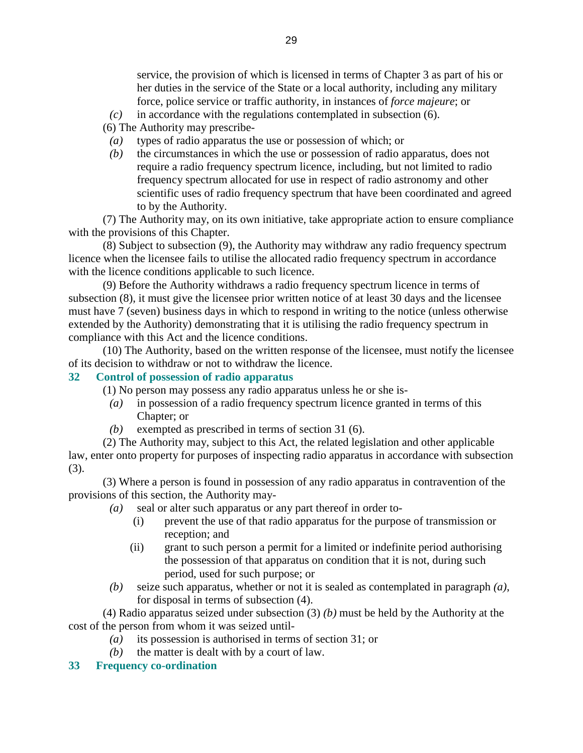service, the provision of which is licensed in terms of Chapter 3 as part of his or her duties in the service of the State or a local authority, including any military force, police service or traffic authority, in instances of *force majeure*; or

*(c)* in accordance with the regulations contemplated in subsection (6).

(6) The Authority may prescribe-

- *(a)* types of radio apparatus the use or possession of which; or
- *(b)* the circumstances in which the use or possession of radio apparatus, does not require a radio frequency spectrum licence, including, but not limited to radio frequency spectrum allocated for use in respect of radio astronomy and other scientific uses of radio frequency spectrum that have been coordinated and agreed to by the Authority.

 (7) The Authority may, on its own initiative, take appropriate action to ensure compliance with the provisions of this Chapter.

 (8) Subject to subsection (9), the Authority may withdraw any radio frequency spectrum licence when the licensee fails to utilise the allocated radio frequency spectrum in accordance with the licence conditions applicable to such licence.

 (9) Before the Authority withdraws a radio frequency spectrum licence in terms of subsection (8), it must give the licensee prior written notice of at least 30 days and the licensee must have 7 (seven) business days in which to respond in writing to the notice (unless otherwise extended by the Authority) demonstrating that it is utilising the radio frequency spectrum in compliance with this Act and the licence conditions.

 (10) The Authority, based on the written response of the licensee, must notify the licensee of its decision to withdraw or not to withdraw the licence.

#### **32 Control of possession of radio apparatus**

(1) No person may possess any radio apparatus unless he or she is-

- *(a)* in possession of a radio frequency spectrum licence granted in terms of this Chapter; or
- *(b)* exempted as prescribed in terms of section 31 (6).

 (2) The Authority may, subject to this Act, the related legislation and other applicable law, enter onto property for purposes of inspecting radio apparatus in accordance with subsection (3).

 (3) Where a person is found in possession of any radio apparatus in contravention of the provisions of this section, the Authority may-

- *(a)* seal or alter such apparatus or any part thereof in order to-
	- (i) prevent the use of that radio apparatus for the purpose of transmission or reception; and
	- (ii) grant to such person a permit for a limited or indefinite period authorising the possession of that apparatus on condition that it is not, during such period, used for such purpose; or
- *(b)* seize such apparatus, whether or not it is sealed as contemplated in paragraph *(a)*, for disposal in terms of subsection (4).

 (4) Radio apparatus seized under subsection (3) *(b)* must be held by the Authority at the cost of the person from whom it was seized until-

- *(a)* its possession is authorised in terms of section 31; or
- *(b)* the matter is dealt with by a court of law.

#### **33 Frequency co-ordination**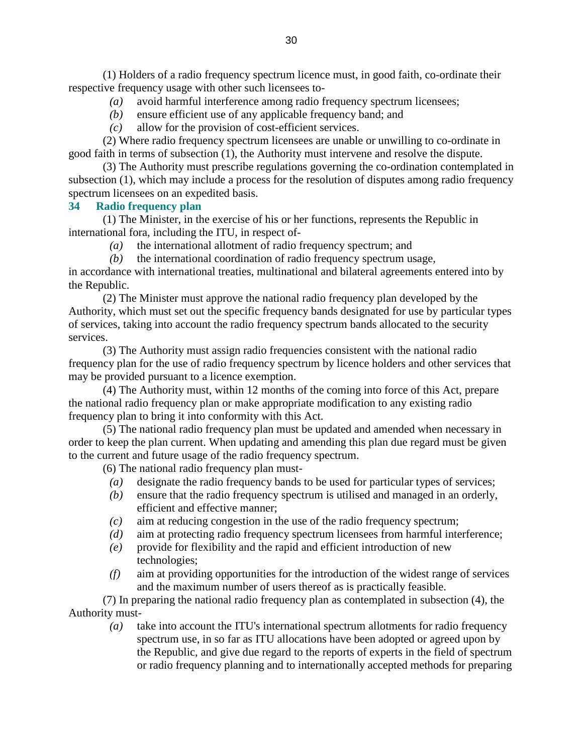(1) Holders of a radio frequency spectrum licence must, in good faith, co-ordinate their respective frequency usage with other such licensees to-

- *(a)* avoid harmful interference among radio frequency spectrum licensees;
- *(b)* ensure efficient use of any applicable frequency band; and
- *(c)* allow for the provision of cost-efficient services.

 (2) Where radio frequency spectrum licensees are unable or unwilling to co-ordinate in good faith in terms of subsection (1), the Authority must intervene and resolve the dispute.

 (3) The Authority must prescribe regulations governing the co-ordination contemplated in subsection (1), which may include a process for the resolution of disputes among radio frequency spectrum licensees on an expedited basis.

#### **34 Radio frequency plan**

 (1) The Minister, in the exercise of his or her functions, represents the Republic in international fora, including the ITU, in respect of-

- *(a)* the international allotment of radio frequency spectrum; and
- *(b)* the international coordination of radio frequency spectrum usage,

in accordance with international treaties, multinational and bilateral agreements entered into by the Republic.

 (2) The Minister must approve the national radio frequency plan developed by the Authority, which must set out the specific frequency bands designated for use by particular types of services, taking into account the radio frequency spectrum bands allocated to the security services.

 (3) The Authority must assign radio frequencies consistent with the national radio frequency plan for the use of radio frequency spectrum by licence holders and other services that may be provided pursuant to a licence exemption.

 (4) The Authority must, within 12 months of the coming into force of this Act, prepare the national radio frequency plan or make appropriate modification to any existing radio frequency plan to bring it into conformity with this Act.

 (5) The national radio frequency plan must be updated and amended when necessary in order to keep the plan current. When updating and amending this plan due regard must be given to the current and future usage of the radio frequency spectrum.

(6) The national radio frequency plan must-

- *(a)* designate the radio frequency bands to be used for particular types of services;
- *(b)* ensure that the radio frequency spectrum is utilised and managed in an orderly, efficient and effective manner;
- *(c)* aim at reducing congestion in the use of the radio frequency spectrum;
- *(d)* aim at protecting radio frequency spectrum licensees from harmful interference;
- *(e)* provide for flexibility and the rapid and efficient introduction of new technologies;
- *(f)* aim at providing opportunities for the introduction of the widest range of services and the maximum number of users thereof as is practically feasible.

 (7) In preparing the national radio frequency plan as contemplated in subsection (4), the Authority must-

 *(a)* take into account the ITU's international spectrum allotments for radio frequency spectrum use, in so far as ITU allocations have been adopted or agreed upon by the Republic, and give due regard to the reports of experts in the field of spectrum or radio frequency planning and to internationally accepted methods for preparing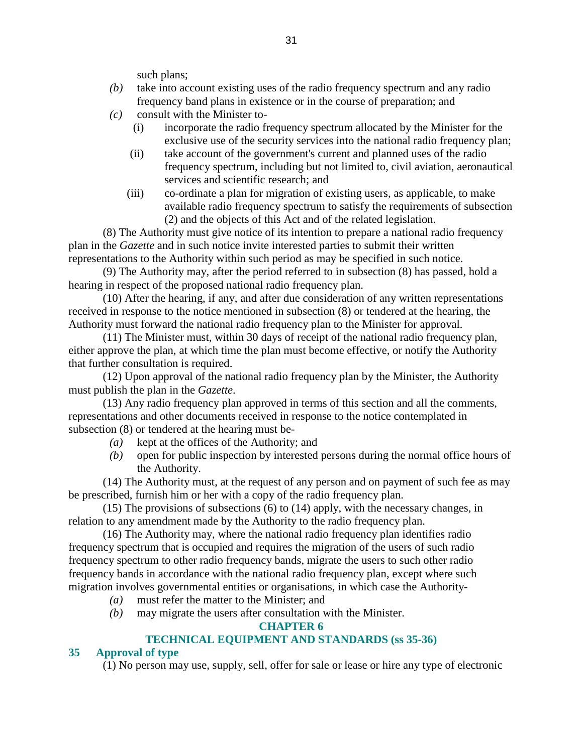such plans;

- *(b)* take into account existing uses of the radio frequency spectrum and any radio frequency band plans in existence or in the course of preparation; and
- $(c)$  consult with the Minister to-
	- (i) incorporate the radio frequency spectrum allocated by the Minister for the exclusive use of the security services into the national radio frequency plan;
	- (ii) take account of the government's current and planned uses of the radio frequency spectrum, including but not limited to, civil aviation, aeronautical services and scientific research; and
	- (iii) co-ordinate a plan for migration of existing users, as applicable, to make available radio frequency spectrum to satisfy the requirements of subsection (2) and the objects of this Act and of the related legislation.

 (8) The Authority must give notice of its intention to prepare a national radio frequency plan in the *Gazette* and in such notice invite interested parties to submit their written representations to the Authority within such period as may be specified in such notice.

 (9) The Authority may, after the period referred to in subsection (8) has passed, hold a hearing in respect of the proposed national radio frequency plan.

 (10) After the hearing, if any, and after due consideration of any written representations received in response to the notice mentioned in subsection (8) or tendered at the hearing, the Authority must forward the national radio frequency plan to the Minister for approval.

 (11) The Minister must, within 30 days of receipt of the national radio frequency plan, either approve the plan, at which time the plan must become effective, or notify the Authority that further consultation is required.

 (12) Upon approval of the national radio frequency plan by the Minister, the Authority must publish the plan in the *Gazette*.

 (13) Any radio frequency plan approved in terms of this section and all the comments, representations and other documents received in response to the notice contemplated in subsection (8) or tendered at the hearing must be-

- *(a)* kept at the offices of the Authority; and
- *(b)* open for public inspection by interested persons during the normal office hours of the Authority.

 (14) The Authority must, at the request of any person and on payment of such fee as may be prescribed, furnish him or her with a copy of the radio frequency plan.

 (15) The provisions of subsections (6) to (14) apply, with the necessary changes, in relation to any amendment made by the Authority to the radio frequency plan.

 (16) The Authority may, where the national radio frequency plan identifies radio frequency spectrum that is occupied and requires the migration of the users of such radio frequency spectrum to other radio frequency bands, migrate the users to such other radio frequency bands in accordance with the national radio frequency plan, except where such migration involves governmental entities or organisations, in which case the Authority-

- *(a)* must refer the matter to the Minister; and
- *(b)* may migrate the users after consultation with the Minister.

#### **CHAPTER 6**

# **TECHNICAL EQUIPMENT AND STANDARDS (ss 35-36)**

### **35 Approval of type**

(1) No person may use, supply, sell, offer for sale or lease or hire any type of electronic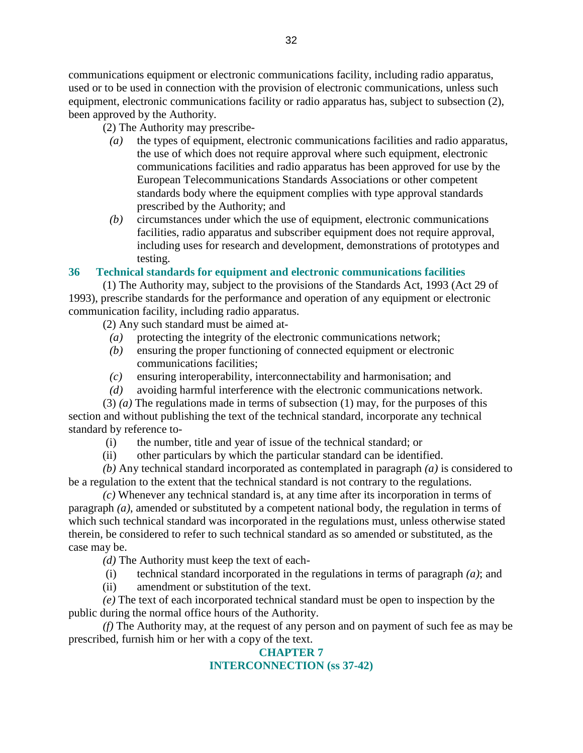communications equipment or electronic communications facility, including radio apparatus, used or to be used in connection with the provision of electronic communications, unless such equipment, electronic communications facility or radio apparatus has, subject to subsection (2), been approved by the Authority.

(2) The Authority may prescribe-

- *(a)* the types of equipment, electronic communications facilities and radio apparatus, the use of which does not require approval where such equipment, electronic communications facilities and radio apparatus has been approved for use by the European Telecommunications Standards Associations or other competent standards body where the equipment complies with type approval standards prescribed by the Authority; and
- *(b)* circumstances under which the use of equipment, electronic communications facilities, radio apparatus and subscriber equipment does not require approval, including uses for research and development, demonstrations of prototypes and testing.

### **36 Technical standards for equipment and electronic communications facilities**

 (1) The Authority may, subject to the provisions of the Standards Act, 1993 (Act 29 of 1993), prescribe standards for the performance and operation of any equipment or electronic communication facility, including radio apparatus.

(2) Any such standard must be aimed at-

- *(a)* protecting the integrity of the electronic communications network;
- *(b)* ensuring the proper functioning of connected equipment or electronic communications facilities;
- *(c)* ensuring interoperability, interconnectability and harmonisation; and
- *(d)* avoiding harmful interference with the electronic communications network.

 (3) *(a)* The regulations made in terms of subsection (1) may, for the purposes of this section and without publishing the text of the technical standard, incorporate any technical standard by reference to-

- (i) the number, title and year of issue of the technical standard; or
- (ii) other particulars by which the particular standard can be identified.

*(b)* Any technical standard incorporated as contemplated in paragraph *(a)* is considered to be a regulation to the extent that the technical standard is not contrary to the regulations.

*(c)* Whenever any technical standard is, at any time after its incorporation in terms of paragraph *(a)*, amended or substituted by a competent national body, the regulation in terms of which such technical standard was incorporated in the regulations must, unless otherwise stated therein, be considered to refer to such technical standard as so amended or substituted, as the case may be.

*(d)* The Authority must keep the text of each-

- (i) technical standard incorporated in the regulations in terms of paragraph *(a)*; and
- (ii) amendment or substitution of the text.

*(e)* The text of each incorporated technical standard must be open to inspection by the public during the normal office hours of the Authority.

*(f)* The Authority may, at the request of any person and on payment of such fee as may be prescribed, furnish him or her with a copy of the text.

### **CHAPTER 7**

### **INTERCONNECTION (ss 37-42)**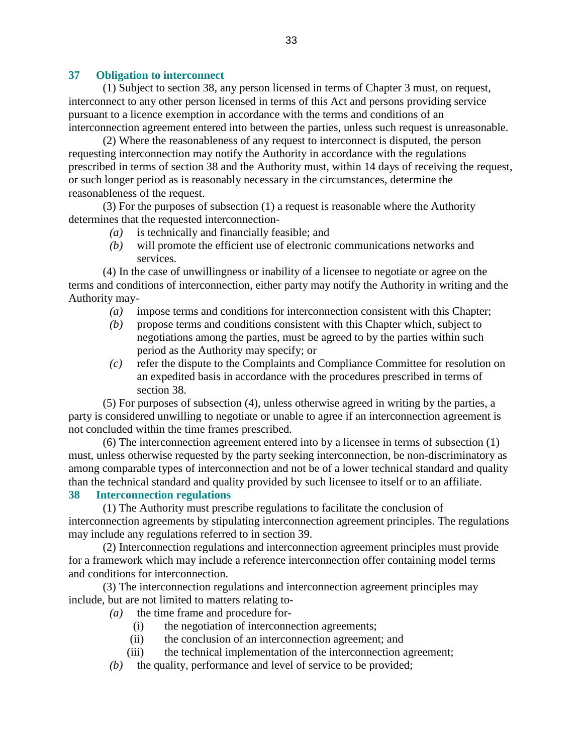#### **37 Obligation to interconnect**

 (1) Subject to section 38, any person licensed in terms of Chapter 3 must, on request, interconnect to any other person licensed in terms of this Act and persons providing service pursuant to a licence exemption in accordance with the terms and conditions of an interconnection agreement entered into between the parties, unless such request is unreasonable.

 (2) Where the reasonableness of any request to interconnect is disputed, the person requesting interconnection may notify the Authority in accordance with the regulations prescribed in terms of section 38 and the Authority must, within 14 days of receiving the request, or such longer period as is reasonably necessary in the circumstances, determine the reasonableness of the request.

 (3) For the purposes of subsection (1) a request is reasonable where the Authority determines that the requested interconnection-

- *(a)* is technically and financially feasible; and
- *(b)* will promote the efficient use of electronic communications networks and services.

 (4) In the case of unwillingness or inability of a licensee to negotiate or agree on the terms and conditions of interconnection, either party may notify the Authority in writing and the Authority may-

- *(a)* impose terms and conditions for interconnection consistent with this Chapter;
- *(b)* propose terms and conditions consistent with this Chapter which, subject to negotiations among the parties, must be agreed to by the parties within such period as the Authority may specify; or
- *(c)* refer the dispute to the Complaints and Compliance Committee for resolution on an expedited basis in accordance with the procedures prescribed in terms of section 38.

 (5) For purposes of subsection (4), unless otherwise agreed in writing by the parties, a party is considered unwilling to negotiate or unable to agree if an interconnection agreement is not concluded within the time frames prescribed.

 (6) The interconnection agreement entered into by a licensee in terms of subsection (1) must, unless otherwise requested by the party seeking interconnection, be non-discriminatory as among comparable types of interconnection and not be of a lower technical standard and quality than the technical standard and quality provided by such licensee to itself or to an affiliate.

#### **38 Interconnection regulations**

 (1) The Authority must prescribe regulations to facilitate the conclusion of interconnection agreements by stipulating interconnection agreement principles. The regulations may include any regulations referred to in section 39.

 (2) Interconnection regulations and interconnection agreement principles must provide for a framework which may include a reference interconnection offer containing model terms and conditions for interconnection.

 (3) The interconnection regulations and interconnection agreement principles may include, but are not limited to matters relating to-

*(a)* the time frame and procedure for-

- (i) the negotiation of interconnection agreements;
- (ii) the conclusion of an interconnection agreement; and
- (iii) the technical implementation of the interconnection agreement;
- *(b)* the quality, performance and level of service to be provided;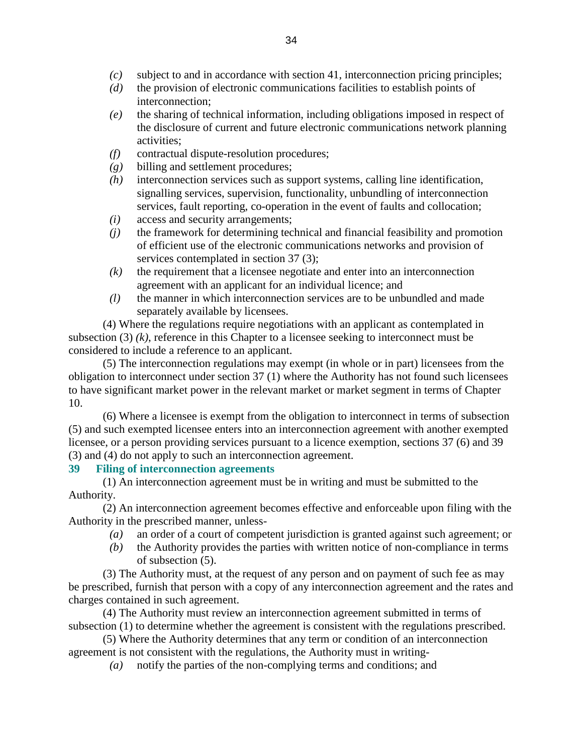- *(c)* subject to and in accordance with section 41, interconnection pricing principles;
- *(d)* the provision of electronic communications facilities to establish points of interconnection;
- *(e)* the sharing of technical information, including obligations imposed in respect of the disclosure of current and future electronic communications network planning activities;
- *(f)* contractual dispute-resolution procedures;
- *(g)* billing and settlement procedures;
- *(h)* interconnection services such as support systems, calling line identification, signalling services, supervision, functionality, unbundling of interconnection services, fault reporting, co-operation in the event of faults and collocation;
- *(i)* access and security arrangements;
- *(j)* the framework for determining technical and financial feasibility and promotion of efficient use of the electronic communications networks and provision of services contemplated in section 37 (3);
- *(k)* the requirement that a licensee negotiate and enter into an interconnection agreement with an applicant for an individual licence; and
- *(l)* the manner in which interconnection services are to be unbundled and made separately available by licensees.

 (4) Where the regulations require negotiations with an applicant as contemplated in subsection (3) *(k)*, reference in this Chapter to a licensee seeking to interconnect must be considered to include a reference to an applicant.

 (5) The interconnection regulations may exempt (in whole or in part) licensees from the obligation to interconnect under section 37 (1) where the Authority has not found such licensees to have significant market power in the relevant market or market segment in terms of Chapter 10.

 (6) Where a licensee is exempt from the obligation to interconnect in terms of subsection (5) and such exempted licensee enters into an interconnection agreement with another exempted licensee, or a person providing services pursuant to a licence exemption, sections 37 (6) and 39 (3) and (4) do not apply to such an interconnection agreement.

### **39 Filing of interconnection agreements**

 (1) An interconnection agreement must be in writing and must be submitted to the Authority.

 (2) An interconnection agreement becomes effective and enforceable upon filing with the Authority in the prescribed manner, unless-

- *(a)* an order of a court of competent jurisdiction is granted against such agreement; or
- *(b)* the Authority provides the parties with written notice of non-compliance in terms of subsection (5).

 (3) The Authority must, at the request of any person and on payment of such fee as may be prescribed, furnish that person with a copy of any interconnection agreement and the rates and charges contained in such agreement.

 (4) The Authority must review an interconnection agreement submitted in terms of subsection (1) to determine whether the agreement is consistent with the regulations prescribed.

 (5) Where the Authority determines that any term or condition of an interconnection agreement is not consistent with the regulations, the Authority must in writing-

*(a)* notify the parties of the non-complying terms and conditions; and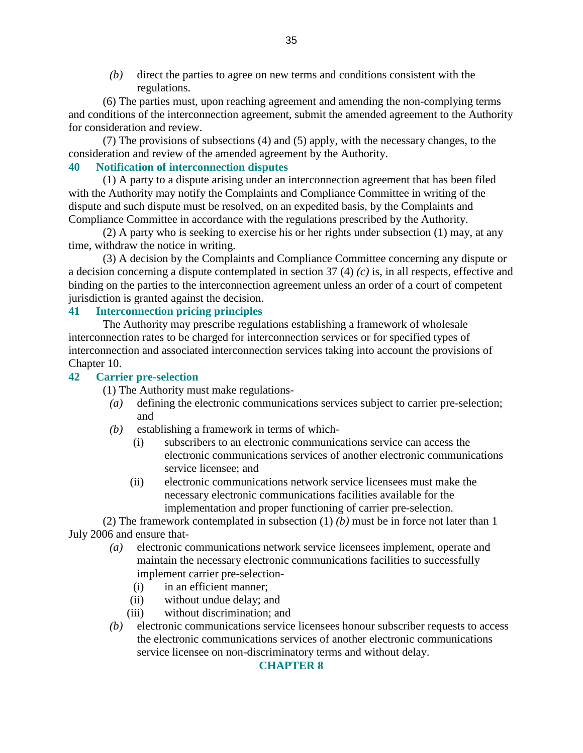*(b)* direct the parties to agree on new terms and conditions consistent with the regulations.

 (6) The parties must, upon reaching agreement and amending the non-complying terms and conditions of the interconnection agreement, submit the amended agreement to the Authority for consideration and review.

 (7) The provisions of subsections (4) and (5) apply, with the necessary changes, to the consideration and review of the amended agreement by the Authority.

### **40 Notification of interconnection disputes**

 (1) A party to a dispute arising under an interconnection agreement that has been filed with the Authority may notify the Complaints and Compliance Committee in writing of the dispute and such dispute must be resolved, on an expedited basis, by the Complaints and Compliance Committee in accordance with the regulations prescribed by the Authority.

 (2) A party who is seeking to exercise his or her rights under subsection (1) may, at any time, withdraw the notice in writing.

 (3) A decision by the Complaints and Compliance Committee concerning any dispute or a decision concerning a dispute contemplated in section 37 (4) *(c)* is, in all respects, effective and binding on the parties to the interconnection agreement unless an order of a court of competent jurisdiction is granted against the decision.

### **41 Interconnection pricing principles**

 The Authority may prescribe regulations establishing a framework of wholesale interconnection rates to be charged for interconnection services or for specified types of interconnection and associated interconnection services taking into account the provisions of Chapter 10.

#### **42 Carrier pre-selection**

(1) The Authority must make regulations-

- *(a)* defining the electronic communications services subject to carrier pre-selection; and
- *(b)* establishing a framework in terms of which-
	- (i) subscribers to an electronic communications service can access the electronic communications services of another electronic communications service licensee; and
	- (ii) electronic communications network service licensees must make the necessary electronic communications facilities available for the implementation and proper functioning of carrier pre-selection.

 (2) The framework contemplated in subsection (1) *(b)* must be in force not later than 1 July 2006 and ensure that-

- *(a)* electronic communications network service licensees implement, operate and maintain the necessary electronic communications facilities to successfully implement carrier pre-selection-
	- (i) in an efficient manner;
	- (ii) without undue delay; and
	- (iii) without discrimination; and
- *(b)* electronic communications service licensees honour subscriber requests to access the electronic communications services of another electronic communications service licensee on non-discriminatory terms and without delay.

#### **CHAPTER 8**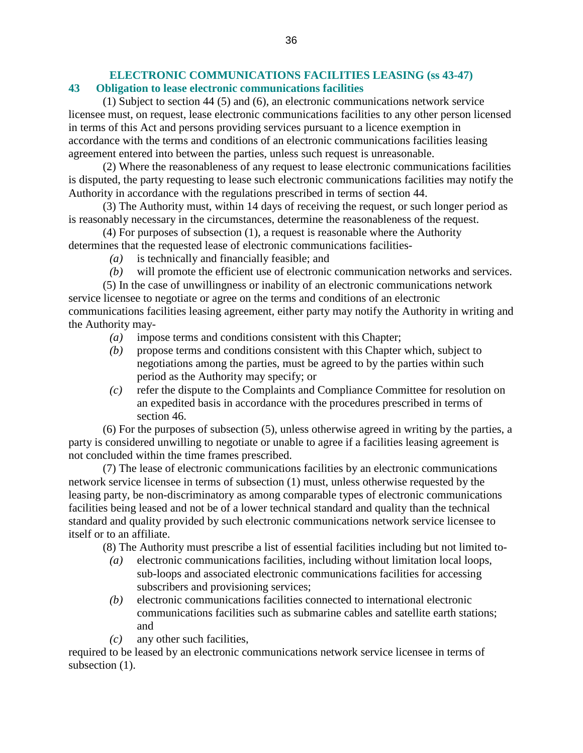### **ELECTRONIC COMMUNICATIONS FACILITIES LEASING (ss 43-47) 43 Obligation to lease electronic communications facilities**

 (1) Subject to section 44 (5) and (6), an electronic communications network service licensee must, on request, lease electronic communications facilities to any other person licensed in terms of this Act and persons providing services pursuant to a licence exemption in accordance with the terms and conditions of an electronic communications facilities leasing agreement entered into between the parties, unless such request is unreasonable.

 (2) Where the reasonableness of any request to lease electronic communications facilities is disputed, the party requesting to lease such electronic communications facilities may notify the Authority in accordance with the regulations prescribed in terms of section 44.

 (3) The Authority must, within 14 days of receiving the request, or such longer period as is reasonably necessary in the circumstances, determine the reasonableness of the request.

 (4) For purposes of subsection (1), a request is reasonable where the Authority determines that the requested lease of electronic communications facilities-

- *(a)* is technically and financially feasible; and
- *(b)* will promote the efficient use of electronic communication networks and services.

 (5) In the case of unwillingness or inability of an electronic communications network service licensee to negotiate or agree on the terms and conditions of an electronic communications facilities leasing agreement, either party may notify the Authority in writing and the Authority may-

- *(a)* impose terms and conditions consistent with this Chapter;
- *(b)* propose terms and conditions consistent with this Chapter which, subject to negotiations among the parties, must be agreed to by the parties within such period as the Authority may specify; or
- *(c)* refer the dispute to the Complaints and Compliance Committee for resolution on an expedited basis in accordance with the procedures prescribed in terms of section 46.

 (6) For the purposes of subsection (5), unless otherwise agreed in writing by the parties, a party is considered unwilling to negotiate or unable to agree if a facilities leasing agreement is not concluded within the time frames prescribed.

 (7) The lease of electronic communications facilities by an electronic communications network service licensee in terms of subsection (1) must, unless otherwise requested by the leasing party, be non-discriminatory as among comparable types of electronic communications facilities being leased and not be of a lower technical standard and quality than the technical standard and quality provided by such electronic communications network service licensee to itself or to an affiliate.

(8) The Authority must prescribe a list of essential facilities including but not limited to-

- *(a)* electronic communications facilities, including without limitation local loops, sub-loops and associated electronic communications facilities for accessing subscribers and provisioning services;
- *(b)* electronic communications facilities connected to international electronic communications facilities such as submarine cables and satellite earth stations; and
- *(c)* any other such facilities,

required to be leased by an electronic communications network service licensee in terms of subsection  $(1)$ .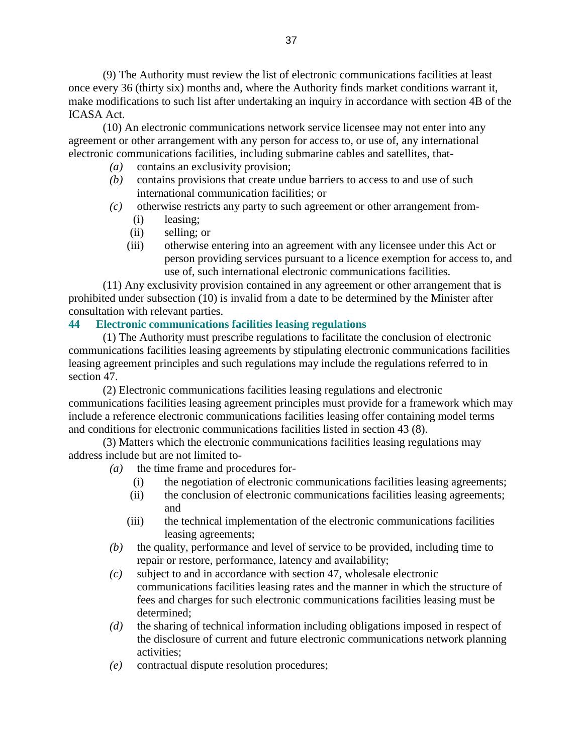(9) The Authority must review the list of electronic communications facilities at least once every 36 (thirty six) months and, where the Authority finds market conditions warrant it, make modifications to such list after undertaking an inquiry in accordance with section 4B of the ICASA Act.

 (10) An electronic communications network service licensee may not enter into any agreement or other arrangement with any person for access to, or use of, any international electronic communications facilities, including submarine cables and satellites, that-

- *(a)* contains an exclusivity provision;
- *(b)* contains provisions that create undue barriers to access to and use of such international communication facilities; or
- *(c)* otherwise restricts any party to such agreement or other arrangement from-
	- (i) leasing;
	- (ii) selling; or
	- (iii) otherwise entering into an agreement with any licensee under this Act or person providing services pursuant to a licence exemption for access to, and use of, such international electronic communications facilities.

 (11) Any exclusivity provision contained in any agreement or other arrangement that is prohibited under subsection (10) is invalid from a date to be determined by the Minister after consultation with relevant parties.

### **44 Electronic communications facilities leasing regulations**

 (1) The Authority must prescribe regulations to facilitate the conclusion of electronic communications facilities leasing agreements by stipulating electronic communications facilities leasing agreement principles and such regulations may include the regulations referred to in section 47.

 (2) Electronic communications facilities leasing regulations and electronic communications facilities leasing agreement principles must provide for a framework which may include a reference electronic communications facilities leasing offer containing model terms and conditions for electronic communications facilities listed in section 43 (8).

 (3) Matters which the electronic communications facilities leasing regulations may address include but are not limited to-

*(a)* the time frame and procedures for-

- (i) the negotiation of electronic communications facilities leasing agreements;
- (ii) the conclusion of electronic communications facilities leasing agreements; and
- (iii) the technical implementation of the electronic communications facilities leasing agreements;
- *(b)* the quality, performance and level of service to be provided, including time to repair or restore, performance, latency and availability;
- *(c)* subject to and in accordance with section 47, wholesale electronic communications facilities leasing rates and the manner in which the structure of fees and charges for such electronic communications facilities leasing must be determined;
- *(d)* the sharing of technical information including obligations imposed in respect of the disclosure of current and future electronic communications network planning activities;
- *(e)* contractual dispute resolution procedures;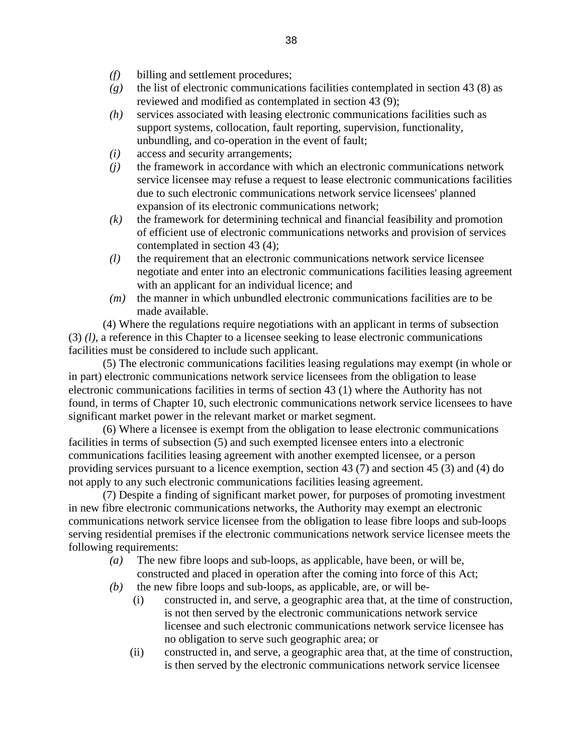- *(f)* billing and settlement procedures;
- *(g)* the list of electronic communications facilities contemplated in section 43 (8) as reviewed and modified as contemplated in section 43 (9);
- *(h)* services associated with leasing electronic communications facilities such as support systems, collocation, fault reporting, supervision, functionality, unbundling, and co-operation in the event of fault;
- *(i)* access and security arrangements;
- *(j)* the framework in accordance with which an electronic communications network service licensee may refuse a request to lease electronic communications facilities due to such electronic communications network service licensees' planned expansion of its electronic communications network;
- *(k)* the framework for determining technical and financial feasibility and promotion of efficient use of electronic communications networks and provision of services contemplated in section 43 (4);
- *(l)* the requirement that an electronic communications network service licensee negotiate and enter into an electronic communications facilities leasing agreement with an applicant for an individual licence; and
- *(m)* the manner in which unbundled electronic communications facilities are to be made available.

 (4) Where the regulations require negotiations with an applicant in terms of subsection (3) *(l)*, a reference in this Chapter to a licensee seeking to lease electronic communications facilities must be considered to include such applicant.

 (5) The electronic communications facilities leasing regulations may exempt (in whole or in part) electronic communications network service licensees from the obligation to lease electronic communications facilities in terms of section 43 (1) where the Authority has not found, in terms of Chapter 10, such electronic communications network service licensees to have significant market power in the relevant market or market segment.

 (6) Where a licensee is exempt from the obligation to lease electronic communications facilities in terms of subsection (5) and such exempted licensee enters into a electronic communications facilities leasing agreement with another exempted licensee, or a person providing services pursuant to a licence exemption, section 43 (7) and section 45 (3) and (4) do not apply to any such electronic communications facilities leasing agreement.

 (7) Despite a finding of significant market power, for purposes of promoting investment in new fibre electronic communications networks, the Authority may exempt an electronic communications network service licensee from the obligation to lease fibre loops and sub-loops serving residential premises if the electronic communications network service licensee meets the following requirements:

- *(a)* The new fibre loops and sub-loops, as applicable, have been, or will be, constructed and placed in operation after the coming into force of this Act;
- *(b)* the new fibre loops and sub-loops, as applicable, are, or will be-
	- (i) constructed in, and serve, a geographic area that, at the time of construction, is not then served by the electronic communications network service licensee and such electronic communications network service licensee has no obligation to serve such geographic area; or
	- (ii) constructed in, and serve, a geographic area that, at the time of construction, is then served by the electronic communications network service licensee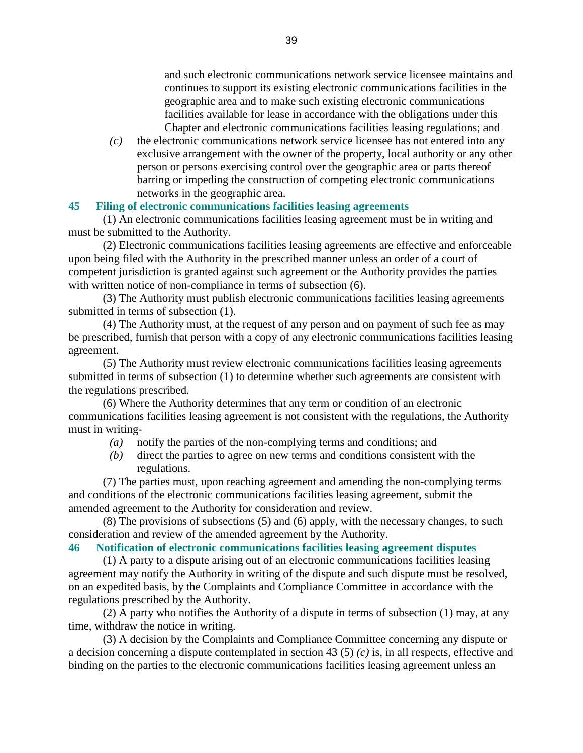and such electronic communications network service licensee maintains and continues to support its existing electronic communications facilities in the geographic area and to make such existing electronic communications facilities available for lease in accordance with the obligations under this Chapter and electronic communications facilities leasing regulations; and

 *(c)* the electronic communications network service licensee has not entered into any exclusive arrangement with the owner of the property, local authority or any other person or persons exercising control over the geographic area or parts thereof barring or impeding the construction of competing electronic communications networks in the geographic area.

### **45 Filing of electronic communications facilities leasing agreements**

 (1) An electronic communications facilities leasing agreement must be in writing and must be submitted to the Authority.

 (2) Electronic communications facilities leasing agreements are effective and enforceable upon being filed with the Authority in the prescribed manner unless an order of a court of competent jurisdiction is granted against such agreement or the Authority provides the parties with written notice of non-compliance in terms of subsection  $(6)$ .

 (3) The Authority must publish electronic communications facilities leasing agreements submitted in terms of subsection (1).

 (4) The Authority must, at the request of any person and on payment of such fee as may be prescribed, furnish that person with a copy of any electronic communications facilities leasing agreement.

 (5) The Authority must review electronic communications facilities leasing agreements submitted in terms of subsection (1) to determine whether such agreements are consistent with the regulations prescribed.

 (6) Where the Authority determines that any term or condition of an electronic communications facilities leasing agreement is not consistent with the regulations, the Authority must in writing-

- *(a)* notify the parties of the non-complying terms and conditions; and
- *(b)* direct the parties to agree on new terms and conditions consistent with the regulations.

 (7) The parties must, upon reaching agreement and amending the non-complying terms and conditions of the electronic communications facilities leasing agreement, submit the amended agreement to the Authority for consideration and review.

 (8) The provisions of subsections (5) and (6) apply, with the necessary changes, to such consideration and review of the amended agreement by the Authority.

#### **46 Notification of electronic communications facilities leasing agreement disputes**

 (1) A party to a dispute arising out of an electronic communications facilities leasing agreement may notify the Authority in writing of the dispute and such dispute must be resolved, on an expedited basis, by the Complaints and Compliance Committee in accordance with the regulations prescribed by the Authority.

 (2) A party who notifies the Authority of a dispute in terms of subsection (1) may, at any time, withdraw the notice in writing.

 (3) A decision by the Complaints and Compliance Committee concerning any dispute or a decision concerning a dispute contemplated in section 43 (5) *(c)* is, in all respects, effective and binding on the parties to the electronic communications facilities leasing agreement unless an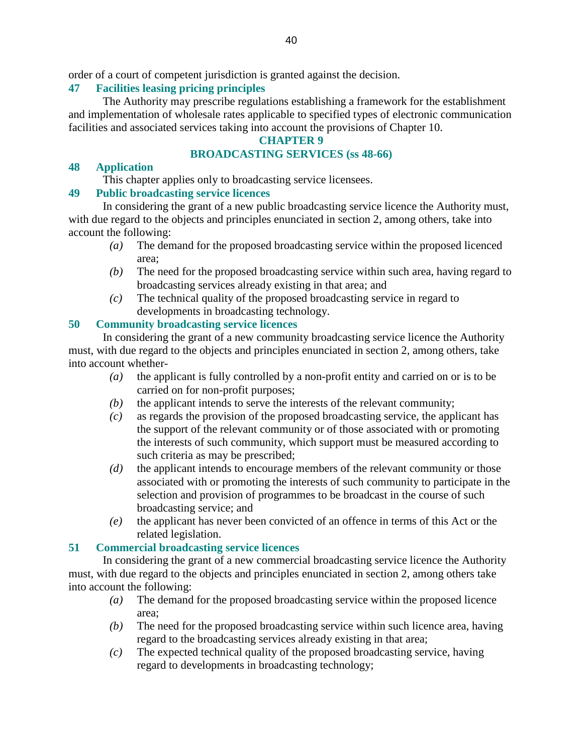order of a court of competent jurisdiction is granted against the decision.

### **47 Facilities leasing pricing principles**

 The Authority may prescribe regulations establishing a framework for the establishment and implementation of wholesale rates applicable to specified types of electronic communication facilities and associated services taking into account the provisions of Chapter 10.

### **CHAPTER 9**

### **BROADCASTING SERVICES (ss 48-66)**

#### **48 Application**

This chapter applies only to broadcasting service licensees.

### **49 Public broadcasting service licences**

 In considering the grant of a new public broadcasting service licence the Authority must, with due regard to the objects and principles enunciated in section 2, among others, take into account the following:

- *(a)* The demand for the proposed broadcasting service within the proposed licenced area;
- *(b)* The need for the proposed broadcasting service within such area, having regard to broadcasting services already existing in that area; and
- *(c)* The technical quality of the proposed broadcasting service in regard to developments in broadcasting technology.

### **50 Community broadcasting service licences**

 In considering the grant of a new community broadcasting service licence the Authority must, with due regard to the objects and principles enunciated in section 2, among others, take into account whether-

- *(a)* the applicant is fully controlled by a non-profit entity and carried on or is to be carried on for non-profit purposes;
- *(b)* the applicant intends to serve the interests of the relevant community;
- *(c)* as regards the provision of the proposed broadcasting service, the applicant has the support of the relevant community or of those associated with or promoting the interests of such community, which support must be measured according to such criteria as may be prescribed;
- *(d)* the applicant intends to encourage members of the relevant community or those associated with or promoting the interests of such community to participate in the selection and provision of programmes to be broadcast in the course of such broadcasting service; and
- *(e)* the applicant has never been convicted of an offence in terms of this Act or the related legislation.

### **51 Commercial broadcasting service licences**

 In considering the grant of a new commercial broadcasting service licence the Authority must, with due regard to the objects and principles enunciated in section 2, among others take into account the following:

- *(a)* The demand for the proposed broadcasting service within the proposed licence area;
- *(b)* The need for the proposed broadcasting service within such licence area, having regard to the broadcasting services already existing in that area;
- *(c)* The expected technical quality of the proposed broadcasting service, having regard to developments in broadcasting technology;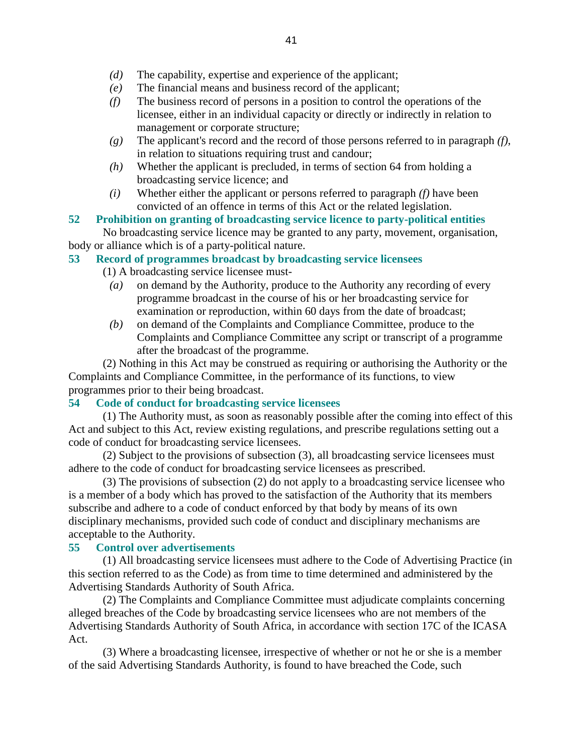- *(d)* The capability, expertise and experience of the applicant;
- *(e)* The financial means and business record of the applicant;
- *(f)* The business record of persons in a position to control the operations of the licensee, either in an individual capacity or directly or indirectly in relation to management or corporate structure;
- *(g)* The applicant's record and the record of those persons referred to in paragraph *(f)*, in relation to situations requiring trust and candour;
- *(h)* Whether the applicant is precluded, in terms of section 64 from holding a broadcasting service licence; and
- *(i)* Whether either the applicant or persons referred to paragraph *(f)* have been convicted of an offence in terms of this Act or the related legislation.

### **52 Prohibition on granting of broadcasting service licence to party-political entities**

 No broadcasting service licence may be granted to any party, movement, organisation, body or alliance which is of a party-political nature.

### **53 Record of programmes broadcast by broadcasting service licensees**

(1) A broadcasting service licensee must-

- *(a)* on demand by the Authority, produce to the Authority any recording of every programme broadcast in the course of his or her broadcasting service for examination or reproduction, within 60 days from the date of broadcast;
- *(b)* on demand of the Complaints and Compliance Committee, produce to the Complaints and Compliance Committee any script or transcript of a programme after the broadcast of the programme.

 (2) Nothing in this Act may be construed as requiring or authorising the Authority or the Complaints and Compliance Committee, in the performance of its functions, to view programmes prior to their being broadcast.

### **54 Code of conduct for broadcasting service licensees**

 (1) The Authority must, as soon as reasonably possible after the coming into effect of this Act and subject to this Act, review existing regulations, and prescribe regulations setting out a code of conduct for broadcasting service licensees.

 (2) Subject to the provisions of subsection (3), all broadcasting service licensees must adhere to the code of conduct for broadcasting service licensees as prescribed.

 (3) The provisions of subsection (2) do not apply to a broadcasting service licensee who is a member of a body which has proved to the satisfaction of the Authority that its members subscribe and adhere to a code of conduct enforced by that body by means of its own disciplinary mechanisms, provided such code of conduct and disciplinary mechanisms are acceptable to the Authority.

### **55 Control over advertisements**

 (1) All broadcasting service licensees must adhere to the Code of Advertising Practice (in this section referred to as the Code) as from time to time determined and administered by the Advertising Standards Authority of South Africa.

 (2) The Complaints and Compliance Committee must adjudicate complaints concerning alleged breaches of the Code by broadcasting service licensees who are not members of the Advertising Standards Authority of South Africa, in accordance with section 17C of the ICASA Act.

 (3) Where a broadcasting licensee, irrespective of whether or not he or she is a member of the said Advertising Standards Authority, is found to have breached the Code, such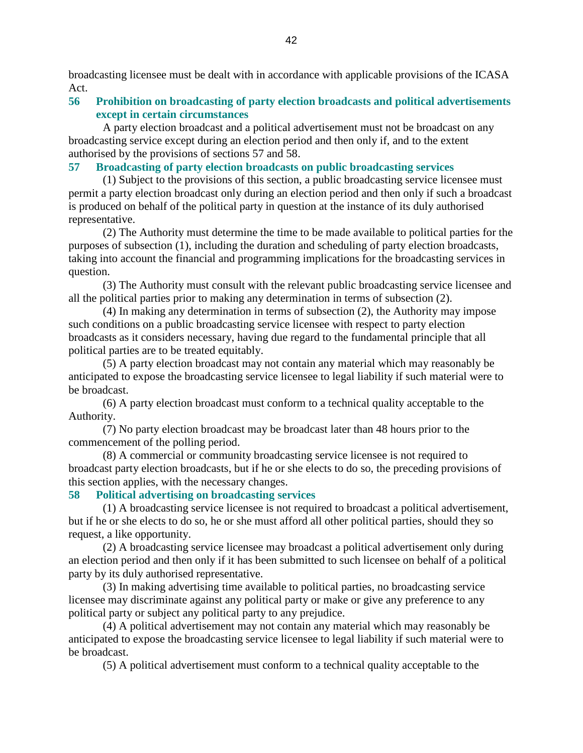broadcasting licensee must be dealt with in accordance with applicable provisions of the ICASA Act.

#### **56 Prohibition on broadcasting of party election broadcasts and political advertisements except in certain circumstances**

 A party election broadcast and a political advertisement must not be broadcast on any broadcasting service except during an election period and then only if, and to the extent authorised by the provisions of sections 57 and 58.

#### **57 Broadcasting of party election broadcasts on public broadcasting services**

 (1) Subject to the provisions of this section, a public broadcasting service licensee must permit a party election broadcast only during an election period and then only if such a broadcast is produced on behalf of the political party in question at the instance of its duly authorised representative.

 (2) The Authority must determine the time to be made available to political parties for the purposes of subsection (1), including the duration and scheduling of party election broadcasts, taking into account the financial and programming implications for the broadcasting services in question.

 (3) The Authority must consult with the relevant public broadcasting service licensee and all the political parties prior to making any determination in terms of subsection (2).

 (4) In making any determination in terms of subsection (2), the Authority may impose such conditions on a public broadcasting service licensee with respect to party election broadcasts as it considers necessary, having due regard to the fundamental principle that all political parties are to be treated equitably.

 (5) A party election broadcast may not contain any material which may reasonably be anticipated to expose the broadcasting service licensee to legal liability if such material were to be broadcast.

 (6) A party election broadcast must conform to a technical quality acceptable to the Authority.

 (7) No party election broadcast may be broadcast later than 48 hours prior to the commencement of the polling period.

 (8) A commercial or community broadcasting service licensee is not required to broadcast party election broadcasts, but if he or she elects to do so, the preceding provisions of this section applies, with the necessary changes.

#### **58 Political advertising on broadcasting services**

 (1) A broadcasting service licensee is not required to broadcast a political advertisement, but if he or she elects to do so, he or she must afford all other political parties, should they so request, a like opportunity.

 (2) A broadcasting service licensee may broadcast a political advertisement only during an election period and then only if it has been submitted to such licensee on behalf of a political party by its duly authorised representative.

 (3) In making advertising time available to political parties, no broadcasting service licensee may discriminate against any political party or make or give any preference to any political party or subject any political party to any prejudice.

 (4) A political advertisement may not contain any material which may reasonably be anticipated to expose the broadcasting service licensee to legal liability if such material were to be broadcast.

(5) A political advertisement must conform to a technical quality acceptable to the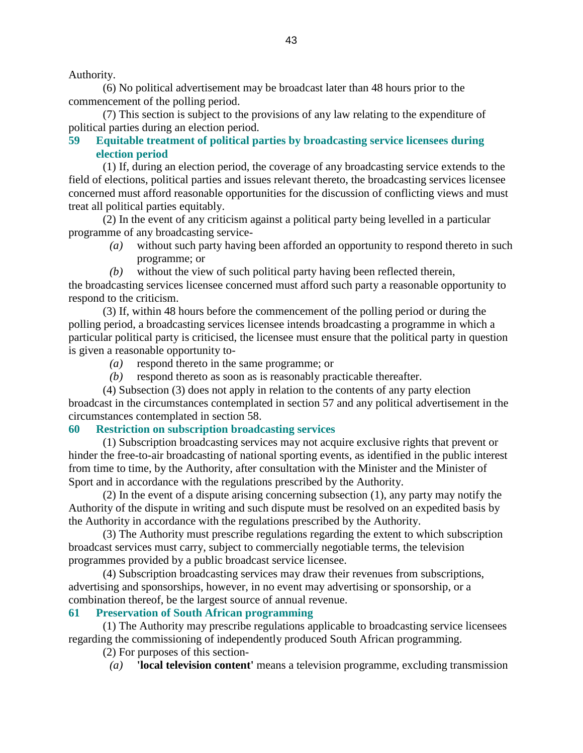Authority.

 (6) No political advertisement may be broadcast later than 48 hours prior to the commencement of the polling period.

 (7) This section is subject to the provisions of any law relating to the expenditure of political parties during an election period.

### **59 Equitable treatment of political parties by broadcasting service licensees during election period**

 (1) If, during an election period, the coverage of any broadcasting service extends to the field of elections, political parties and issues relevant thereto, the broadcasting services licensee concerned must afford reasonable opportunities for the discussion of conflicting views and must treat all political parties equitably.

 (2) In the event of any criticism against a political party being levelled in a particular programme of any broadcasting service-

- *(a)* without such party having been afforded an opportunity to respond thereto in such programme; or
- *(b)* without the view of such political party having been reflected therein,

the broadcasting services licensee concerned must afford such party a reasonable opportunity to respond to the criticism.

 (3) If, within 48 hours before the commencement of the polling period or during the polling period, a broadcasting services licensee intends broadcasting a programme in which a particular political party is criticised, the licensee must ensure that the political party in question is given a reasonable opportunity to-

- *(a)* respond thereto in the same programme; or
- *(b)* respond thereto as soon as is reasonably practicable thereafter.

 (4) Subsection (3) does not apply in relation to the contents of any party election broadcast in the circumstances contemplated in section 57 and any political advertisement in the circumstances contemplated in section 58.

#### **60 Restriction on subscription broadcasting services**

 (1) Subscription broadcasting services may not acquire exclusive rights that prevent or hinder the free-to-air broadcasting of national sporting events, as identified in the public interest from time to time, by the Authority, after consultation with the Minister and the Minister of Sport and in accordance with the regulations prescribed by the Authority.

 (2) In the event of a dispute arising concerning subsection (1), any party may notify the Authority of the dispute in writing and such dispute must be resolved on an expedited basis by the Authority in accordance with the regulations prescribed by the Authority.

 (3) The Authority must prescribe regulations regarding the extent to which subscription broadcast services must carry, subject to commercially negotiable terms, the television programmes provided by a public broadcast service licensee.

 (4) Subscription broadcasting services may draw their revenues from subscriptions, advertising and sponsorships, however, in no event may advertising or sponsorship, or a combination thereof, be the largest source of annual revenue.

#### **61 Preservation of South African programming**

 (1) The Authority may prescribe regulations applicable to broadcasting service licensees regarding the commissioning of independently produced South African programming.

(2) For purposes of this section-

*(a)* **'local television content'** means a television programme, excluding transmission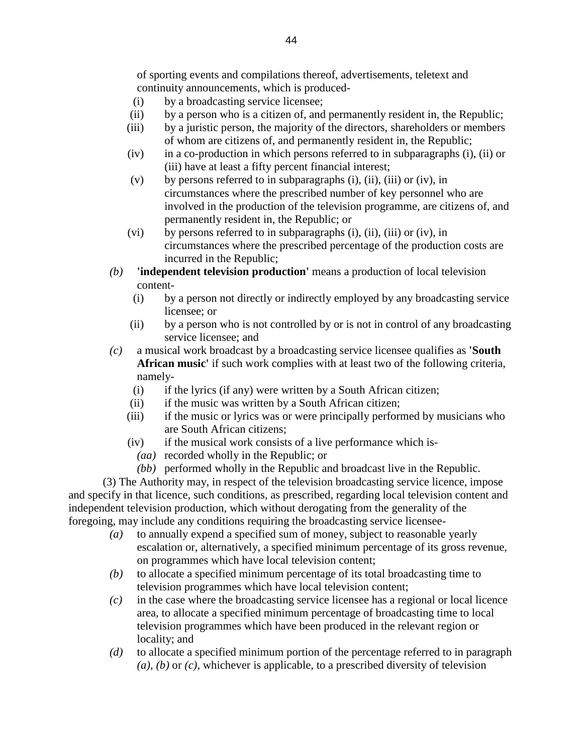of sporting events and compilations thereof, advertisements, teletext and continuity announcements, which is produced-

- (i) by a broadcasting service licensee;
- (ii) by a person who is a citizen of, and permanently resident in, the Republic;
- (iii) by a juristic person, the majority of the directors, shareholders or members of whom are citizens of, and permanently resident in, the Republic;
- (iv) in a co-production in which persons referred to in subparagraphs (i), (ii) or (iii) have at least a fifty percent financial interest;
- (v) by persons referred to in subparagraphs (i), (ii), (iii) or (iv), in circumstances where the prescribed number of key personnel who are involved in the production of the television programme, are citizens of, and permanently resident in, the Republic; or
- $(vi)$  by persons referred to in subparagraphs (i), (ii), (iii) or (iv), in circumstances where the prescribed percentage of the production costs are incurred in the Republic;
- *(b)* **'independent television production'** means a production of local television content-
	- (i) by a person not directly or indirectly employed by any broadcasting service licensee; or
	- (ii) by a person who is not controlled by or is not in control of any broadcasting service licensee; and
- *(c)* a musical work broadcast by a broadcasting service licensee qualifies as **'South African music'** if such work complies with at least two of the following criteria, namely-
	- (i) if the lyrics (if any) were written by a South African citizen;
	- (ii) if the music was written by a South African citizen;
	- (iii) if the music or lyrics was or were principally performed by musicians who are South African citizens;
	- (iv) if the musical work consists of a live performance which is-
		- *(aa)* recorded wholly in the Republic; or
		- *(bb)* performed wholly in the Republic and broadcast live in the Republic.

 (3) The Authority may, in respect of the television broadcasting service licence, impose and specify in that licence, such conditions, as prescribed, regarding local television content and independent television production, which without derogating from the generality of the foregoing, may include any conditions requiring the broadcasting service licensee-

- *(a)* to annually expend a specified sum of money, subject to reasonable yearly escalation or, alternatively, a specified minimum percentage of its gross revenue, on programmes which have local television content;
- *(b)* to allocate a specified minimum percentage of its total broadcasting time to television programmes which have local television content;
- *(c)* in the case where the broadcasting service licensee has a regional or local licence area, to allocate a specified minimum percentage of broadcasting time to local television programmes which have been produced in the relevant region or locality; and
- *(d)* to allocate a specified minimum portion of the percentage referred to in paragraph *(a)*, *(b)* or *(c)*, whichever is applicable, to a prescribed diversity of television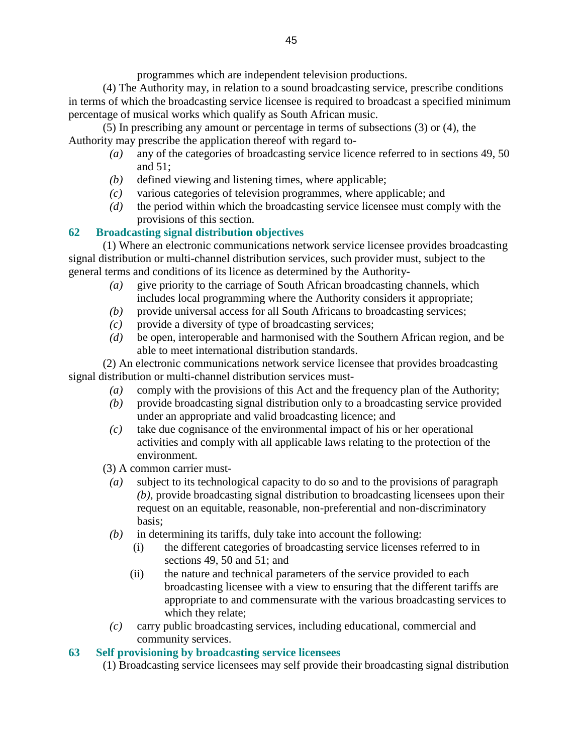programmes which are independent television productions.

 (4) The Authority may, in relation to a sound broadcasting service, prescribe conditions in terms of which the broadcasting service licensee is required to broadcast a specified minimum percentage of musical works which qualify as South African music.

 (5) In prescribing any amount or percentage in terms of subsections (3) or (4), the Authority may prescribe the application thereof with regard to-

- *(a)* any of the categories of broadcasting service licence referred to in sections 49, 50 and 51;
- *(b)* defined viewing and listening times, where applicable;
- *(c)* various categories of television programmes, where applicable; and
- *(d)* the period within which the broadcasting service licensee must comply with the provisions of this section.

# **62 Broadcasting signal distribution objectives**

 (1) Where an electronic communications network service licensee provides broadcasting signal distribution or multi-channel distribution services, such provider must, subject to the general terms and conditions of its licence as determined by the Authority-

- *(a)* give priority to the carriage of South African broadcasting channels, which includes local programming where the Authority considers it appropriate;
- *(b)* provide universal access for all South Africans to broadcasting services;
- *(c)* provide a diversity of type of broadcasting services;
- *(d)* be open, interoperable and harmonised with the Southern African region, and be able to meet international distribution standards.

 (2) An electronic communications network service licensee that provides broadcasting signal distribution or multi-channel distribution services must-

- *(a)* comply with the provisions of this Act and the frequency plan of the Authority;
- *(b)* provide broadcasting signal distribution only to a broadcasting service provided under an appropriate and valid broadcasting licence; and
- *(c)* take due cognisance of the environmental impact of his or her operational activities and comply with all applicable laws relating to the protection of the environment.
- (3) A common carrier must-
	- *(a)* subject to its technological capacity to do so and to the provisions of paragraph *(b)*, provide broadcasting signal distribution to broadcasting licensees upon their request on an equitable, reasonable, non-preferential and non-discriminatory basis;
	- *(b)* in determining its tariffs, duly take into account the following:
		- (i) the different categories of broadcasting service licenses referred to in sections 49, 50 and 51; and
		- (ii) the nature and technical parameters of the service provided to each broadcasting licensee with a view to ensuring that the different tariffs are appropriate to and commensurate with the various broadcasting services to which they relate;
	- *(c)* carry public broadcasting services, including educational, commercial and community services.

# **63 Self provisioning by broadcasting service licensees**

(1) Broadcasting service licensees may self provide their broadcasting signal distribution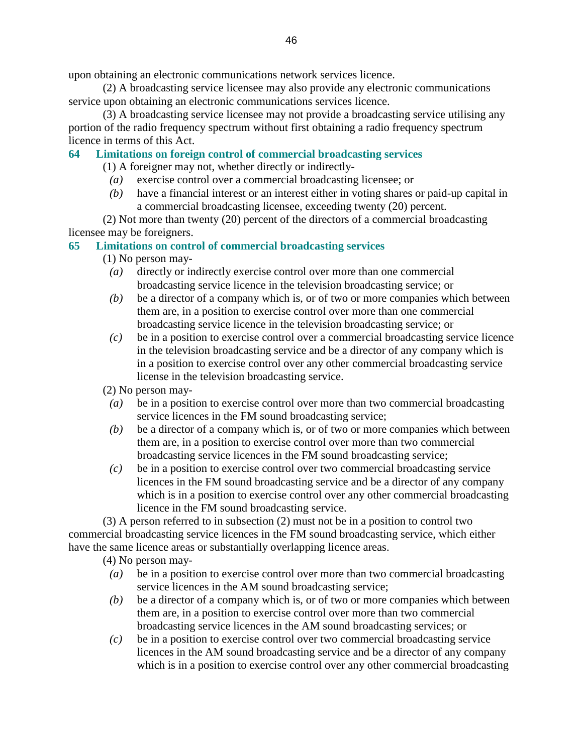upon obtaining an electronic communications network services licence.

 (2) A broadcasting service licensee may also provide any electronic communications service upon obtaining an electronic communications services licence.

 (3) A broadcasting service licensee may not provide a broadcasting service utilising any portion of the radio frequency spectrum without first obtaining a radio frequency spectrum licence in terms of this Act.

#### **64 Limitations on foreign control of commercial broadcasting services**

(1) A foreigner may not, whether directly or indirectly-

- *(a)* exercise control over a commercial broadcasting licensee; or
- *(b)* have a financial interest or an interest either in voting shares or paid-up capital in a commercial broadcasting licensee, exceeding twenty (20) percent.

 (2) Not more than twenty (20) percent of the directors of a commercial broadcasting licensee may be foreigners.

### **65 Limitations on control of commercial broadcasting services**

- (1) No person may-
	- *(a)* directly or indirectly exercise control over more than one commercial broadcasting service licence in the television broadcasting service; or
	- *(b)* be a director of a company which is, or of two or more companies which between them are, in a position to exercise control over more than one commercial broadcasting service licence in the television broadcasting service; or
	- *(c)* be in a position to exercise control over a commercial broadcasting service licence in the television broadcasting service and be a director of any company which is in a position to exercise control over any other commercial broadcasting service license in the television broadcasting service.

(2) No person may-

- *(a)* be in a position to exercise control over more than two commercial broadcasting service licences in the FM sound broadcasting service;
- *(b)* be a director of a company which is, or of two or more companies which between them are, in a position to exercise control over more than two commercial broadcasting service licences in the FM sound broadcasting service;
- *(c)* be in a position to exercise control over two commercial broadcasting service licences in the FM sound broadcasting service and be a director of any company which is in a position to exercise control over any other commercial broadcasting licence in the FM sound broadcasting service.

 (3) A person referred to in subsection (2) must not be in a position to control two commercial broadcasting service licences in the FM sound broadcasting service, which either have the same licence areas or substantially overlapping licence areas.

(4) No person may-

- *(a)* be in a position to exercise control over more than two commercial broadcasting service licences in the AM sound broadcasting service;
- *(b)* be a director of a company which is, or of two or more companies which between them are, in a position to exercise control over more than two commercial broadcasting service licences in the AM sound broadcasting services; or
- *(c)* be in a position to exercise control over two commercial broadcasting service licences in the AM sound broadcasting service and be a director of any company which is in a position to exercise control over any other commercial broadcasting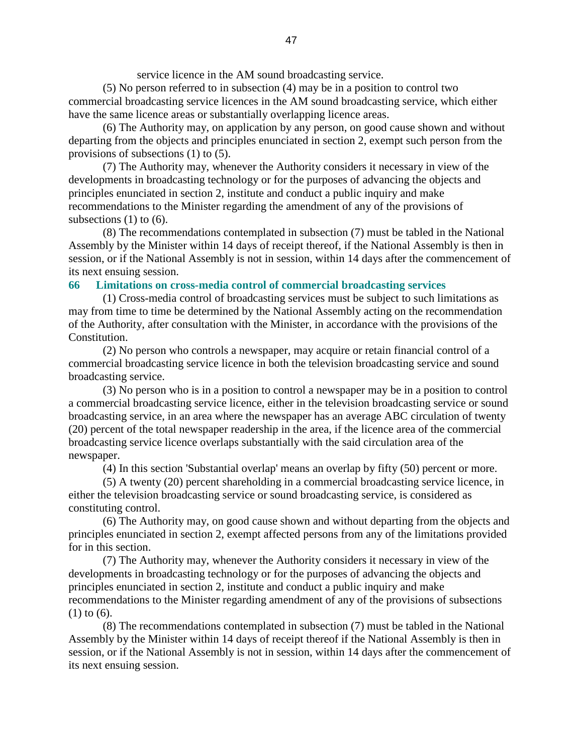service licence in the AM sound broadcasting service.

 (5) No person referred to in subsection (4) may be in a position to control two commercial broadcasting service licences in the AM sound broadcasting service, which either have the same licence areas or substantially overlapping licence areas.

 (6) The Authority may, on application by any person, on good cause shown and without departing from the objects and principles enunciated in section 2, exempt such person from the provisions of subsections (1) to (5).

 (7) The Authority may, whenever the Authority considers it necessary in view of the developments in broadcasting technology or for the purposes of advancing the objects and principles enunciated in section 2, institute and conduct a public inquiry and make recommendations to the Minister regarding the amendment of any of the provisions of subsections  $(1)$  to  $(6)$ .

 (8) The recommendations contemplated in subsection (7) must be tabled in the National Assembly by the Minister within 14 days of receipt thereof, if the National Assembly is then in session, or if the National Assembly is not in session, within 14 days after the commencement of its next ensuing session.

#### **66 Limitations on cross-media control of commercial broadcasting services**

 (1) Cross-media control of broadcasting services must be subject to such limitations as may from time to time be determined by the National Assembly acting on the recommendation of the Authority, after consultation with the Minister, in accordance with the provisions of the Constitution.

 (2) No person who controls a newspaper, may acquire or retain financial control of a commercial broadcasting service licence in both the television broadcasting service and sound broadcasting service.

 (3) No person who is in a position to control a newspaper may be in a position to control a commercial broadcasting service licence, either in the television broadcasting service or sound broadcasting service, in an area where the newspaper has an average ABC circulation of twenty (20) percent of the total newspaper readership in the area, if the licence area of the commercial broadcasting service licence overlaps substantially with the said circulation area of the newspaper.

(4) In this section 'Substantial overlap' means an overlap by fifty (50) percent or more.

 (5) A twenty (20) percent shareholding in a commercial broadcasting service licence, in either the television broadcasting service or sound broadcasting service, is considered as constituting control.

 (6) The Authority may, on good cause shown and without departing from the objects and principles enunciated in section 2, exempt affected persons from any of the limitations provided for in this section.

 (7) The Authority may, whenever the Authority considers it necessary in view of the developments in broadcasting technology or for the purposes of advancing the objects and principles enunciated in section 2, institute and conduct a public inquiry and make recommendations to the Minister regarding amendment of any of the provisions of subsections (1) to (6).

 (8) The recommendations contemplated in subsection (7) must be tabled in the National Assembly by the Minister within 14 days of receipt thereof if the National Assembly is then in session, or if the National Assembly is not in session, within 14 days after the commencement of its next ensuing session.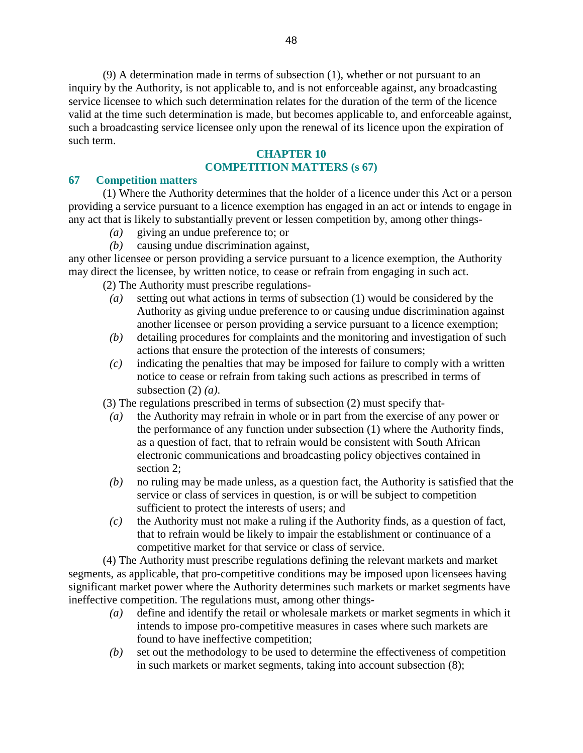(9) A determination made in terms of subsection (1), whether or not pursuant to an inquiry by the Authority, is not applicable to, and is not enforceable against, any broadcasting service licensee to which such determination relates for the duration of the term of the licence valid at the time such determination is made, but becomes applicable to, and enforceable against, such a broadcasting service licensee only upon the renewal of its licence upon the expiration of such term.

#### **CHAPTER 10 COMPETITION MATTERS (s 67)**

#### **67 Competition matters**

 (1) Where the Authority determines that the holder of a licence under this Act or a person providing a service pursuant to a licence exemption has engaged in an act or intends to engage in any act that is likely to substantially prevent or lessen competition by, among other things-

- *(a)* giving an undue preference to; or
- *(b)* causing undue discrimination against,

any other licensee or person providing a service pursuant to a licence exemption, the Authority may direct the licensee, by written notice, to cease or refrain from engaging in such act.

(2) The Authority must prescribe regulations-

- *(a)* setting out what actions in terms of subsection (1) would be considered by the Authority as giving undue preference to or causing undue discrimination against another licensee or person providing a service pursuant to a licence exemption;
- *(b)* detailing procedures for complaints and the monitoring and investigation of such actions that ensure the protection of the interests of consumers;
- *(c)* indicating the penalties that may be imposed for failure to comply with a written notice to cease or refrain from taking such actions as prescribed in terms of subsection (2) *(a)*.
- (3) The regulations prescribed in terms of subsection (2) must specify that-
	- *(a)* the Authority may refrain in whole or in part from the exercise of any power or the performance of any function under subsection (1) where the Authority finds, as a question of fact, that to refrain would be consistent with South African electronic communications and broadcasting policy objectives contained in section 2;
	- *(b)* no ruling may be made unless, as a question fact, the Authority is satisfied that the service or class of services in question, is or will be subject to competition sufficient to protect the interests of users; and
- *(c)* the Authority must not make a ruling if the Authority finds, as a question of fact, that to refrain would be likely to impair the establishment or continuance of a competitive market for that service or class of service.

 (4) The Authority must prescribe regulations defining the relevant markets and market segments, as applicable, that pro-competitive conditions may be imposed upon licensees having significant market power where the Authority determines such markets or market segments have ineffective competition. The regulations must, among other things-

- *(a)* define and identify the retail or wholesale markets or market segments in which it intends to impose pro-competitive measures in cases where such markets are found to have ineffective competition;
- *(b)* set out the methodology to be used to determine the effectiveness of competition in such markets or market segments, taking into account subsection (8);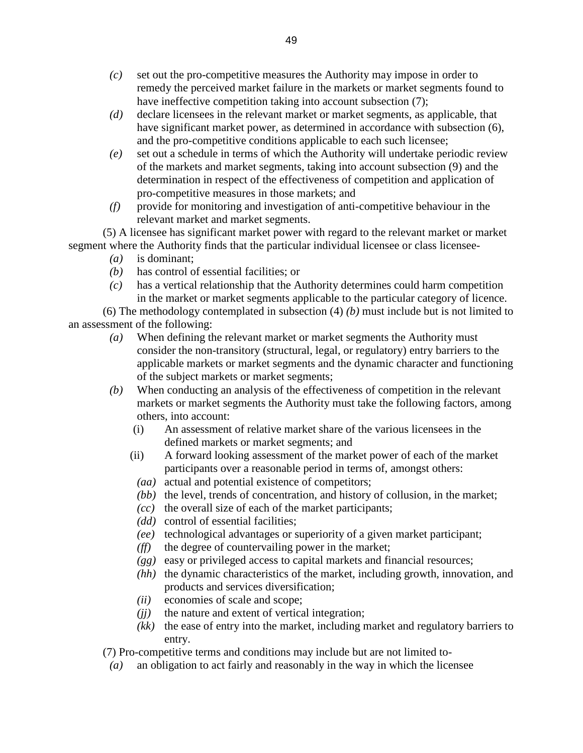- *(c)* set out the pro-competitive measures the Authority may impose in order to remedy the perceived market failure in the markets or market segments found to have ineffective competition taking into account subsection (7);
- *(d)* declare licensees in the relevant market or market segments, as applicable, that have significant market power, as determined in accordance with subsection  $(6)$ , and the pro-competitive conditions applicable to each such licensee;
- *(e)* set out a schedule in terms of which the Authority will undertake periodic review of the markets and market segments, taking into account subsection (9) and the determination in respect of the effectiveness of competition and application of pro-competitive measures in those markets; and
- *(f)* provide for monitoring and investigation of anti-competitive behaviour in the relevant market and market segments.

 (5) A licensee has significant market power with regard to the relevant market or market segment where the Authority finds that the particular individual licensee or class licensee-

- *(a)* is dominant;
- *(b)* has control of essential facilities; or
- *(c)* has a vertical relationship that the Authority determines could harm competition in the market or market segments applicable to the particular category of licence.

 (6) The methodology contemplated in subsection (4) *(b)* must include but is not limited to an assessment of the following:

- *(a)* When defining the relevant market or market segments the Authority must consider the non-transitory (structural, legal, or regulatory) entry barriers to the applicable markets or market segments and the dynamic character and functioning of the subject markets or market segments;
- *(b)* When conducting an analysis of the effectiveness of competition in the relevant markets or market segments the Authority must take the following factors, among others, into account:
	- (i) An assessment of relative market share of the various licensees in the defined markets or market segments; and
	- (ii) A forward looking assessment of the market power of each of the market participants over a reasonable period in terms of, amongst others:
	- *(aa)* actual and potential existence of competitors;
	- *(bb)* the level, trends of concentration, and history of collusion, in the market;
	- *(cc)* the overall size of each of the market participants;
	- *(dd)* control of essential facilities;
	- *(ee)* technological advantages or superiority of a given market participant;
	- *(ff)* the degree of countervailing power in the market;
	- *(gg)* easy or privileged access to capital markets and financial resources;
	- *(hh)* the dynamic characteristics of the market, including growth, innovation, and products and services diversification;
	- *(ii)* economies of scale and scope;
	- *(jj)* the nature and extent of vertical integration;
	- *(kk)* the ease of entry into the market, including market and regulatory barriers to entry.

(7) Pro-competitive terms and conditions may include but are not limited to-

*(a)* an obligation to act fairly and reasonably in the way in which the licensee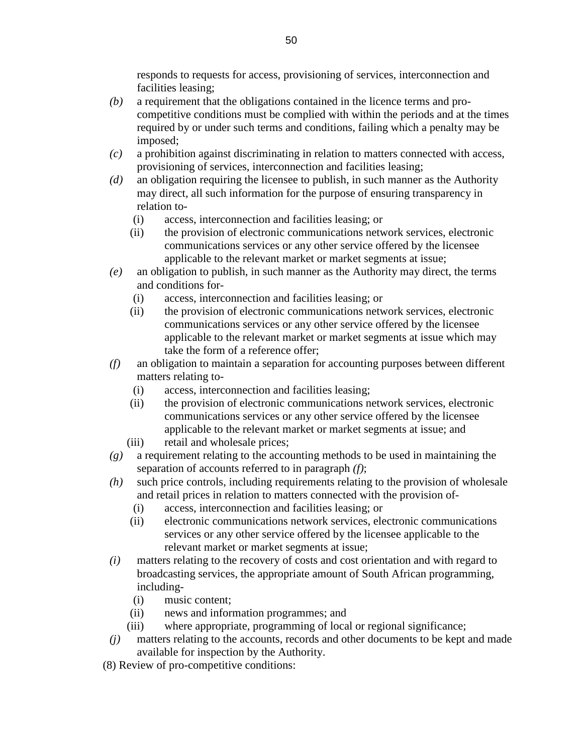responds to requests for access, provisioning of services, interconnection and facilities leasing;

- *(b)* a requirement that the obligations contained in the licence terms and procompetitive conditions must be complied with within the periods and at the times required by or under such terms and conditions, failing which a penalty may be imposed;
- *(c)* a prohibition against discriminating in relation to matters connected with access, provisioning of services, interconnection and facilities leasing;
- *(d)* an obligation requiring the licensee to publish, in such manner as the Authority may direct, all such information for the purpose of ensuring transparency in relation to-
	- (i) access, interconnection and facilities leasing; or
	- (ii) the provision of electronic communications network services, electronic communications services or any other service offered by the licensee applicable to the relevant market or market segments at issue;
- *(e)* an obligation to publish, in such manner as the Authority may direct, the terms and conditions for-
	- (i) access, interconnection and facilities leasing; or
	- (ii) the provision of electronic communications network services, electronic communications services or any other service offered by the licensee applicable to the relevant market or market segments at issue which may take the form of a reference offer;
- *(f)* an obligation to maintain a separation for accounting purposes between different matters relating to-
	- (i) access, interconnection and facilities leasing;
	- (ii) the provision of electronic communications network services, electronic communications services or any other service offered by the licensee applicable to the relevant market or market segments at issue; and
	- (iii) retail and wholesale prices;
- *(g)* a requirement relating to the accounting methods to be used in maintaining the separation of accounts referred to in paragraph *(f)*;
- *(h)* such price controls, including requirements relating to the provision of wholesale and retail prices in relation to matters connected with the provision of-
	- (i) access, interconnection and facilities leasing; or
	- (ii) electronic communications network services, electronic communications services or any other service offered by the licensee applicable to the relevant market or market segments at issue;
- *(i)* matters relating to the recovery of costs and cost orientation and with regard to broadcasting services, the appropriate amount of South African programming, including-
	- (i) music content;
	- (ii) news and information programmes; and
	- (iii) where appropriate, programming of local or regional significance;
- *(j)* matters relating to the accounts, records and other documents to be kept and made available for inspection by the Authority.
- (8) Review of pro-competitive conditions: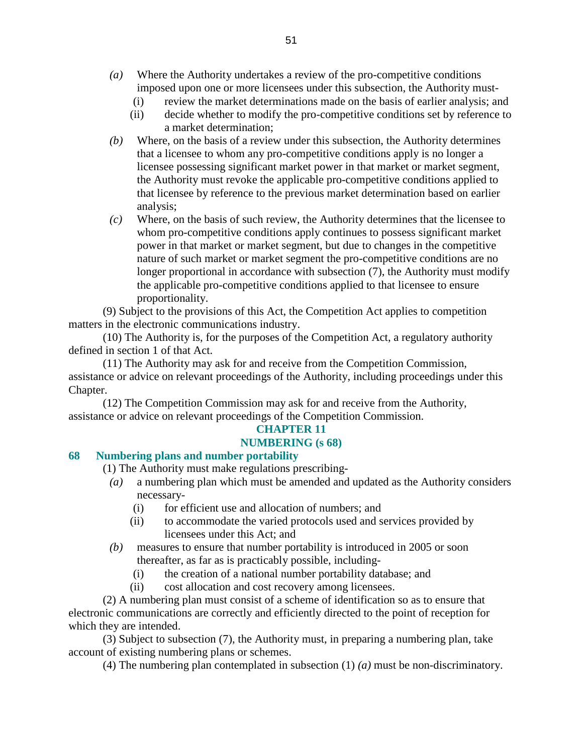- *(a)* Where the Authority undertakes a review of the pro-competitive conditions imposed upon one or more licensees under this subsection, the Authority must-
	- (i) review the market determinations made on the basis of earlier analysis; and
	- (ii) decide whether to modify the pro-competitive conditions set by reference to a market determination;
- *(b)* Where, on the basis of a review under this subsection, the Authority determines that a licensee to whom any pro-competitive conditions apply is no longer a licensee possessing significant market power in that market or market segment, the Authority must revoke the applicable pro-competitive conditions applied to that licensee by reference to the previous market determination based on earlier analysis;
- *(c)* Where, on the basis of such review, the Authority determines that the licensee to whom pro-competitive conditions apply continues to possess significant market power in that market or market segment, but due to changes in the competitive nature of such market or market segment the pro-competitive conditions are no longer proportional in accordance with subsection (7), the Authority must modify the applicable pro-competitive conditions applied to that licensee to ensure proportionality.

 (9) Subject to the provisions of this Act, the Competition Act applies to competition matters in the electronic communications industry.

 (10) The Authority is, for the purposes of the Competition Act, a regulatory authority defined in section 1 of that Act.

 (11) The Authority may ask for and receive from the Competition Commission, assistance or advice on relevant proceedings of the Authority, including proceedings under this Chapter.

 (12) The Competition Commission may ask for and receive from the Authority, assistance or advice on relevant proceedings of the Competition Commission.

# **CHAPTER 11**

### **NUMBERING (s 68)**

### **68 Numbering plans and number portability**

(1) The Authority must make regulations prescribing-

- *(a)* a numbering plan which must be amended and updated as the Authority considers necessary-
	- (i) for efficient use and allocation of numbers; and
	- (ii) to accommodate the varied protocols used and services provided by licensees under this Act; and
- *(b)* measures to ensure that number portability is introduced in 2005 or soon thereafter, as far as is practicably possible, including-
	- (i) the creation of a national number portability database; and
	- (ii) cost allocation and cost recovery among licensees.

 (2) A numbering plan must consist of a scheme of identification so as to ensure that electronic communications are correctly and efficiently directed to the point of reception for which they are intended.

 (3) Subject to subsection (7), the Authority must, in preparing a numbering plan, take account of existing numbering plans or schemes.

(4) The numbering plan contemplated in subsection (1) *(a)* must be non-discriminatory.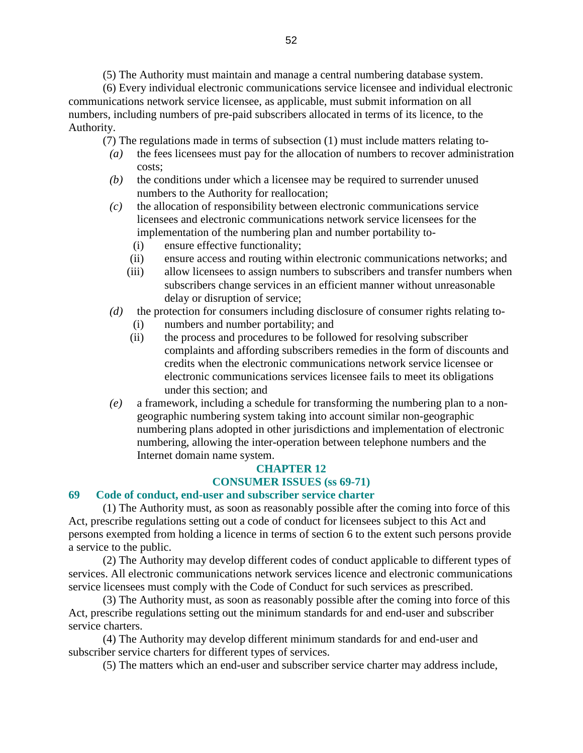(5) The Authority must maintain and manage a central numbering database system.

 (6) Every individual electronic communications service licensee and individual electronic communications network service licensee, as applicable, must submit information on all numbers, including numbers of pre-paid subscribers allocated in terms of its licence, to the Authority.

(7) The regulations made in terms of subsection (1) must include matters relating to-

- *(a)* the fees licensees must pay for the allocation of numbers to recover administration costs;
- *(b)* the conditions under which a licensee may be required to surrender unused numbers to the Authority for reallocation;
- *(c)* the allocation of responsibility between electronic communications service licensees and electronic communications network service licensees for the implementation of the numbering plan and number portability to-
	- (i) ensure effective functionality;
	- (ii) ensure access and routing within electronic communications networks; and
	- (iii) allow licensees to assign numbers to subscribers and transfer numbers when subscribers change services in an efficient manner without unreasonable delay or disruption of service;
- *(d)* the protection for consumers including disclosure of consumer rights relating to- (i) numbers and number portability; and
	- (ii) the process and procedures to be followed for resolving subscriber complaints and affording subscribers remedies in the form of discounts and credits when the electronic communications network service licensee or electronic communications services licensee fails to meet its obligations under this section; and
- *(e)* a framework, including a schedule for transforming the numbering plan to a nongeographic numbering system taking into account similar non-geographic numbering plans adopted in other jurisdictions and implementation of electronic numbering, allowing the inter-operation between telephone numbers and the Internet domain name system.

# **CHAPTER 12**

# **CONSUMER ISSUES (ss 69-71)**

#### **69 Code of conduct, end-user and subscriber service charter**

 (1) The Authority must, as soon as reasonably possible after the coming into force of this Act, prescribe regulations setting out a code of conduct for licensees subject to this Act and persons exempted from holding a licence in terms of section 6 to the extent such persons provide a service to the public.

 (2) The Authority may develop different codes of conduct applicable to different types of services. All electronic communications network services licence and electronic communications service licensees must comply with the Code of Conduct for such services as prescribed.

 (3) The Authority must, as soon as reasonably possible after the coming into force of this Act, prescribe regulations setting out the minimum standards for and end-user and subscriber service charters.

 (4) The Authority may develop different minimum standards for and end-user and subscriber service charters for different types of services.

(5) The matters which an end-user and subscriber service charter may address include,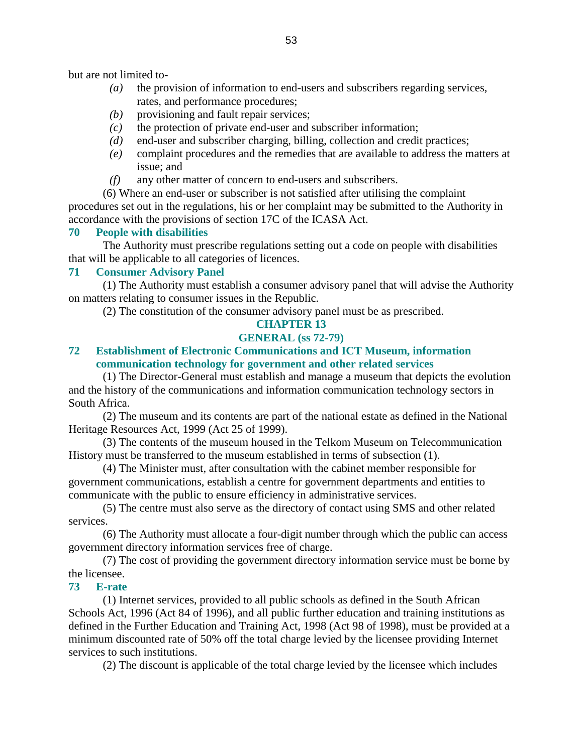but are not limited to-

- *(a)* the provision of information to end-users and subscribers regarding services, rates, and performance procedures;
- *(b)* provisioning and fault repair services;
- *(c)* the protection of private end-user and subscriber information;
- *(d)* end-user and subscriber charging, billing, collection and credit practices;
- *(e)* complaint procedures and the remedies that are available to address the matters at issue; and
- *(f)* any other matter of concern to end-users and subscribers.

 (6) Where an end-user or subscriber is not satisfied after utilising the complaint procedures set out in the regulations, his or her complaint may be submitted to the Authority in accordance with the provisions of section 17C of the ICASA Act.

#### **70 People with disabilities**

 The Authority must prescribe regulations setting out a code on people with disabilities that will be applicable to all categories of licences.

#### **71 Consumer Advisory Panel**

 (1) The Authority must establish a consumer advisory panel that will advise the Authority on matters relating to consumer issues in the Republic.

(2) The constitution of the consumer advisory panel must be as prescribed.

# **CHAPTER 13**

### **GENERAL (ss 72-79)**

# **72 Establishment of Electronic Communications and ICT Museum, information communication technology for government and other related services**

 (1) The Director-General must establish and manage a museum that depicts the evolution and the history of the communications and information communication technology sectors in South Africa.

 (2) The museum and its contents are part of the national estate as defined in the National Heritage Resources Act, 1999 (Act 25 of 1999).

 (3) The contents of the museum housed in the Telkom Museum on Telecommunication History must be transferred to the museum established in terms of subsection (1).

 (4) The Minister must, after consultation with the cabinet member responsible for government communications, establish a centre for government departments and entities to communicate with the public to ensure efficiency in administrative services.

 (5) The centre must also serve as the directory of contact using SMS and other related services.

 (6) The Authority must allocate a four-digit number through which the public can access government directory information services free of charge.

 (7) The cost of providing the government directory information service must be borne by the licensee.

#### **73 E-rate**

 (1) Internet services, provided to all public schools as defined in the South African Schools Act, 1996 (Act 84 of 1996), and all public further education and training institutions as defined in the Further Education and Training Act, 1998 (Act 98 of 1998), must be provided at a minimum discounted rate of 50% off the total charge levied by the licensee providing Internet services to such institutions.

(2) The discount is applicable of the total charge levied by the licensee which includes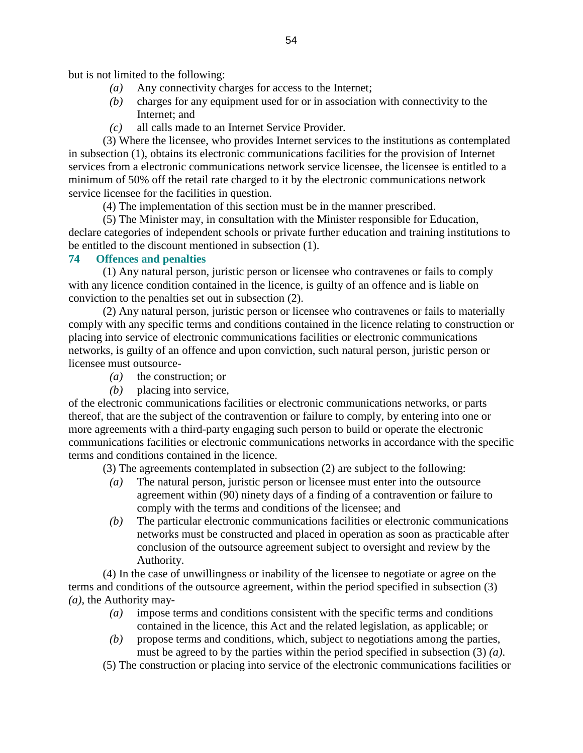but is not limited to the following:

- *(a)* Any connectivity charges for access to the Internet;
- *(b)* charges for any equipment used for or in association with connectivity to the Internet; and
- *(c)* all calls made to an Internet Service Provider.

 (3) Where the licensee, who provides Internet services to the institutions as contemplated in subsection (1), obtains its electronic communications facilities for the provision of Internet services from a electronic communications network service licensee, the licensee is entitled to a minimum of 50% off the retail rate charged to it by the electronic communications network service licensee for the facilities in question.

(4) The implementation of this section must be in the manner prescribed.

 (5) The Minister may, in consultation with the Minister responsible for Education, declare categories of independent schools or private further education and training institutions to be entitled to the discount mentioned in subsection (1).

#### **74 Offences and penalties**

 (1) Any natural person, juristic person or licensee who contravenes or fails to comply with any licence condition contained in the licence, is guilty of an offence and is liable on conviction to the penalties set out in subsection (2).

 (2) Any natural person, juristic person or licensee who contravenes or fails to materially comply with any specific terms and conditions contained in the licence relating to construction or placing into service of electronic communications facilities or electronic communications networks, is guilty of an offence and upon conviction, such natural person, juristic person or licensee must outsource-

- *(a)* the construction; or
- *(b)* placing into service,

of the electronic communications facilities or electronic communications networks, or parts thereof, that are the subject of the contravention or failure to comply, by entering into one or more agreements with a third-party engaging such person to build or operate the electronic communications facilities or electronic communications networks in accordance with the specific terms and conditions contained in the licence.

(3) The agreements contemplated in subsection (2) are subject to the following:

- *(a)* The natural person, juristic person or licensee must enter into the outsource agreement within (90) ninety days of a finding of a contravention or failure to comply with the terms and conditions of the licensee; and
- *(b)* The particular electronic communications facilities or electronic communications networks must be constructed and placed in operation as soon as practicable after conclusion of the outsource agreement subject to oversight and review by the Authority.

 (4) In the case of unwillingness or inability of the licensee to negotiate or agree on the terms and conditions of the outsource agreement, within the period specified in subsection (3) *(a)*, the Authority may-

- *(a)* impose terms and conditions consistent with the specific terms and conditions contained in the licence, this Act and the related legislation, as applicable; or
- *(b)* propose terms and conditions, which, subject to negotiations among the parties, must be agreed to by the parties within the period specified in subsection (3) *(a)*.
- (5) The construction or placing into service of the electronic communications facilities or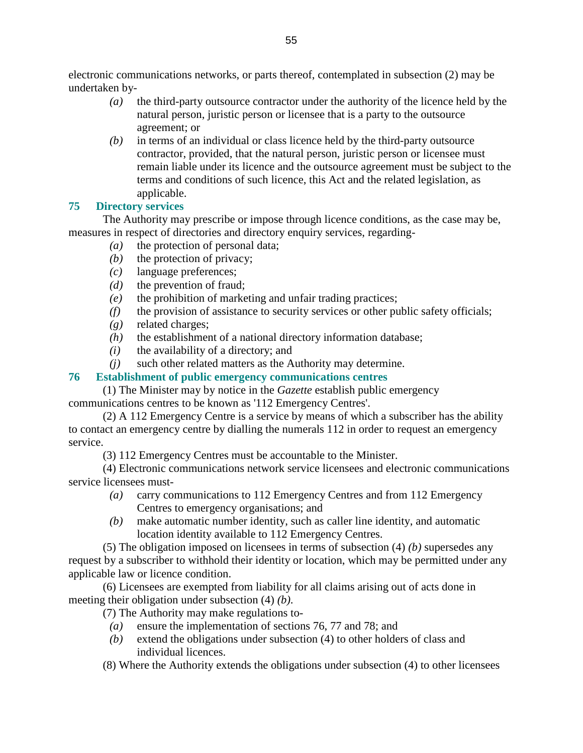electronic communications networks, or parts thereof, contemplated in subsection (2) may be undertaken by-

- *(a)* the third-party outsource contractor under the authority of the licence held by the natural person, juristic person or licensee that is a party to the outsource agreement; or
- *(b)* in terms of an individual or class licence held by the third-party outsource contractor, provided, that the natural person, juristic person or licensee must remain liable under its licence and the outsource agreement must be subject to the terms and conditions of such licence, this Act and the related legislation, as applicable.

# **75 Directory services**

 The Authority may prescribe or impose through licence conditions, as the case may be, measures in respect of directories and directory enquiry services, regarding-

- *(a)* the protection of personal data;
- *(b)* the protection of privacy;
- *(c)* language preferences;
- *(d)* the prevention of fraud;
- *(e)* the prohibition of marketing and unfair trading practices;
- *(f)* the provision of assistance to security services or other public safety officials;
- *(g)* related charges;
- *(h)* the establishment of a national directory information database;
- *(i)* the availability of a directory; and
- *(j)* such other related matters as the Authority may determine.

# **76 Establishment of public emergency communications centres**

 (1) The Minister may by notice in the *Gazette* establish public emergency communications centres to be known as '112 Emergency Centres'.

 (2) A 112 Emergency Centre is a service by means of which a subscriber has the ability to contact an emergency centre by dialling the numerals 112 in order to request an emergency service.

(3) 112 Emergency Centres must be accountable to the Minister.

 (4) Electronic communications network service licensees and electronic communications service licensees must-

- *(a)* carry communications to 112 Emergency Centres and from 112 Emergency Centres to emergency organisations; and
- *(b)* make automatic number identity, such as caller line identity, and automatic location identity available to 112 Emergency Centres.

 (5) The obligation imposed on licensees in terms of subsection (4) *(b)* supersedes any request by a subscriber to withhold their identity or location, which may be permitted under any applicable law or licence condition.

 (6) Licensees are exempted from liability for all claims arising out of acts done in meeting their obligation under subsection (4) *(b)*.

(7) The Authority may make regulations to-

- *(a)* ensure the implementation of sections 76, 77 and 78; and
- *(b)* extend the obligations under subsection (4) to other holders of class and individual licences.
- (8) Where the Authority extends the obligations under subsection (4) to other licensees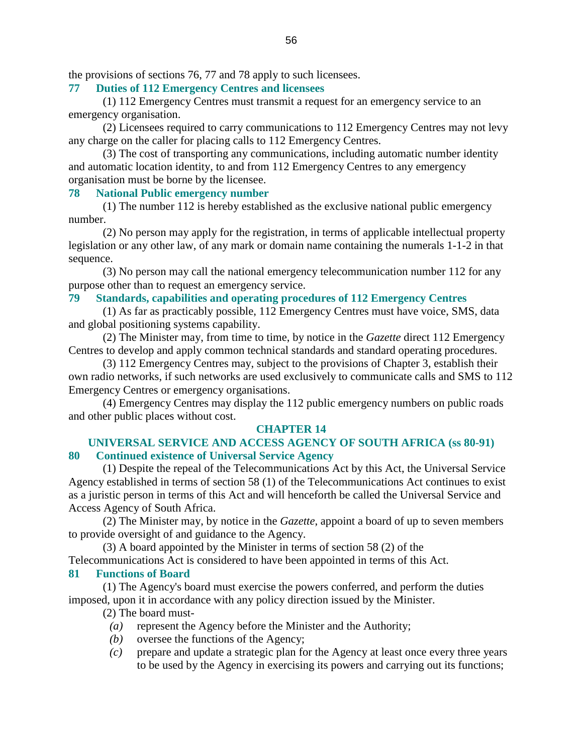the provisions of sections 76, 77 and 78 apply to such licensees.

#### **77 Duties of 112 Emergency Centres and licensees**

 (1) 112 Emergency Centres must transmit a request for an emergency service to an emergency organisation.

 (2) Licensees required to carry communications to 112 Emergency Centres may not levy any charge on the caller for placing calls to 112 Emergency Centres.

 (3) The cost of transporting any communications, including automatic number identity and automatic location identity, to and from 112 Emergency Centres to any emergency organisation must be borne by the licensee.

#### **78 National Public emergency number**

 (1) The number 112 is hereby established as the exclusive national public emergency number.

 (2) No person may apply for the registration, in terms of applicable intellectual property legislation or any other law, of any mark or domain name containing the numerals 1-1-2 in that sequence.

 (3) No person may call the national emergency telecommunication number 112 for any purpose other than to request an emergency service.

#### **79 Standards, capabilities and operating procedures of 112 Emergency Centres**

 (1) As far as practicably possible, 112 Emergency Centres must have voice, SMS, data and global positioning systems capability.

 (2) The Minister may, from time to time, by notice in the *Gazette* direct 112 Emergency Centres to develop and apply common technical standards and standard operating procedures.

 (3) 112 Emergency Centres may, subject to the provisions of Chapter 3, establish their own radio networks, if such networks are used exclusively to communicate calls and SMS to 112 Emergency Centres or emergency organisations.

 (4) Emergency Centres may display the 112 public emergency numbers on public roads and other public places without cost.

#### **CHAPTER 14**

### **UNIVERSAL SERVICE AND ACCESS AGENCY OF SOUTH AFRICA (ss 80-91) 80 Continued existence of Universal Service Agency**

 (1) Despite the repeal of the Telecommunications Act by this Act, the Universal Service Agency established in terms of section 58 (1) of the Telecommunications Act continues to exist as a juristic person in terms of this Act and will henceforth be called the Universal Service and Access Agency of South Africa.

 (2) The Minister may, by notice in the *Gazette*, appoint a board of up to seven members to provide oversight of and guidance to the Agency.

(3) A board appointed by the Minister in terms of section 58 (2) of the

Telecommunications Act is considered to have been appointed in terms of this Act.

#### **81 Functions of Board**

 (1) The Agency's board must exercise the powers conferred, and perform the duties imposed, upon it in accordance with any policy direction issued by the Minister.

(2) The board must-

- *(a)* represent the Agency before the Minister and the Authority;
- *(b)* oversee the functions of the Agency;
- *(c)* prepare and update a strategic plan for the Agency at least once every three years to be used by the Agency in exercising its powers and carrying out its functions;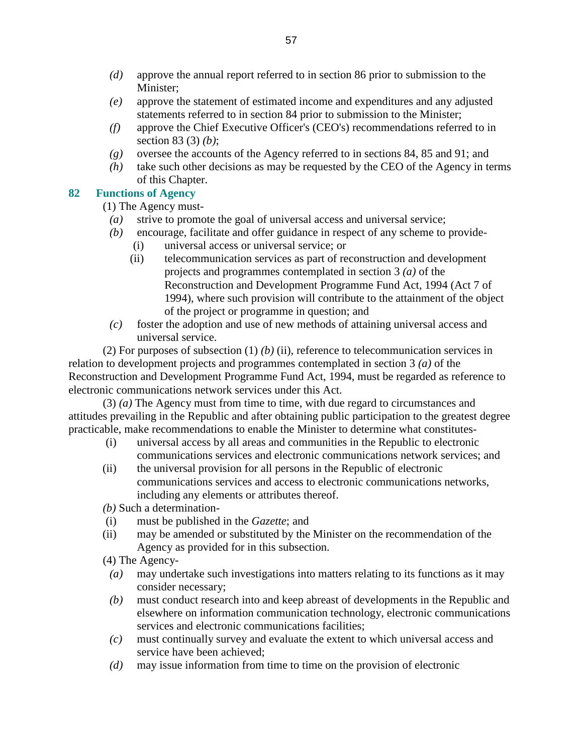- *(d)* approve the annual report referred to in section 86 prior to submission to the Minister;
- *(e)* approve the statement of estimated income and expenditures and any adjusted statements referred to in section 84 prior to submission to the Minister;
- *(f)* approve the Chief Executive Officer's (CEO's) recommendations referred to in section 83 (3) *(b)*;
- *(g)* oversee the accounts of the Agency referred to in sections 84, 85 and 91; and
- *(h)* take such other decisions as may be requested by the CEO of the Agency in terms of this Chapter.

# **82 Functions of Agency**

(1) The Agency must-

- *(a)* strive to promote the goal of universal access and universal service;
- *(b)* encourage, facilitate and offer guidance in respect of any scheme to provide-
	- (i) universal access or universal service; or
	- (ii) telecommunication services as part of reconstruction and development projects and programmes contemplated in section 3 *(a)* of the Reconstruction and Development Programme Fund Act, 1994 (Act 7 of 1994), where such provision will contribute to the attainment of the object of the project or programme in question; and
- *(c)* foster the adoption and use of new methods of attaining universal access and universal service.

 (2) For purposes of subsection (1) *(b)* (ii), reference to telecommunication services in relation to development projects and programmes contemplated in section 3 *(a)* of the Reconstruction and Development Programme Fund Act, 1994, must be regarded as reference to electronic communications network services under this Act.

 (3) *(a)* The Agency must from time to time, with due regard to circumstances and attitudes prevailing in the Republic and after obtaining public participation to the greatest degree practicable, make recommendations to enable the Minister to determine what constitutes-

- (i) universal access by all areas and communities in the Republic to electronic communications services and electronic communications network services; and
- (ii) the universal provision for all persons in the Republic of electronic communications services and access to electronic communications networks, including any elements or attributes thereof.

*(b)* Such a determination-

- (i) must be published in the *Gazette*; and
- (ii) may be amended or substituted by the Minister on the recommendation of the Agency as provided for in this subsection.
- (4) The Agency-
	- *(a)* may undertake such investigations into matters relating to its functions as it may consider necessary;
	- *(b)* must conduct research into and keep abreast of developments in the Republic and elsewhere on information communication technology, electronic communications services and electronic communications facilities;
	- *(c)* must continually survey and evaluate the extent to which universal access and service have been achieved;
	- *(d)* may issue information from time to time on the provision of electronic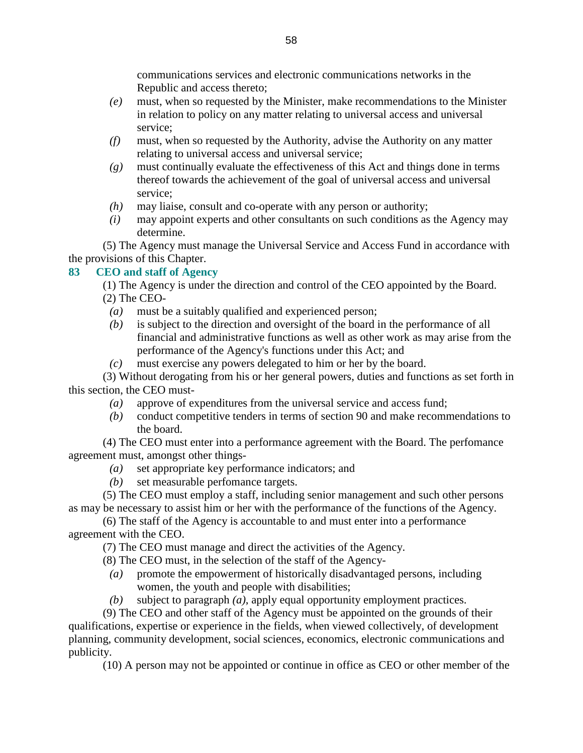communications services and electronic communications networks in the Republic and access thereto;

- *(e)* must, when so requested by the Minister, make recommendations to the Minister in relation to policy on any matter relating to universal access and universal service;
- *(f)* must, when so requested by the Authority, advise the Authority on any matter relating to universal access and universal service;
- *(g)* must continually evaluate the effectiveness of this Act and things done in terms thereof towards the achievement of the goal of universal access and universal service;
- *(h)* may liaise, consult and co-operate with any person or authority;
- *(i)* may appoint experts and other consultants on such conditions as the Agency may determine.

 (5) The Agency must manage the Universal Service and Access Fund in accordance with the provisions of this Chapter.

# **83 CEO and staff of Agency**

 (1) The Agency is under the direction and control of the CEO appointed by the Board. (2) The CEO-

- *(a)* must be a suitably qualified and experienced person;
- *(b)* is subject to the direction and oversight of the board in the performance of all financial and administrative functions as well as other work as may arise from the performance of the Agency's functions under this Act; and
- *(c)* must exercise any powers delegated to him or her by the board.

 (3) Without derogating from his or her general powers, duties and functions as set forth in this section, the CEO must-

- *(a)* approve of expenditures from the universal service and access fund;
- *(b)* conduct competitive tenders in terms of section 90 and make recommendations to the board.

 (4) The CEO must enter into a performance agreement with the Board. The perfomance agreement must, amongst other things-

- *(a)* set appropriate key performance indicators; and
- *(b)* set measurable perfomance targets.

 (5) The CEO must employ a staff, including senior management and such other persons as may be necessary to assist him or her with the performance of the functions of the Agency.

 (6) The staff of the Agency is accountable to and must enter into a performance agreement with the CEO.

(7) The CEO must manage and direct the activities of the Agency.

- (8) The CEO must, in the selection of the staff of the Agency-
- *(a)* promote the empowerment of historically disadvantaged persons, including women, the youth and people with disabilities;
- *(b)* subject to paragraph *(a)*, apply equal opportunity employment practices.

 (9) The CEO and other staff of the Agency must be appointed on the grounds of their qualifications, expertise or experience in the fields, when viewed collectively, of development planning, community development, social sciences, economics, electronic communications and publicity.

(10) A person may not be appointed or continue in office as CEO or other member of the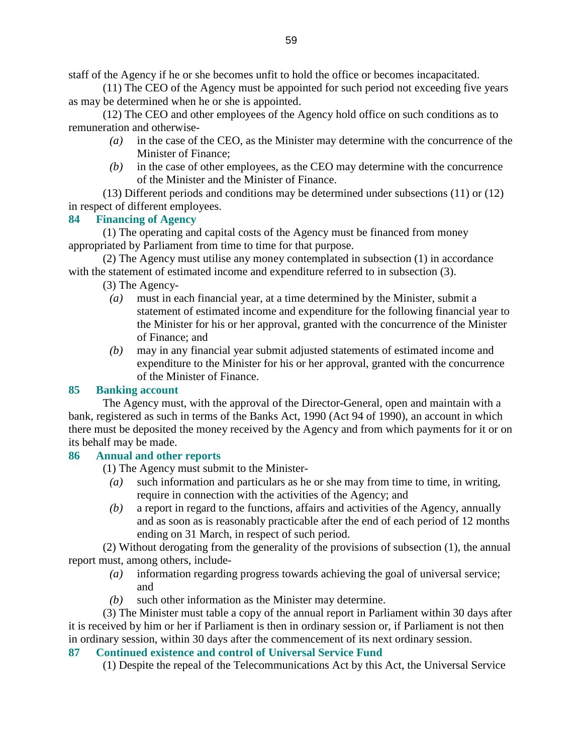staff of the Agency if he or she becomes unfit to hold the office or becomes incapacitated.

 (11) The CEO of the Agency must be appointed for such period not exceeding five years as may be determined when he or she is appointed.

 (12) The CEO and other employees of the Agency hold office on such conditions as to remuneration and otherwise-

- *(a)* in the case of the CEO, as the Minister may determine with the concurrence of the Minister of Finance;
- *(b)* in the case of other employees, as the CEO may determine with the concurrence of the Minister and the Minister of Finance.

 (13) Different periods and conditions may be determined under subsections (11) or (12) in respect of different employees.

### **84 Financing of Agency**

 (1) The operating and capital costs of the Agency must be financed from money appropriated by Parliament from time to time for that purpose.

 (2) The Agency must utilise any money contemplated in subsection (1) in accordance with the statement of estimated income and expenditure referred to in subsection (3).

(3) The Agency-

- *(a)* must in each financial year, at a time determined by the Minister, submit a statement of estimated income and expenditure for the following financial year to the Minister for his or her approval, granted with the concurrence of the Minister of Finance; and
- *(b)* may in any financial year submit adjusted statements of estimated income and expenditure to the Minister for his or her approval, granted with the concurrence of the Minister of Finance.

### **85 Banking account**

 The Agency must, with the approval of the Director-General, open and maintain with a bank, registered as such in terms of the Banks Act, 1990 (Act 94 of 1990), an account in which there must be deposited the money received by the Agency and from which payments for it or on its behalf may be made.

#### **86 Annual and other reports**

(1) The Agency must submit to the Minister-

- *(a)* such information and particulars as he or she may from time to time, in writing, require in connection with the activities of the Agency; and
- *(b)* a report in regard to the functions, affairs and activities of the Agency, annually and as soon as is reasonably practicable after the end of each period of 12 months ending on 31 March, in respect of such period.

 (2) Without derogating from the generality of the provisions of subsection (1), the annual report must, among others, include-

- *(a)* information regarding progress towards achieving the goal of universal service; and
- *(b)* such other information as the Minister may determine.

 (3) The Minister must table a copy of the annual report in Parliament within 30 days after it is received by him or her if Parliament is then in ordinary session or, if Parliament is not then in ordinary session, within 30 days after the commencement of its next ordinary session.

**87 Continued existence and control of Universal Service Fund** 

(1) Despite the repeal of the Telecommunications Act by this Act, the Universal Service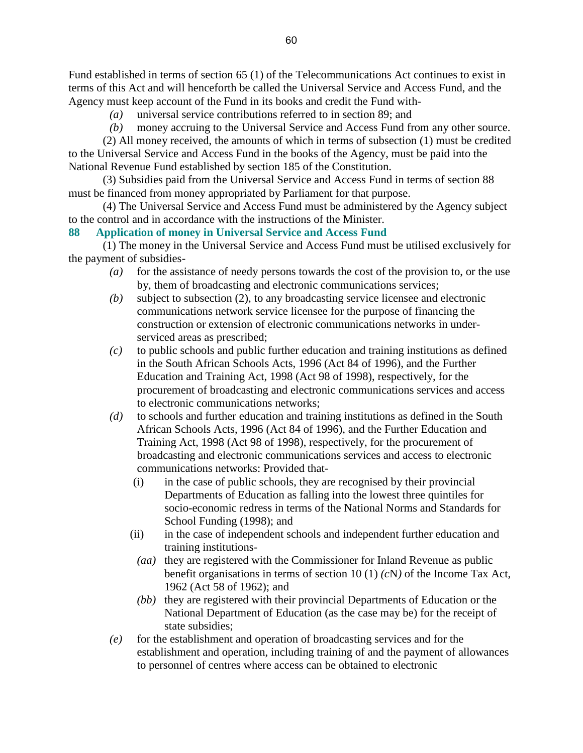Fund established in terms of section 65 (1) of the Telecommunications Act continues to exist in terms of this Act and will henceforth be called the Universal Service and Access Fund, and the Agency must keep account of the Fund in its books and credit the Fund with-

- *(a)* universal service contributions referred to in section 89; and
- *(b)* money accruing to the Universal Service and Access Fund from any other source.

 (2) All money received, the amounts of which in terms of subsection (1) must be credited to the Universal Service and Access Fund in the books of the Agency, must be paid into the National Revenue Fund established by section 185 of the Constitution.

 (3) Subsidies paid from the Universal Service and Access Fund in terms of section 88 must be financed from money appropriated by Parliament for that purpose.

 (4) The Universal Service and Access Fund must be administered by the Agency subject to the control and in accordance with the instructions of the Minister.

### **88 Application of money in Universal Service and Access Fund**

 (1) The money in the Universal Service and Access Fund must be utilised exclusively for the payment of subsidies-

- *(a)* for the assistance of needy persons towards the cost of the provision to, or the use by, them of broadcasting and electronic communications services;
- *(b)* subject to subsection (2), to any broadcasting service licensee and electronic communications network service licensee for the purpose of financing the construction or extension of electronic communications networks in underserviced areas as prescribed;
- *(c)* to public schools and public further education and training institutions as defined in the South African Schools Acts, 1996 (Act 84 of 1996), and the Further Education and Training Act, 1998 (Act 98 of 1998), respectively, for the procurement of broadcasting and electronic communications services and access to electronic communications networks;
- *(d)* to schools and further education and training institutions as defined in the South African Schools Acts, 1996 (Act 84 of 1996), and the Further Education and Training Act, 1998 (Act 98 of 1998), respectively, for the procurement of broadcasting and electronic communications services and access to electronic communications networks: Provided that-
	- (i) in the case of public schools, they are recognised by their provincial Departments of Education as falling into the lowest three quintiles for socio-economic redress in terms of the National Norms and Standards for School Funding (1998); and
	- (ii) in the case of independent schools and independent further education and training institutions-
	- *(aa)* they are registered with the Commissioner for Inland Revenue as public benefit organisations in terms of section 10 (1) *(c*N*)* of the Income Tax Act, 1962 (Act 58 of 1962); and
	- *(bb)* they are registered with their provincial Departments of Education or the National Department of Education (as the case may be) for the receipt of state subsidies;
- *(e)* for the establishment and operation of broadcasting services and for the establishment and operation, including training of and the payment of allowances to personnel of centres where access can be obtained to electronic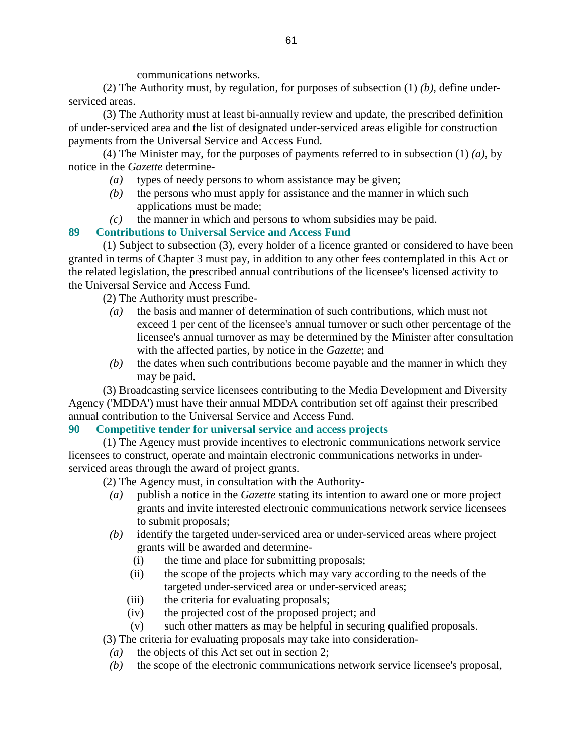communications networks.

 (2) The Authority must, by regulation, for purposes of subsection (1) *(b)*, define underserviced areas.

 (3) The Authority must at least bi-annually review and update, the prescribed definition of under-serviced area and the list of designated under-serviced areas eligible for construction payments from the Universal Service and Access Fund.

 (4) The Minister may, for the purposes of payments referred to in subsection (1) *(a)*, by notice in the *Gazette* determine-

- *(a)* types of needy persons to whom assistance may be given;
- *(b)* the persons who must apply for assistance and the manner in which such applications must be made;
- *(c)* the manner in which and persons to whom subsidies may be paid.

# **89 Contributions to Universal Service and Access Fund**

 (1) Subject to subsection (3), every holder of a licence granted or considered to have been granted in terms of Chapter 3 must pay, in addition to any other fees contemplated in this Act or the related legislation, the prescribed annual contributions of the licensee's licensed activity to the Universal Service and Access Fund.

(2) The Authority must prescribe-

- *(a)* the basis and manner of determination of such contributions, which must not exceed 1 per cent of the licensee's annual turnover or such other percentage of the licensee's annual turnover as may be determined by the Minister after consultation with the affected parties, by notice in the *Gazette*; and
- *(b)* the dates when such contributions become payable and the manner in which they may be paid.

 (3) Broadcasting service licensees contributing to the Media Development and Diversity Agency ('MDDA') must have their annual MDDA contribution set off against their prescribed annual contribution to the Universal Service and Access Fund.

### **90 Competitive tender for universal service and access projects**

 (1) The Agency must provide incentives to electronic communications network service licensees to construct, operate and maintain electronic communications networks in underserviced areas through the award of project grants.

- (2) The Agency must, in consultation with the Authority-
	- *(a)* publish a notice in the *Gazette* stating its intention to award one or more project grants and invite interested electronic communications network service licensees to submit proposals;
	- *(b)* identify the targeted under-serviced area or under-serviced areas where project grants will be awarded and determine-
		- (i) the time and place for submitting proposals;
		- (ii) the scope of the projects which may vary according to the needs of the targeted under-serviced area or under-serviced areas;
		- (iii) the criteria for evaluating proposals;
		- (iv) the projected cost of the proposed project; and
	- (v) such other matters as may be helpful in securing qualified proposals.

(3) The criteria for evaluating proposals may take into consideration-

- *(a)* the objects of this Act set out in section 2;
- *(b)* the scope of the electronic communications network service licensee's proposal,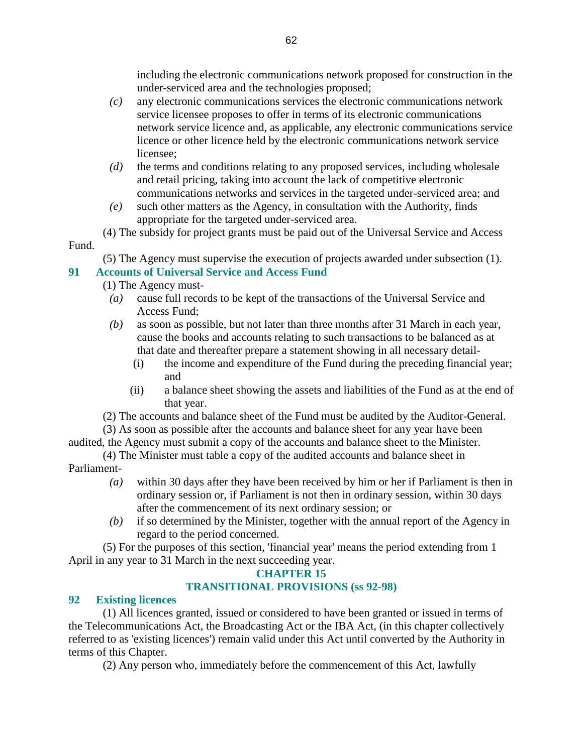including the electronic communications network proposed for construction in the under-serviced area and the technologies proposed;

- *(c)* any electronic communications services the electronic communications network service licensee proposes to offer in terms of its electronic communications network service licence and, as applicable, any electronic communications service licence or other licence held by the electronic communications network service licensee;
- *(d)* the terms and conditions relating to any proposed services, including wholesale and retail pricing, taking into account the lack of competitive electronic communications networks and services in the targeted under-serviced area; and
- *(e)* such other matters as the Agency, in consultation with the Authority, finds appropriate for the targeted under-serviced area.

 (4) The subsidy for project grants must be paid out of the Universal Service and Access Fund.

(5) The Agency must supervise the execution of projects awarded under subsection (1).

# **91 Accounts of Universal Service and Access Fund**

(1) The Agency must-

- *(a)* cause full records to be kept of the transactions of the Universal Service and Access Fund;
- *(b)* as soon as possible, but not later than three months after 31 March in each year, cause the books and accounts relating to such transactions to be balanced as at that date and thereafter prepare a statement showing in all necessary detail-
	- (i) the income and expenditure of the Fund during the preceding financial year; and
	- (ii) a balance sheet showing the assets and liabilities of the Fund as at the end of that year.
- (2) The accounts and balance sheet of the Fund must be audited by the Auditor-General.

 (3) As soon as possible after the accounts and balance sheet for any year have been audited, the Agency must submit a copy of the accounts and balance sheet to the Minister.

 (4) The Minister must table a copy of the audited accounts and balance sheet in Parliament-

- *(a)* within 30 days after they have been received by him or her if Parliament is then in ordinary session or, if Parliament is not then in ordinary session, within 30 days after the commencement of its next ordinary session; or
- *(b)* if so determined by the Minister, together with the annual report of the Agency in regard to the period concerned.

 (5) For the purposes of this section, 'financial year' means the period extending from 1 April in any year to 31 March in the next succeeding year.

### **CHAPTER 15**

# **TRANSITIONAL PROVISIONS (ss 92-98)**

### **92 Existing licences**

 (1) All licences granted, issued or considered to have been granted or issued in terms of the Telecommunications Act, the Broadcasting Act or the IBA Act, (in this chapter collectively referred to as 'existing licences') remain valid under this Act until converted by the Authority in terms of this Chapter.

(2) Any person who, immediately before the commencement of this Act, lawfully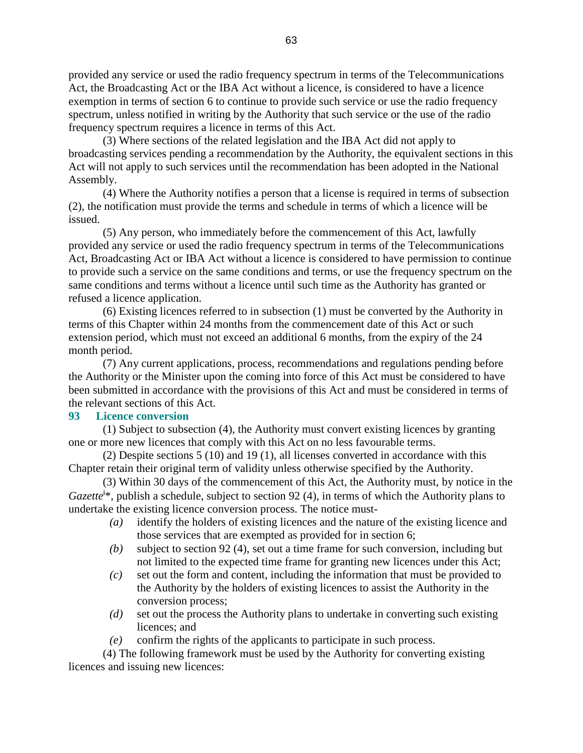provided any service or used the radio frequency spectrum in terms of the Telecommunications Act, the Broadcasting Act or the IBA Act without a licence, is considered to have a licence exemption in terms of section 6 to continue to provide such service or use the radio frequency spectrum, unless notified in writing by the Authority that such service or the use of the radio frequency spectrum requires a licence in terms of this Act.

 (3) Where sections of the related legislation and the IBA Act did not apply to broadcasting services pending a recommendation by the Authority, the equivalent sections in this Act will not apply to such services until the recommendation has been adopted in the National Assembly.

 (4) Where the Authority notifies a person that a license is required in terms of subsection (2), the notification must provide the terms and schedule in terms of which a licence will be issued.

 (5) Any person, who immediately before the commencement of this Act, lawfully provided any service or used the radio frequency spectrum in terms of the Telecommunications Act, Broadcasting Act or IBA Act without a licence is considered to have permission to continue to provide such a service on the same conditions and terms, or use the frequency spectrum on the same conditions and terms without a licence until such time as the Authority has granted or refused a licence application.

 (6) Existing licences referred to in subsection (1) must be converted by the Authority in terms of this Chapter within 24 months from the commencement date of this Act or such extension period, which must not exceed an additional 6 months, from the expiry of the 24 month period.

 (7) Any current applications, process, recommendations and regulations pending before the Authority or the Minister upon the coming into force of this Act must be considered to have been submitted in accordance with the provisions of this Act and must be considered in terms of the relevant sections of this Act.

#### **93 Licence conversion**

 (1) Subject to subsection (4), the Authority must convert existing licences by granting one or more new licences that comply with this Act on no less favourable terms.

 (2) Despite sections 5 (10) and 19 (1), all licenses converted in accordance with this Chapter retain their original term of validity unless otherwise specified by the Authority.

 (3) Within 30 days of the commencement of this Act, the Authority must, by notice in the Gazette<sup>i\*</sup>, publish a schedule, subject to section 92 (4), in terms of which the Authority plans to undertake the existing licence conversion process. The notice must-

- *(a)* identify the holders of existing licences and the nature of the existing licence and those services that are exempted as provided for in section 6;
- *(b)* subject to section 92 (4), set out a time frame for such conversion, including but not limited to the expected time frame for granting new licences under this Act;
- *(c)* set out the form and content, including the information that must be provided to the Authority by the holders of existing licences to assist the Authority in the conversion process;
- *(d)* set out the process the Authority plans to undertake in converting such existing licences; and
- *(e)* confirm the rights of the applicants to participate in such process.

 (4) The following framework must be used by the Authority for converting existing licences and issuing new licences: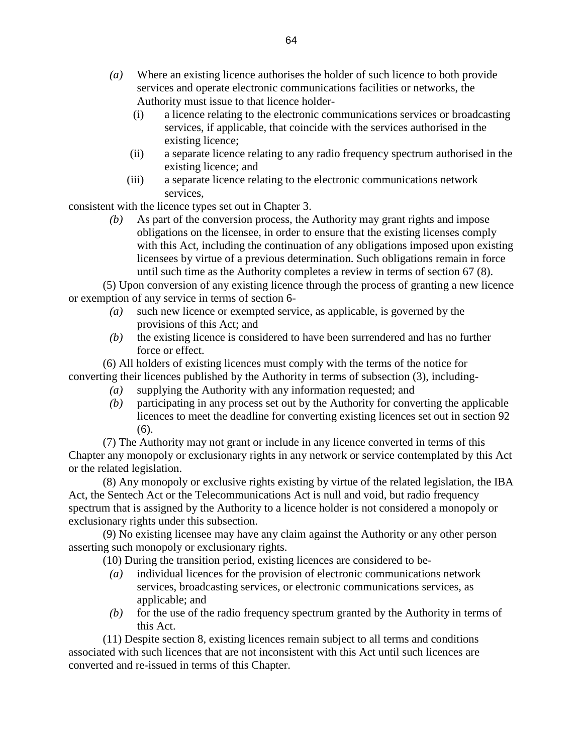- *(a)* Where an existing licence authorises the holder of such licence to both provide services and operate electronic communications facilities or networks, the Authority must issue to that licence holder-
	- (i) a licence relating to the electronic communications services or broadcasting services, if applicable, that coincide with the services authorised in the existing licence;
	- (ii) a separate licence relating to any radio frequency spectrum authorised in the existing licence; and
	- (iii) a separate licence relating to the electronic communications network services,

consistent with the licence types set out in Chapter 3.

 *(b)* As part of the conversion process, the Authority may grant rights and impose obligations on the licensee, in order to ensure that the existing licenses comply with this Act, including the continuation of any obligations imposed upon existing licensees by virtue of a previous determination. Such obligations remain in force until such time as the Authority completes a review in terms of section 67 (8).

 (5) Upon conversion of any existing licence through the process of granting a new licence or exemption of any service in terms of section 6-

- *(a)* such new licence or exempted service, as applicable, is governed by the provisions of this Act; and
- *(b)* the existing licence is considered to have been surrendered and has no further force or effect.

 (6) All holders of existing licences must comply with the terms of the notice for converting their licences published by the Authority in terms of subsection (3), including-

- *(a)* supplying the Authority with any information requested; and
- *(b)* participating in any process set out by the Authority for converting the applicable licences to meet the deadline for converting existing licences set out in section 92 (6).

 (7) The Authority may not grant or include in any licence converted in terms of this Chapter any monopoly or exclusionary rights in any network or service contemplated by this Act or the related legislation.

 (8) Any monopoly or exclusive rights existing by virtue of the related legislation, the IBA Act, the Sentech Act or the Telecommunications Act is null and void, but radio frequency spectrum that is assigned by the Authority to a licence holder is not considered a monopoly or exclusionary rights under this subsection.

 (9) No existing licensee may have any claim against the Authority or any other person asserting such monopoly or exclusionary rights.

(10) During the transition period, existing licences are considered to be-

- *(a)* individual licences for the provision of electronic communications network services, broadcasting services, or electronic communications services, as applicable; and
- *(b)* for the use of the radio frequency spectrum granted by the Authority in terms of this Act.

 (11) Despite section 8, existing licences remain subject to all terms and conditions associated with such licences that are not inconsistent with this Act until such licences are converted and re-issued in terms of this Chapter.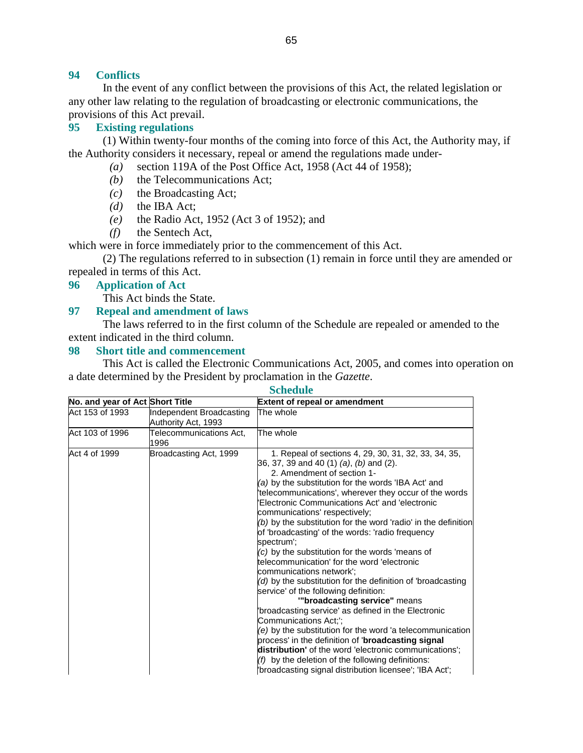#### **94 Conflicts**

 In the event of any conflict between the provisions of this Act, the related legislation or any other law relating to the regulation of broadcasting or electronic communications, the provisions of this Act prevail.

### **95 Existing regulations**

 (1) Within twenty-four months of the coming into force of this Act, the Authority may, if the Authority considers it necessary, repeal or amend the regulations made under-

- *(a)* section 119A of the Post Office Act, 1958 (Act 44 of 1958);
- *(b)* the Telecommunications Act;
- *(c)* the Broadcasting Act;
- *(d)* the IBA Act;
- *(e)* the Radio Act, 1952 (Act 3 of 1952); and
- *(f)* the Sentech Act,

which were in force immediately prior to the commencement of this Act.

 (2) The regulations referred to in subsection (1) remain in force until they are amended or repealed in terms of this Act.

#### **96 Application of Act**

This Act binds the State.

#### **97 Repeal and amendment of laws**

 The laws referred to in the first column of the Schedule are repealed or amended to the extent indicated in the third column.

#### **98 Short title and commencement**

 This Act is called the Electronic Communications Act, 2005, and comes into operation on a date determined by the President by proclamation in the *Gazette*.

#### **Schedule**

| No. and year of Act Short Title |                                                 | <b>Extent of repeal or amendment</b>                                                                                                                                                                                                                                                                                                                                                                                                                                                                                                                                                                                                                                                                                                                                                                                                                                                                                                                                                                                                                                                                                                                  |
|---------------------------------|-------------------------------------------------|-------------------------------------------------------------------------------------------------------------------------------------------------------------------------------------------------------------------------------------------------------------------------------------------------------------------------------------------------------------------------------------------------------------------------------------------------------------------------------------------------------------------------------------------------------------------------------------------------------------------------------------------------------------------------------------------------------------------------------------------------------------------------------------------------------------------------------------------------------------------------------------------------------------------------------------------------------------------------------------------------------------------------------------------------------------------------------------------------------------------------------------------------------|
| Act 153 of 1993                 | Independent Broadcasting<br>Authority Act, 1993 | The whole                                                                                                                                                                                                                                                                                                                                                                                                                                                                                                                                                                                                                                                                                                                                                                                                                                                                                                                                                                                                                                                                                                                                             |
| Act 103 of 1996                 | Telecommunications Act,<br>1996                 | The whole                                                                                                                                                                                                                                                                                                                                                                                                                                                                                                                                                                                                                                                                                                                                                                                                                                                                                                                                                                                                                                                                                                                                             |
| Act 4 of 1999                   | Broadcasting Act, 1999                          | 1. Repeal of sections 4, 29, 30, 31, 32, 33, 34, 35,<br>36, 37, 39 and 40 (1) (a), (b) and (2).<br>2. Amendment of section 1-<br>(a) by the substitution for the words 'IBA Act' and<br>'telecommunications', wherever they occur of the words<br>'Electronic Communications Act' and 'electronic<br>communications' respectively;<br>$($ b) by the substitution for the word 'radio' in the definition<br>of 'broadcasting' of the words: 'radio frequency<br>spectrum';<br>$(c)$ by the substitution for the words 'means of<br>telecommunication' for the word 'electronic<br>communications network';<br>$\mathcal{A}$ by the substitution for the definition of 'broadcasting'<br>service' of the following definition:<br>"broadcasting service" means<br>'broadcasting service' as defined in the Electronic<br>Communications Act;';<br>$(e)$ by the substitution for the word 'a telecommunication<br>process' in the definition of ' <b>broadcasting signal</b><br>distribution' of the word 'electronic communications';<br>$(f)$ by the deletion of the following definitions:<br>'broadcasting signal distribution licensee'; 'IBA Act'; |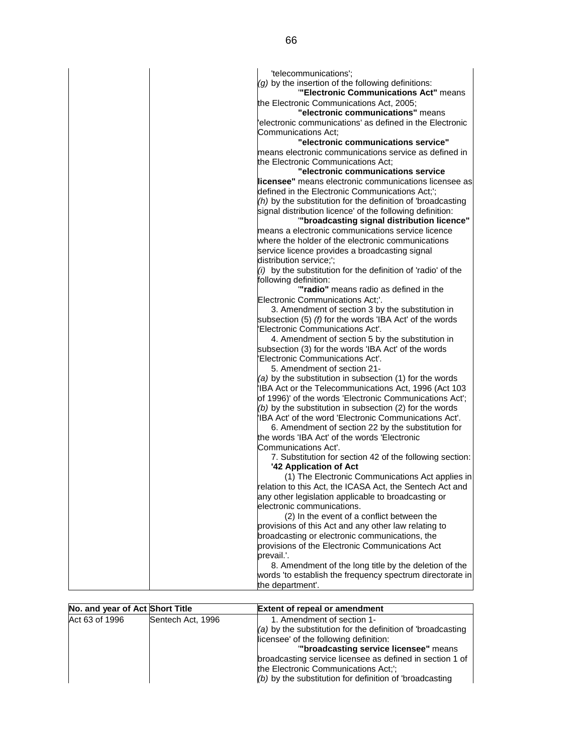| 'telecommunications';                                          |
|----------------------------------------------------------------|
| $(g)$ by the insertion of the following definitions:           |
| "Electronic Communications Act" means                          |
| the Electronic Communications Act, 2005;                       |
| "electronic communications" means                              |
| 'electronic communications' as defined in the Electronic       |
| Communications Act:                                            |
| "electronic communications service"                            |
| means electronic communications service as defined in          |
| the Electronic Communications Act;                             |
| "electronic communications service                             |
| licensee" means electronic communications licensee as          |
| defined in the Electronic Communications Act;';                |
| $(h)$ by the substitution for the definition of 'broadcasting' |
| signal distribution licence' of the following definition:      |
| "broadcasting signal distribution licence"                     |
| means a electronic communications service licence              |
| where the holder of the electronic communications              |
| service licence provides a broadcasting signal                 |
| distribution service;';                                        |
| $(i)$ by the substitution for the definition of 'radio' of the |
| following definition:                                          |
| "radio" means radio as defined in the                          |
| Electronic Communications Act;'.                               |
| 3. Amendment of section 3 by the substitution in               |
| subsection (5) (f) for the words 'IBA Act' of the words        |
| 'Electronic Communications Act'.                               |
| 4. Amendment of section 5 by the substitution in               |
| subsection (3) for the words 'IBA Act' of the words            |
| 'Electronic Communications Act'.                               |
| 5. Amendment of section 21-                                    |
| (a) by the substitution in subsection (1) for the words        |
| 'IBA Act or the Telecommunications Act, 1996 (Act 103          |
| of 1996)' of the words 'Electronic Communications Act';        |
| $(b)$ by the substitution in subsection (2) for the words      |
| 'IBA Act' of the word 'Electronic Communications Act'.         |
| 6. Amendment of section 22 by the substitution for             |
| the words 'IBA Act' of the words 'Electronic                   |
| Communications Act'.                                           |
| 7. Substitution for section 42 of the following section:       |
| '42 Application of Act                                         |
| (1) The Electronic Communications Act applies in               |
| relation to this Act, the ICASA Act, the Sentech Act and       |
| any other legislation applicable to broadcasting or            |
| electronic communications.                                     |
| (2) In the event of a conflict between the                     |
| provisions of this Act and any other law relating to           |
| broadcasting or electronic communications, the                 |
| provisions of the Electronic Communications Act                |
| prevail.'.                                                     |
| 8. Amendment of the long title by the deletion of the          |
| words 'to establish the frequency spectrum directorate in      |
| the department'.                                               |

| No. and year of Act Short Title |                   | <b>Extent of repeal or amendment</b>                                                                                                                                                                                                                                                                                                              |
|---------------------------------|-------------------|---------------------------------------------------------------------------------------------------------------------------------------------------------------------------------------------------------------------------------------------------------------------------------------------------------------------------------------------------|
| Act 63 of 1996                  | Sentech Act, 1996 | 1. Amendment of section 1-<br>$(a)$ by the substitution for the definition of 'broadcasting'<br>licensee' of the following definition:<br>"broadcasting service licensee" means<br>broadcasting service licensee as defined in section 1 of<br>the Electronic Communications Act;';<br>$($ b) by the substitution for definition of 'broadcasting |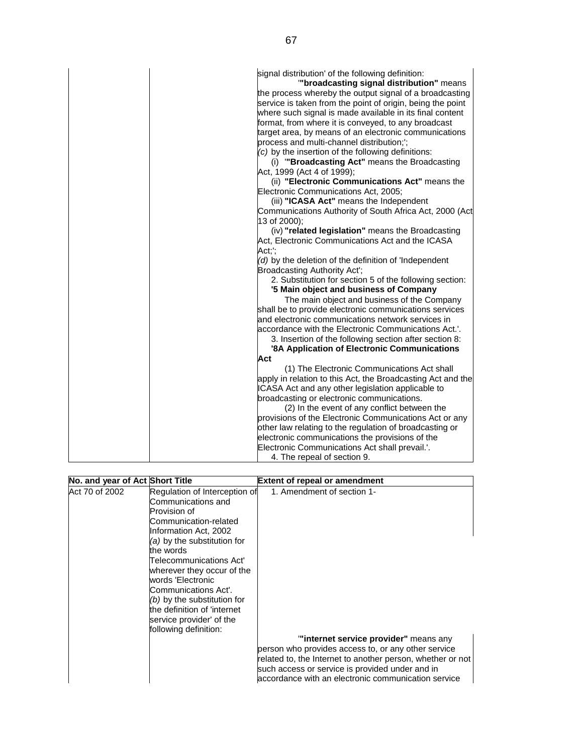| signal distribution' of the following definition:<br>"broadcasting signal distribution" means<br>the process whereby the output signal of a broadcasting<br>service is taken from the point of origin, being the point<br>where such signal is made available in its final content<br>format, from where it is conveyed, to any broadcast<br>target area, by means of an electronic communications<br>process and multi-channel distribution;";<br>(c) by the insertion of the following definitions:<br>(i) "Broadcasting Act" means the Broadcasting<br>Act, 1999 (Act 4 of 1999);<br>(ii) "Electronic Communications Act" means the<br>Electronic Communications Act, 2005;<br>(iii) "ICASA Act" means the Independent<br>Communications Authority of South Africa Act, 2000 (Act<br>13 of 2000);<br>(iv) "related legislation" means the Broadcasting<br>Act, Electronic Communications Act and the ICASA<br>Act;';<br>(d) by the deletion of the definition of 'Independent<br>Broadcasting Authority Act';<br>2. Substitution for section 5 of the following section:<br>'5 Main object and business of Company<br>The main object and business of the Company<br>shall be to provide electronic communications services<br>and electronic communications network services in<br>accordance with the Electronic Communications Act.'.<br>3. Insertion of the following section after section 8:<br>'8A Application of Electronic Communications<br>Act<br>(1) The Electronic Communications Act shall<br>apply in relation to this Act, the Broadcasting Act and the<br>ICASA Act and any other legislation applicable to<br>broadcasting or electronic communications. |
|-------------------------------------------------------------------------------------------------------------------------------------------------------------------------------------------------------------------------------------------------------------------------------------------------------------------------------------------------------------------------------------------------------------------------------------------------------------------------------------------------------------------------------------------------------------------------------------------------------------------------------------------------------------------------------------------------------------------------------------------------------------------------------------------------------------------------------------------------------------------------------------------------------------------------------------------------------------------------------------------------------------------------------------------------------------------------------------------------------------------------------------------------------------------------------------------------------------------------------------------------------------------------------------------------------------------------------------------------------------------------------------------------------------------------------------------------------------------------------------------------------------------------------------------------------------------------------------------------------------------------------------------------------------------------------|
|                                                                                                                                                                                                                                                                                                                                                                                                                                                                                                                                                                                                                                                                                                                                                                                                                                                                                                                                                                                                                                                                                                                                                                                                                                                                                                                                                                                                                                                                                                                                                                                                                                                                               |
| (2) In the event of any conflict between the                                                                                                                                                                                                                                                                                                                                                                                                                                                                                                                                                                                                                                                                                                                                                                                                                                                                                                                                                                                                                                                                                                                                                                                                                                                                                                                                                                                                                                                                                                                                                                                                                                  |
| provisions of the Electronic Communications Act or any                                                                                                                                                                                                                                                                                                                                                                                                                                                                                                                                                                                                                                                                                                                                                                                                                                                                                                                                                                                                                                                                                                                                                                                                                                                                                                                                                                                                                                                                                                                                                                                                                        |
| other law relating to the regulation of broadcasting or                                                                                                                                                                                                                                                                                                                                                                                                                                                                                                                                                                                                                                                                                                                                                                                                                                                                                                                                                                                                                                                                                                                                                                                                                                                                                                                                                                                                                                                                                                                                                                                                                       |
| electronic communications the provisions of the                                                                                                                                                                                                                                                                                                                                                                                                                                                                                                                                                                                                                                                                                                                                                                                                                                                                                                                                                                                                                                                                                                                                                                                                                                                                                                                                                                                                                                                                                                                                                                                                                               |
| Electronic Communications Act shall prevail.'.                                                                                                                                                                                                                                                                                                                                                                                                                                                                                                                                                                                                                                                                                                                                                                                                                                                                                                                                                                                                                                                                                                                                                                                                                                                                                                                                                                                                                                                                                                                                                                                                                                |
| 4. The repeal of section 9.                                                                                                                                                                                                                                                                                                                                                                                                                                                                                                                                                                                                                                                                                                                                                                                                                                                                                                                                                                                                                                                                                                                                                                                                                                                                                                                                                                                                                                                                                                                                                                                                                                                   |

| No. and year of Act Short Title                                                                                                                                                                                                                                                                                                                                                                              | <b>Extent of repeal or amendment</b>                                                                                                                                                                                                                                                               |
|--------------------------------------------------------------------------------------------------------------------------------------------------------------------------------------------------------------------------------------------------------------------------------------------------------------------------------------------------------------------------------------------------------------|----------------------------------------------------------------------------------------------------------------------------------------------------------------------------------------------------------------------------------------------------------------------------------------------------|
| Act 70 of 2002<br>Regulation of Interception of<br>Communications and<br>Provision of<br>Communication-related<br>Information Act, 2002<br>(a) by the substitution for<br>the words<br>Telecommunications Act'<br>wherever they occur of the<br>words 'Electronic<br>Communications Act'.<br>(b) by the substitution for<br>the definition of 'internet<br>service provider' of the<br>following definition: | 1. Amendment of section 1-<br>"internet service provider" means any<br>person who provides access to, or any other service<br>related to, the Internet to another person, whether or not<br>such access or service is provided under and in<br>accordance with an electronic communication service |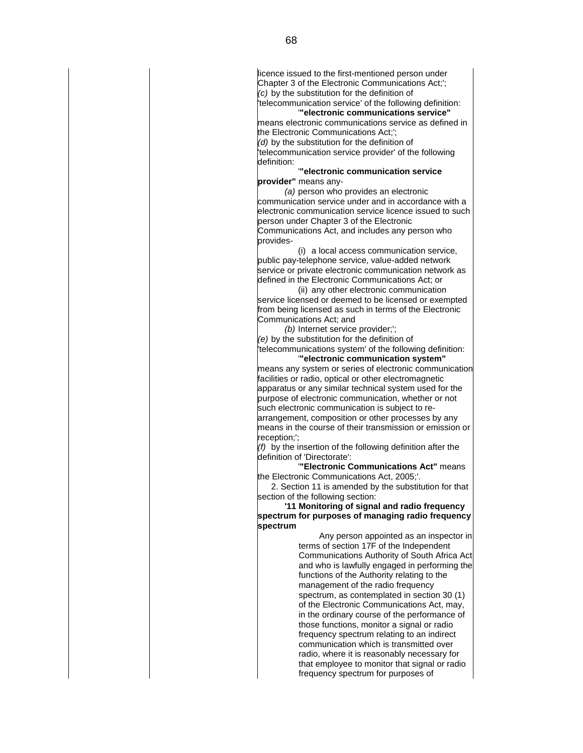licence issued to the first-mentioned person under Chapter 3 of the Electronic Communications Act;'; (c) by the substitution for the definition of 'telecommunication service' of the following definition:

 '**"electronic communications service"** means electronic communications service as defined in the Electronic Communications Act;';

(d) by the substitution for the definition of 'telecommunication service provider' of the following definition:

 '**"electronic communication service provider"** means any-

 (a) person who provides an electronic communication service under and in accordance with a electronic communication service licence issued to such person under Chapter 3 of the Electronic Communications Act, and includes any person who provides-

 (i) a local access communication service, public pay-telephone service, value-added network service or private electronic communication network as defined in the Electronic Communications Act; or

 (ii) any other electronic communication service licensed or deemed to be licensed or exempted from being licensed as such in terms of the Electronic Communications Act; and

(b) Internet service provider;';

(e) by the substitution for the definition of 'telecommunications system' of the following definition: '**"electronic communication system"**

means any system or series of electronic communication facilities or radio, optical or other electromagnetic apparatus or any similar technical system used for the purpose of electronic communication, whether or not such electronic communication is subject to rearrangement, composition or other processes by any means in the course of their transmission or emission or reception;';

 (f) by the insertion of the following definition after the definition of 'Directorate':

 '**"Electronic Communications Act"** means the Electronic Communications Act, 2005;'.

 2. Section 11 is amended by the substitution for that section of the following section:

 **'11 Monitoring of signal and radio frequency spectrum for purposes of managing radio frequency spectrum**

 Any person appointed as an inspector in terms of section 17F of the Independent Communications Authority of South Africa Act and who is lawfully engaged in performing the functions of the Authority relating to the management of the radio frequency spectrum, as contemplated in section 30 (1) of the Electronic Communications Act, may, in the ordinary course of the performance of those functions, monitor a signal or radio frequency spectrum relating to an indirect communication which is transmitted over radio, where it is reasonably necessary for that employee to monitor that signal or radio frequency spectrum for purposes of